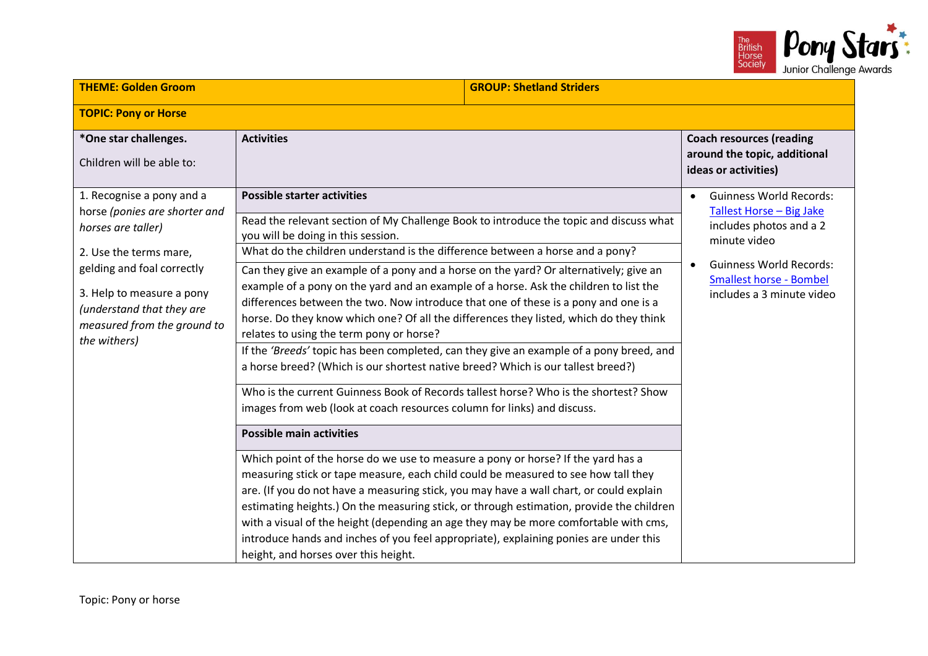

| <b>THEME: Golden Groom</b>                                                                                                                                                                                                                        |                                                                                                                                                                                                                                                                                                                                                                                                                                                                                                                                                                                                                                                                                                                                                                                                                                                                                                                                                                                                                                                                                                                                                                                                                                                                                                                                                                                                                                                                                                                                                                                                           | <b>GROUP: Shetland Striders</b>                                                                                                                                                                                     |  |
|---------------------------------------------------------------------------------------------------------------------------------------------------------------------------------------------------------------------------------------------------|-----------------------------------------------------------------------------------------------------------------------------------------------------------------------------------------------------------------------------------------------------------------------------------------------------------------------------------------------------------------------------------------------------------------------------------------------------------------------------------------------------------------------------------------------------------------------------------------------------------------------------------------------------------------------------------------------------------------------------------------------------------------------------------------------------------------------------------------------------------------------------------------------------------------------------------------------------------------------------------------------------------------------------------------------------------------------------------------------------------------------------------------------------------------------------------------------------------------------------------------------------------------------------------------------------------------------------------------------------------------------------------------------------------------------------------------------------------------------------------------------------------------------------------------------------------------------------------------------------------|---------------------------------------------------------------------------------------------------------------------------------------------------------------------------------------------------------------------|--|
| <b>TOPIC: Pony or Horse</b>                                                                                                                                                                                                                       |                                                                                                                                                                                                                                                                                                                                                                                                                                                                                                                                                                                                                                                                                                                                                                                                                                                                                                                                                                                                                                                                                                                                                                                                                                                                                                                                                                                                                                                                                                                                                                                                           |                                                                                                                                                                                                                     |  |
| *One star challenges.<br><b>Activities</b><br>Children will be able to:                                                                                                                                                                           |                                                                                                                                                                                                                                                                                                                                                                                                                                                                                                                                                                                                                                                                                                                                                                                                                                                                                                                                                                                                                                                                                                                                                                                                                                                                                                                                                                                                                                                                                                                                                                                                           | <b>Coach resources (reading</b><br>around the topic, additional<br>ideas or activities)                                                                                                                             |  |
| 1. Recognise a pony and a<br>horse (ponies are shorter and<br>horses are taller)<br>2. Use the terms mare,<br>gelding and foal correctly<br>3. Help to measure a pony<br>(understand that they are<br>measured from the ground to<br>the withers) | <b>Possible starter activities</b><br>Read the relevant section of My Challenge Book to introduce the topic and discuss what<br>you will be doing in this session.<br>What do the children understand is the difference between a horse and a pony?<br>Can they give an example of a pony and a horse on the yard? Or alternatively; give an<br>example of a pony on the yard and an example of a horse. Ask the children to list the<br>differences between the two. Now introduce that one of these is a pony and one is a<br>horse. Do they know which one? Of all the differences they listed, which do they think<br>relates to using the term pony or horse?<br>If the 'Breeds' topic has been completed, can they give an example of a pony breed, and<br>a horse breed? (Which is our shortest native breed? Which is our tallest breed?)<br>Who is the current Guinness Book of Records tallest horse? Who is the shortest? Show<br>images from web (look at coach resources column for links) and discuss.<br><b>Possible main activities</b><br>Which point of the horse do we use to measure a pony or horse? If the yard has a<br>measuring stick or tape measure, each child could be measured to see how tall they<br>are. (If you do not have a measuring stick, you may have a wall chart, or could explain<br>estimating heights.) On the measuring stick, or through estimation, provide the children<br>with a visual of the height (depending an age they may be more comfortable with cms,<br>introduce hands and inches of you feel appropriate), explaining ponies are under this | <b>Guinness World Records:</b><br>$\bullet$<br>Tallest Horse - Big Jake<br>includes photos and a 2<br>minute video<br><b>Guinness World Records:</b><br><b>Smallest horse - Bombel</b><br>includes a 3 minute video |  |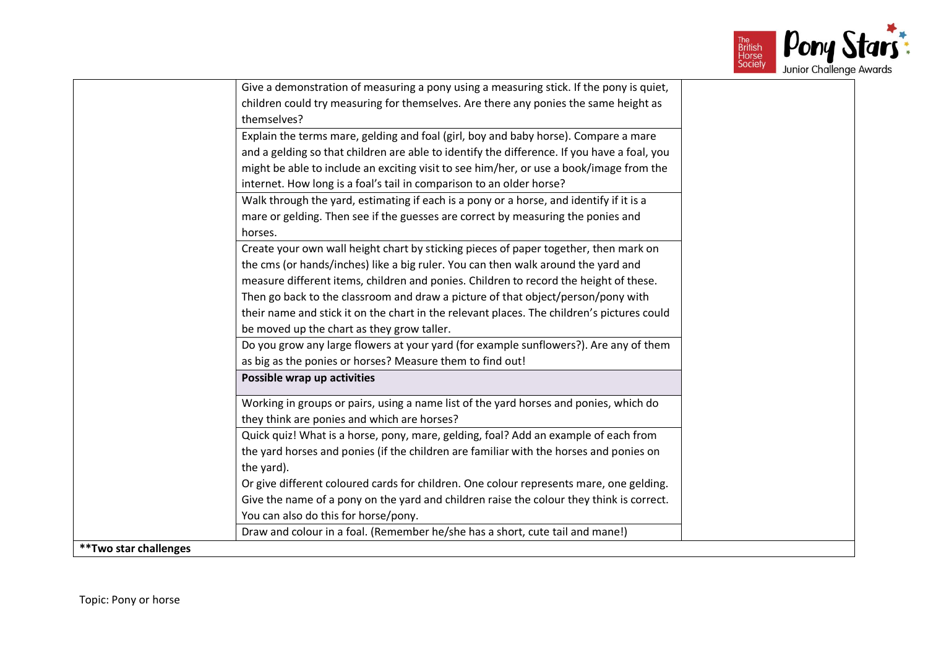

|                        | Give a demonstration of measuring a pony using a measuring stick. If the pony is quiet,     |
|------------------------|---------------------------------------------------------------------------------------------|
|                        | children could try measuring for themselves. Are there any ponies the same height as        |
|                        | themselves?                                                                                 |
|                        | Explain the terms mare, gelding and foal (girl, boy and baby horse). Compare a mare         |
|                        | and a gelding so that children are able to identify the difference. If you have a foal, you |
|                        | might be able to include an exciting visit to see him/her, or use a book/image from the     |
|                        | internet. How long is a foal's tail in comparison to an older horse?                        |
|                        | Walk through the yard, estimating if each is a pony or a horse, and identify if it is a     |
|                        | mare or gelding. Then see if the guesses are correct by measuring the ponies and            |
|                        | horses.                                                                                     |
|                        | Create your own wall height chart by sticking pieces of paper together, then mark on        |
|                        | the cms (or hands/inches) like a big ruler. You can then walk around the yard and           |
|                        | measure different items, children and ponies. Children to record the height of these.       |
|                        | Then go back to the classroom and draw a picture of that object/person/pony with            |
|                        | their name and stick it on the chart in the relevant places. The children's pictures could  |
|                        | be moved up the chart as they grow taller.                                                  |
|                        | Do you grow any large flowers at your yard (for example sunflowers?). Are any of them       |
|                        | as big as the ponies or horses? Measure them to find out!                                   |
|                        | Possible wrap up activities                                                                 |
|                        | Working in groups or pairs, using a name list of the yard horses and ponies, which do       |
|                        | they think are ponies and which are horses?                                                 |
|                        | Quick quiz! What is a horse, pony, mare, gelding, foal? Add an example of each from         |
|                        | the yard horses and ponies (if the children are familiar with the horses and ponies on      |
|                        | the yard).                                                                                  |
|                        | Or give different coloured cards for children. One colour represents mare, one gelding.     |
|                        | Give the name of a pony on the yard and children raise the colour they think is correct.    |
|                        | You can also do this for horse/pony.                                                        |
|                        | Draw and colour in a foal. (Remember he/she has a short, cute tail and mane!)               |
| ** Two star challenges |                                                                                             |
|                        |                                                                                             |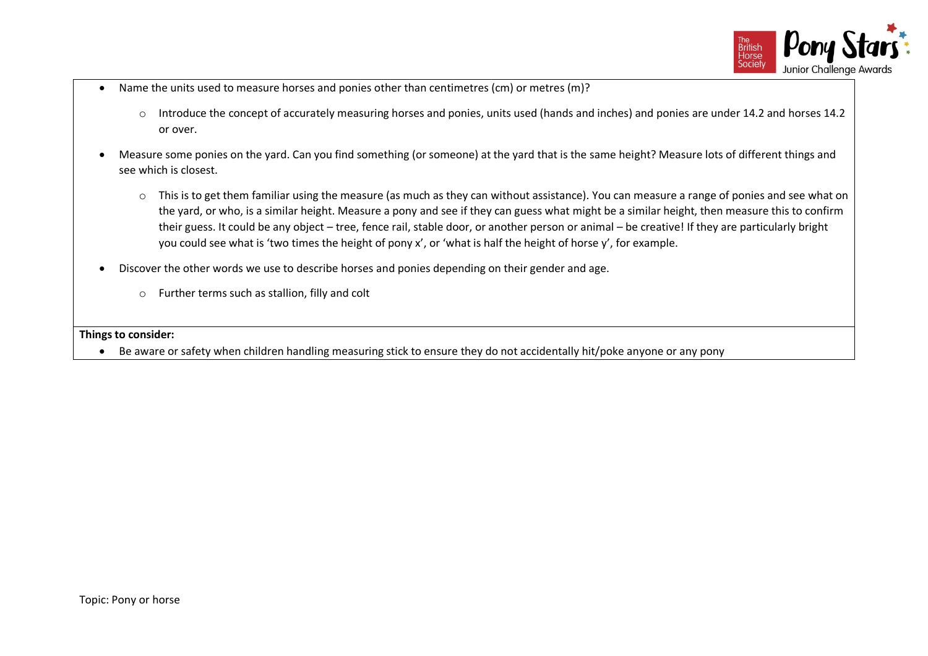

- Name the units used to measure horses and ponies other than centimetres (cm) or metres (m)?
	- o Introduce the concept of accurately measuring horses and ponies, units used (hands and inches) and ponies are under 14.2 and horses 14.2 or over.
- Measure some ponies on the yard. Can you find something (or someone) at the yard that is the same height? Measure lots of different things and see which is closest.
	- o This is to get them familiar using the measure (as much as they can without assistance). You can measure a range of ponies and see what on the yard, or who, is a similar height. Measure a pony and see if they can guess what might be a similar height, then measure this to confirm their guess. It could be any object – tree, fence rail, stable door, or another person or animal – be creative! If they are particularly bright you could see what is 'two times the height of pony x', or 'what is half the height of horse y', for example.
- Discover the other words we use to describe horses and ponies depending on their gender and age.
	- o Further terms such as stallion, filly and colt

**Things to consider:**

• Be aware or safety when children handling measuring stick to ensure they do not accidentally hit/poke anyone or any pony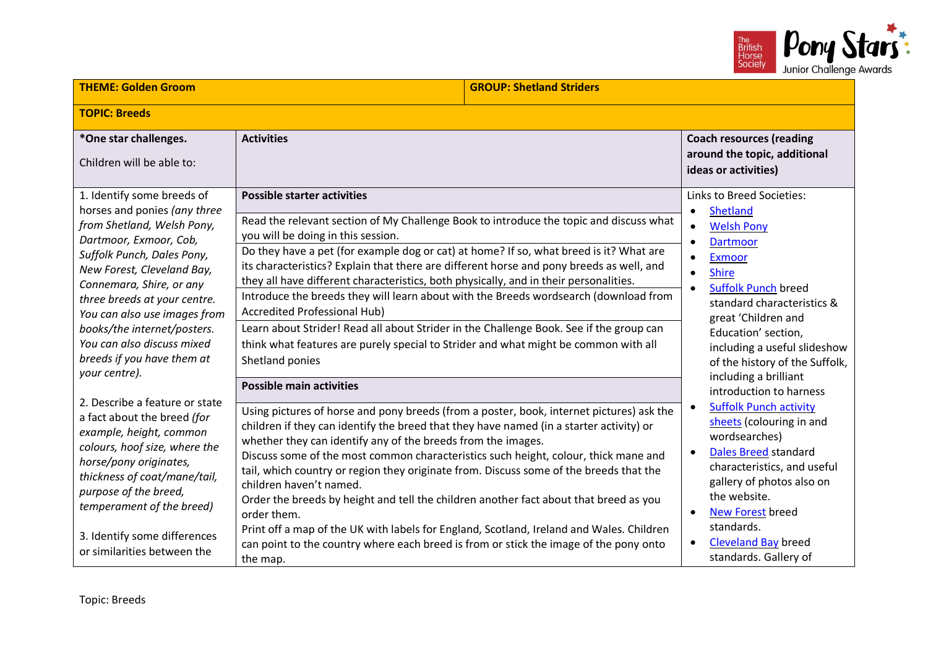

| <b>THEME: Golden Groom</b>                                                                                                                                                                                                                                                                                                                                                             |                                                                                                                                                                                                                                                                                                                                                                                                                                                                                                                                                                                                                                                                                                                                                                                                                          | <b>GROUP: Shetland Striders</b> |                                                                                                                                                                                                                                                                                                                                                                                                                        |
|----------------------------------------------------------------------------------------------------------------------------------------------------------------------------------------------------------------------------------------------------------------------------------------------------------------------------------------------------------------------------------------|--------------------------------------------------------------------------------------------------------------------------------------------------------------------------------------------------------------------------------------------------------------------------------------------------------------------------------------------------------------------------------------------------------------------------------------------------------------------------------------------------------------------------------------------------------------------------------------------------------------------------------------------------------------------------------------------------------------------------------------------------------------------------------------------------------------------------|---------------------------------|------------------------------------------------------------------------------------------------------------------------------------------------------------------------------------------------------------------------------------------------------------------------------------------------------------------------------------------------------------------------------------------------------------------------|
| <b>TOPIC: Breeds</b>                                                                                                                                                                                                                                                                                                                                                                   |                                                                                                                                                                                                                                                                                                                                                                                                                                                                                                                                                                                                                                                                                                                                                                                                                          |                                 |                                                                                                                                                                                                                                                                                                                                                                                                                        |
| *One star challenges.<br>Children will be able to:                                                                                                                                                                                                                                                                                                                                     | <b>Activities</b>                                                                                                                                                                                                                                                                                                                                                                                                                                                                                                                                                                                                                                                                                                                                                                                                        |                                 | <b>Coach resources (reading</b><br>around the topic, additional<br>ideas or activities)                                                                                                                                                                                                                                                                                                                                |
| 1. Identify some breeds of<br>horses and ponies (any three<br>from Shetland, Welsh Pony,<br>Dartmoor, Exmoor, Cob,<br>Suffolk Punch, Dales Pony,<br>New Forest, Cleveland Bay,<br>Connemara, Shire, or any<br>three breeds at your centre.<br>You can also use images from<br>books/the internet/posters.<br>You can also discuss mixed<br>breeds if you have them at<br>your centre). | <b>Possible starter activities</b><br>Read the relevant section of My Challenge Book to introduce the topic and discuss what<br>you will be doing in this session.<br>Do they have a pet (for example dog or cat) at home? If so, what breed is it? What are<br>its characteristics? Explain that there are different horse and pony breeds as well, and<br>they all have different characteristics, both physically, and in their personalities.<br>Introduce the breeds they will learn about with the Breeds wordsearch (download from<br><b>Accredited Professional Hub)</b><br>Learn about Strider! Read all about Strider in the Challenge Book. See if the group can<br>think what features are purely special to Strider and what might be common with all<br>Shetland ponies<br><b>Possible main activities</b> |                                 | Links to Breed Societies:<br><b>Shetland</b><br>$\bullet$<br><b>Welsh Pony</b><br>$\bullet$<br><b>Dartmoor</b><br>$\bullet$<br><b>Exmoor</b><br>$\bullet$<br><b>Shire</b><br>$\bullet$<br><b>Suffolk Punch breed</b><br>standard characteristics &<br>great 'Children and<br>Education' section,<br>including a useful slideshow<br>of the history of the Suffolk,<br>including a brilliant<br>introduction to harness |
| 2. Describe a feature or state<br>a fact about the breed (for<br>example, height, common<br>colours, hoof size, where the<br>horse/pony originates,<br>thickness of coat/mane/tail,<br>purpose of the breed,<br>temperament of the breed)<br>3. Identify some differences<br>or similarities between the                                                                               | Using pictures of horse and pony breeds (from a poster, book, internet pictures) ask the<br>children if they can identify the breed that they have named (in a starter activity) or<br>whether they can identify any of the breeds from the images.<br>Discuss some of the most common characteristics such height, colour, thick mane and<br>tail, which country or region they originate from. Discuss some of the breeds that the<br>children haven't named.<br>Order the breeds by height and tell the children another fact about that breed as you<br>order them.<br>Print off a map of the UK with labels for England, Scotland, Ireland and Wales. Children<br>can point to the country where each breed is from or stick the image of the pony onto<br>the map.                                                 |                                 | <b>Suffolk Punch activity</b><br>$\bullet$<br>sheets (colouring in and<br>wordsearches)<br><b>Dales Breed standard</b><br>$\bullet$<br>characteristics, and useful<br>gallery of photos also on<br>the website.<br><b>New Forest breed</b><br>$\bullet$<br>standards.<br><b>Cleveland Bay breed</b><br>standards. Gallery of                                                                                           |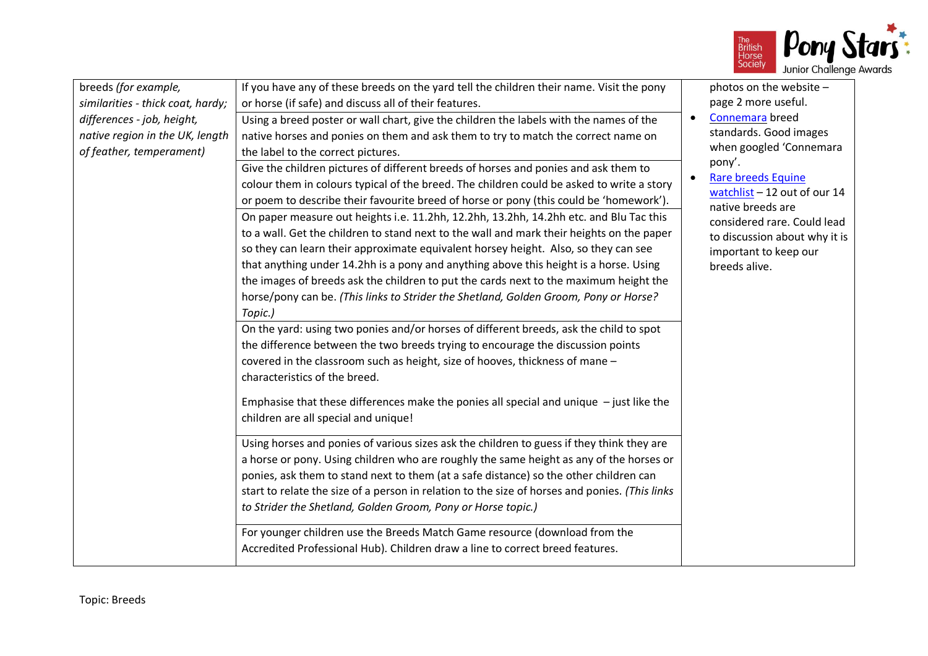

| breeds (for example,              | If you have any of these breeds on the yard tell the children their name. Visit the pony       | photos on the website -                                   |
|-----------------------------------|------------------------------------------------------------------------------------------------|-----------------------------------------------------------|
| similarities - thick coat, hardy; | or horse (if safe) and discuss all of their features.                                          | page 2 more useful.                                       |
| differences - job, height,        | Using a breed poster or wall chart, give the children the labels with the names of the         | Connemara breed<br>$\bullet$                              |
| native region in the UK, length   | native horses and ponies on them and ask them to try to match the correct name on              | standards. Good images                                    |
| of feather, temperament)          | the label to the correct pictures.                                                             | when googled 'Connemara                                   |
|                                   | Give the children pictures of different breeds of horses and ponies and ask them to            | pony'.                                                    |
|                                   | colour them in colours typical of the breed. The children could be asked to write a story      | <b>Rare breeds Equine</b><br>watchlist - 12 out of our 14 |
|                                   | or poem to describe their favourite breed of horse or pony (this could be 'homework').         | native breeds are                                         |
|                                   | On paper measure out heights i.e. 11.2hh, 12.2hh, 13.2hh, 14.2hh etc. and Blu Tac this         | considered rare. Could lead                               |
|                                   | to a wall. Get the children to stand next to the wall and mark their heights on the paper      | to discussion about why it is                             |
|                                   | so they can learn their approximate equivalent horsey height. Also, so they can see            | important to keep our                                     |
|                                   | that anything under 14.2hh is a pony and anything above this height is a horse. Using          | breeds alive.                                             |
|                                   | the images of breeds ask the children to put the cards next to the maximum height the          |                                                           |
|                                   | horse/pony can be. (This links to Strider the Shetland, Golden Groom, Pony or Horse?           |                                                           |
|                                   | Topic.)                                                                                        |                                                           |
|                                   | On the yard: using two ponies and/or horses of different breeds, ask the child to spot         |                                                           |
|                                   | the difference between the two breeds trying to encourage the discussion points                |                                                           |
|                                   | covered in the classroom such as height, size of hooves, thickness of mane -                   |                                                           |
|                                   | characteristics of the breed.                                                                  |                                                           |
|                                   |                                                                                                |                                                           |
|                                   | Emphasise that these differences make the ponies all special and unique $-$ just like the      |                                                           |
|                                   | children are all special and unique!                                                           |                                                           |
|                                   | Using horses and ponies of various sizes ask the children to guess if they think they are      |                                                           |
|                                   | a horse or pony. Using children who are roughly the same height as any of the horses or        |                                                           |
|                                   | ponies, ask them to stand next to them (at a safe distance) so the other children can          |                                                           |
|                                   | start to relate the size of a person in relation to the size of horses and ponies. (This links |                                                           |
|                                   | to Strider the Shetland, Golden Groom, Pony or Horse topic.)                                   |                                                           |
|                                   |                                                                                                |                                                           |
|                                   | For younger children use the Breeds Match Game resource (download from the                     |                                                           |
|                                   | Accredited Professional Hub). Children draw a line to correct breed features.                  |                                                           |
|                                   |                                                                                                |                                                           |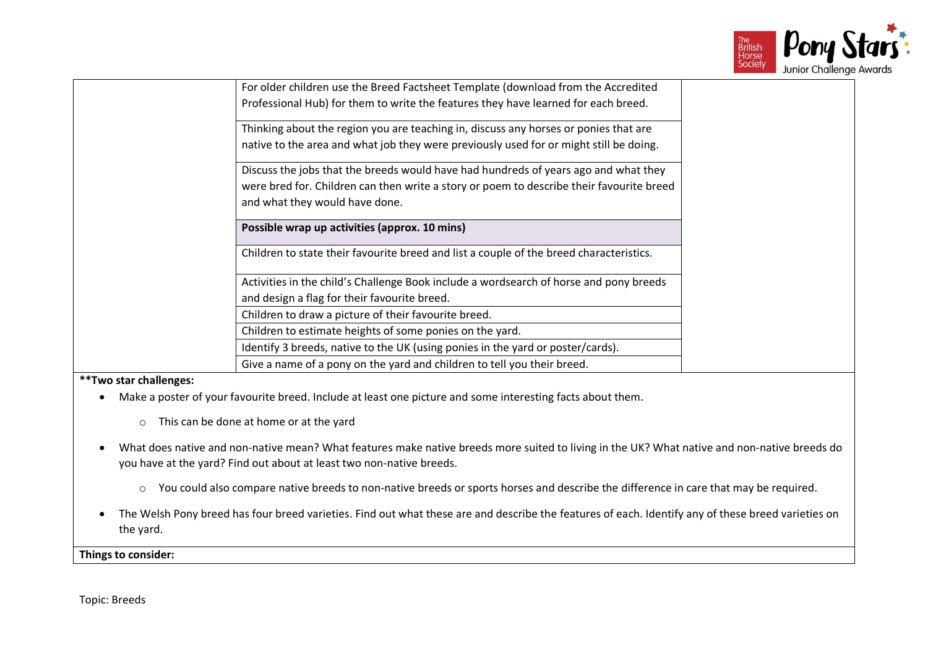

|                       | For older children use the Breed Factsheet Template (download from the Accredited                                                      |  |
|-----------------------|----------------------------------------------------------------------------------------------------------------------------------------|--|
|                       | Professional Hub) for them to write the features they have learned for each breed.                                                     |  |
|                       | Thinking about the region you are teaching in, discuss any horses or ponies that are                                                   |  |
|                       | native to the area and what job they were previously used for or might still be doing.                                                 |  |
|                       | Discuss the jobs that the breeds would have had hundreds of years ago and what they                                                    |  |
|                       | were bred for. Children can then write a story or poem to describe their favourite breed<br>and what they would have done.             |  |
|                       | Possible wrap up activities (approx. 10 mins)                                                                                          |  |
|                       | Children to state their favourite breed and list a couple of the breed characteristics.                                                |  |
|                       | Activities in the child's Challenge Book include a wordsearch of horse and pony breeds<br>and design a flag for their favourite breed. |  |
|                       | Children to draw a picture of their favourite breed.                                                                                   |  |
|                       | Children to estimate heights of some ponies on the yard.                                                                               |  |
|                       | Identify 3 breeds, native to the UK (using ponies in the yard or poster/cards).                                                        |  |
|                       | Give a name of a pony on the yard and children to tell you their breed.                                                                |  |
| **Two star challenges |                                                                                                                                        |  |

### **\*\*Two star challenges:**

- Make a poster of your favourite breed. Include at least one picture and some interesting facts about them.
	- o This can be done at home or at the yard
- What does native and non-native mean? What features make native breeds more suited to living in the UK? What native and non-native breeds do you have at the yard? Find out about at least two non-native breeds.
	- o You could also compare native breeds to non-native breeds or sports horses and describe the difference in care that may be required.
- The Welsh Pony breed has four breed varieties. Find out what these are and describe the features of each. Identify any of these breed varieties on the yard.

**Things to consider:**

Topic: Breeds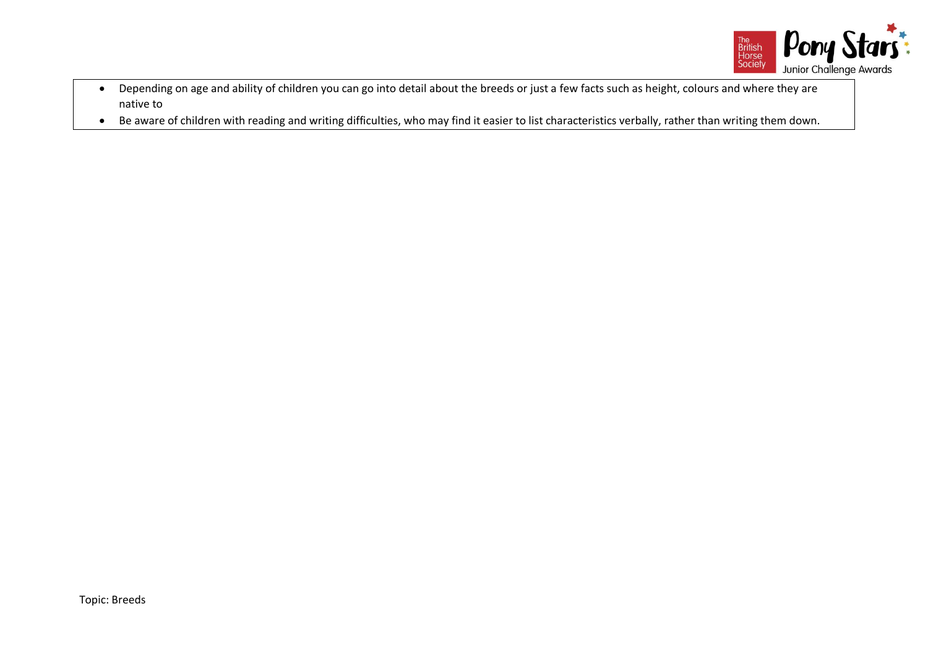

- Depending on age and ability of children you can go into detail about the breeds or just a few facts such as height, colours and where they are native to
- Be aware of children with reading and writing difficulties, who may find it easier to list characteristics verbally, rather than writing them down.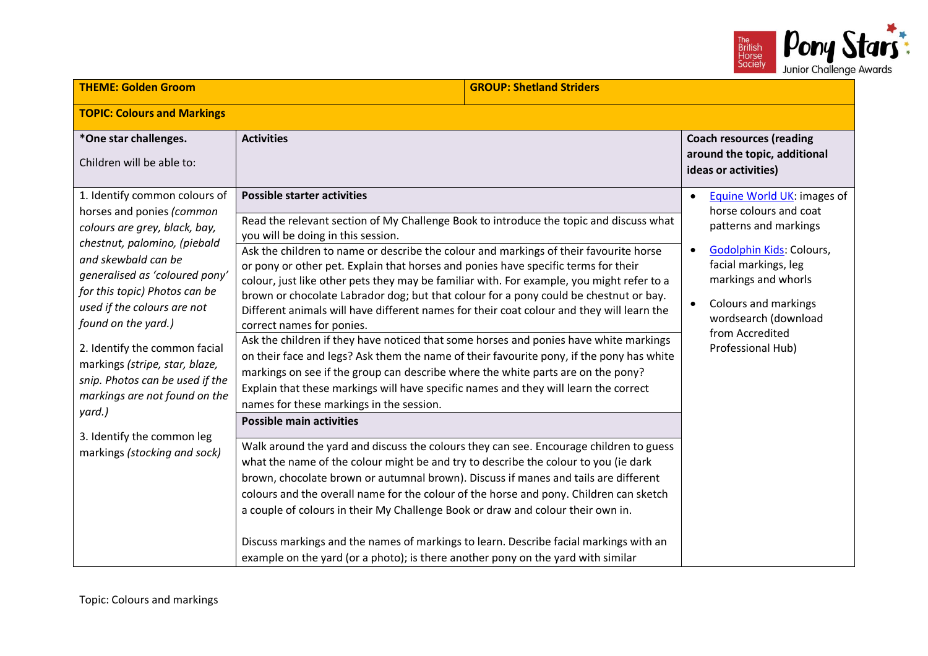

| <b>THEME: Golden Groom</b><br><b>GROUP: Shetland Striders</b>                                                                                                                                                                                                                                                                                                                                                                |                                                                                                                                                                                                                                                                                                                                                                                                                                                                                                                                                                                                                                                                                                                                                                                                                                                                                                                                                                                                                                                                                                                   |  |                                                                                                                                                                                                                                                               |
|------------------------------------------------------------------------------------------------------------------------------------------------------------------------------------------------------------------------------------------------------------------------------------------------------------------------------------------------------------------------------------------------------------------------------|-------------------------------------------------------------------------------------------------------------------------------------------------------------------------------------------------------------------------------------------------------------------------------------------------------------------------------------------------------------------------------------------------------------------------------------------------------------------------------------------------------------------------------------------------------------------------------------------------------------------------------------------------------------------------------------------------------------------------------------------------------------------------------------------------------------------------------------------------------------------------------------------------------------------------------------------------------------------------------------------------------------------------------------------------------------------------------------------------------------------|--|---------------------------------------------------------------------------------------------------------------------------------------------------------------------------------------------------------------------------------------------------------------|
| <b>TOPIC: Colours and Markings</b>                                                                                                                                                                                                                                                                                                                                                                                           |                                                                                                                                                                                                                                                                                                                                                                                                                                                                                                                                                                                                                                                                                                                                                                                                                                                                                                                                                                                                                                                                                                                   |  |                                                                                                                                                                                                                                                               |
| *One star challenges.<br>Children will be able to:                                                                                                                                                                                                                                                                                                                                                                           | <b>Activities</b>                                                                                                                                                                                                                                                                                                                                                                                                                                                                                                                                                                                                                                                                                                                                                                                                                                                                                                                                                                                                                                                                                                 |  | <b>Coach resources (reading</b><br>around the topic, additional<br>ideas or activities)                                                                                                                                                                       |
| 1. Identify common colours of<br>horses and ponies (common<br>colours are grey, black, bay,<br>chestnut, palomino, (piebald<br>and skewbald can be<br>generalised as 'coloured pony'<br>for this topic) Photos can be<br>used if the colours are not<br>found on the yard.)<br>2. Identify the common facial<br>markings (stripe, star, blaze,<br>snip. Photos can be used if the<br>markings are not found on the<br>yard.) | <b>Possible starter activities</b><br>Read the relevant section of My Challenge Book to introduce the topic and discuss what<br>you will be doing in this session.<br>Ask the children to name or describe the colour and markings of their favourite horse<br>or pony or other pet. Explain that horses and ponies have specific terms for their<br>colour, just like other pets they may be familiar with. For example, you might refer to a<br>brown or chocolate Labrador dog; but that colour for a pony could be chestnut or bay.<br>Different animals will have different names for their coat colour and they will learn the<br>correct names for ponies.<br>Ask the children if they have noticed that some horses and ponies have white markings<br>on their face and legs? Ask them the name of their favourite pony, if the pony has white<br>markings on see if the group can describe where the white parts are on the pony?<br>Explain that these markings will have specific names and they will learn the correct<br>names for these markings in the session.<br><b>Possible main activities</b> |  | Equine World UK: images of<br>$\bullet$<br>horse colours and coat<br>patterns and markings<br>Godolphin Kids: Colours,<br>facial markings, leg<br>markings and whorls<br>Colours and markings<br>wordsearch (download<br>from Accredited<br>Professional Hub) |
| 3. Identify the common leg<br>markings (stocking and sock)                                                                                                                                                                                                                                                                                                                                                                   | Walk around the yard and discuss the colours they can see. Encourage children to guess<br>what the name of the colour might be and try to describe the colour to you (ie dark<br>brown, chocolate brown or autumnal brown). Discuss if manes and tails are different<br>colours and the overall name for the colour of the horse and pony. Children can sketch<br>a couple of colours in their My Challenge Book or draw and colour their own in.<br>Discuss markings and the names of markings to learn. Describe facial markings with an<br>example on the yard (or a photo); is there another pony on the yard with similar                                                                                                                                                                                                                                                                                                                                                                                                                                                                                    |  |                                                                                                                                                                                                                                                               |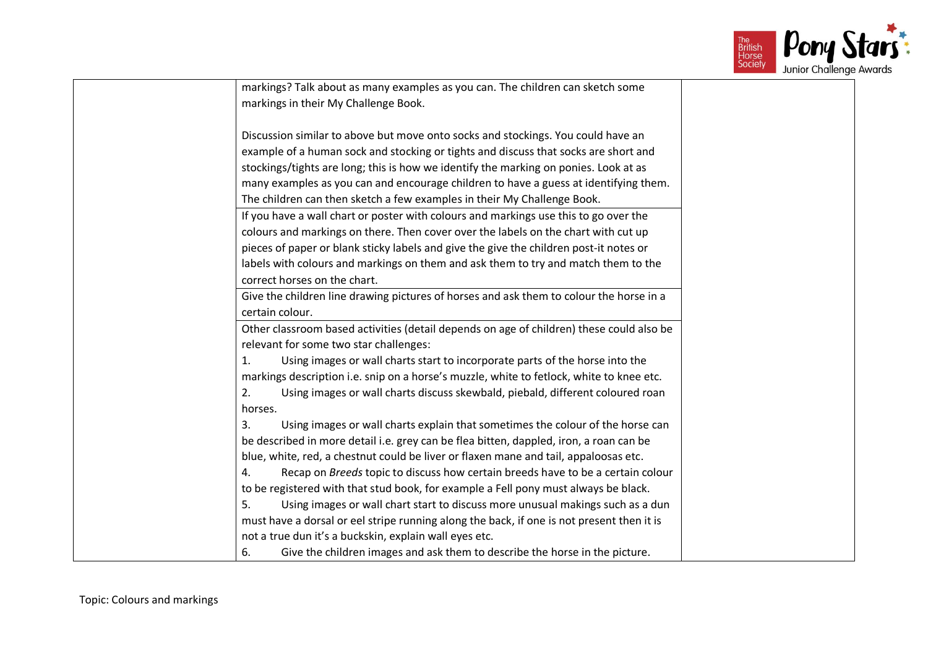

| markings? Talk about as many examples as you can. The children can sketch some            |  |
|-------------------------------------------------------------------------------------------|--|
| markings in their My Challenge Book.                                                      |  |
|                                                                                           |  |
| Discussion similar to above but move onto socks and stockings. You could have an          |  |
| example of a human sock and stocking or tights and discuss that socks are short and       |  |
| stockings/tights are long; this is how we identify the marking on ponies. Look at as      |  |
| many examples as you can and encourage children to have a guess at identifying them.      |  |
| The children can then sketch a few examples in their My Challenge Book.                   |  |
| If you have a wall chart or poster with colours and markings use this to go over the      |  |
| colours and markings on there. Then cover over the labels on the chart with cut up        |  |
| pieces of paper or blank sticky labels and give the give the children post-it notes or    |  |
| labels with colours and markings on them and ask them to try and match them to the        |  |
| correct horses on the chart.                                                              |  |
| Give the children line drawing pictures of horses and ask them to colour the horse in a   |  |
| certain colour.                                                                           |  |
| Other classroom based activities (detail depends on age of children) these could also be  |  |
| relevant for some two star challenges:                                                    |  |
| Using images or wall charts start to incorporate parts of the horse into the<br>1.        |  |
| markings description i.e. snip on a horse's muzzle, white to fetlock, white to knee etc.  |  |
| Using images or wall charts discuss skewbald, piebald, different coloured roan<br>2.      |  |
| horses.                                                                                   |  |
| Using images or wall charts explain that sometimes the colour of the horse can<br>3.      |  |
| be described in more detail i.e. grey can be flea bitten, dappled, iron, a roan can be    |  |
| blue, white, red, a chestnut could be liver or flaxen mane and tail, appaloosas etc.      |  |
| Recap on Breeds topic to discuss how certain breeds have to be a certain colour<br>4.     |  |
| to be registered with that stud book, for example a Fell pony must always be black.       |  |
| 5.<br>Using images or wall chart start to discuss more unusual makings such as a dun      |  |
| must have a dorsal or eel stripe running along the back, if one is not present then it is |  |
| not a true dun it's a buckskin, explain wall eyes etc.                                    |  |
| Give the children images and ask them to describe the horse in the picture.<br>6.         |  |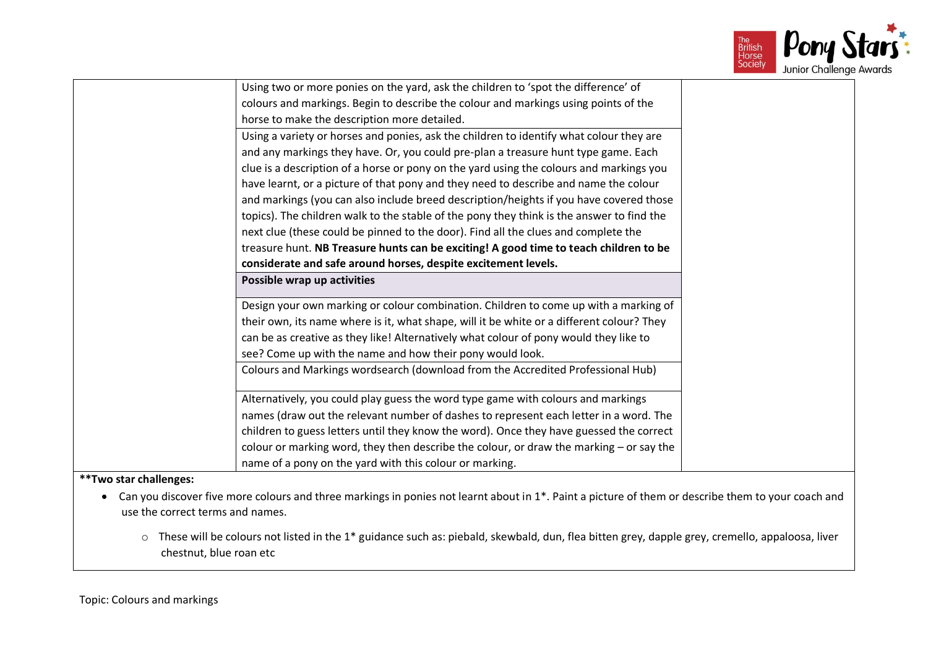

|                                  | Using two or more ponies on the yard, ask the children to 'spot the difference' of                                                                 |
|----------------------------------|----------------------------------------------------------------------------------------------------------------------------------------------------|
|                                  | colours and markings. Begin to describe the colour and markings using points of the                                                                |
|                                  | horse to make the description more detailed.                                                                                                       |
|                                  | Using a variety or horses and ponies, ask the children to identify what colour they are                                                            |
|                                  | and any markings they have. Or, you could pre-plan a treasure hunt type game. Each                                                                 |
|                                  | clue is a description of a horse or pony on the yard using the colours and markings you                                                            |
|                                  | have learnt, or a picture of that pony and they need to describe and name the colour                                                               |
|                                  | and markings (you can also include breed description/heights if you have covered those                                                             |
|                                  | topics). The children walk to the stable of the pony they think is the answer to find the                                                          |
|                                  | next clue (these could be pinned to the door). Find all the clues and complete the                                                                 |
|                                  | treasure hunt. NB Treasure hunts can be exciting! A good time to teach children to be                                                              |
|                                  | considerate and safe around horses, despite excitement levels.                                                                                     |
|                                  | Possible wrap up activities                                                                                                                        |
|                                  | Design your own marking or colour combination. Children to come up with a marking of                                                               |
|                                  | their own, its name where is it, what shape, will it be white or a different colour? They                                                          |
|                                  | can be as creative as they like! Alternatively what colour of pony would they like to                                                              |
|                                  | see? Come up with the name and how their pony would look.                                                                                          |
|                                  | Colours and Markings wordsearch (download from the Accredited Professional Hub)                                                                    |
|                                  | Alternatively, you could play guess the word type game with colours and markings                                                                   |
|                                  | names (draw out the relevant number of dashes to represent each letter in a word. The                                                              |
|                                  | children to guess letters until they know the word). Once they have guessed the correct                                                            |
|                                  | colour or marking word, they then describe the colour, or draw the marking - or say the                                                            |
|                                  | name of a pony on the yard with this colour or marking.                                                                                            |
| **Two star challenges:           |                                                                                                                                                    |
|                                  | Can you discover five more colours and three markings in ponies not learnt about in 1*. Paint a picture of them or describe them to your coach and |
| use the correct terms and names. |                                                                                                                                                    |

o These will be colours not listed in the 1\* guidance such as: piebald, skewbald, dun, flea bitten grey, dapple grey, cremello, appaloosa, liver chestnut, blue roan etc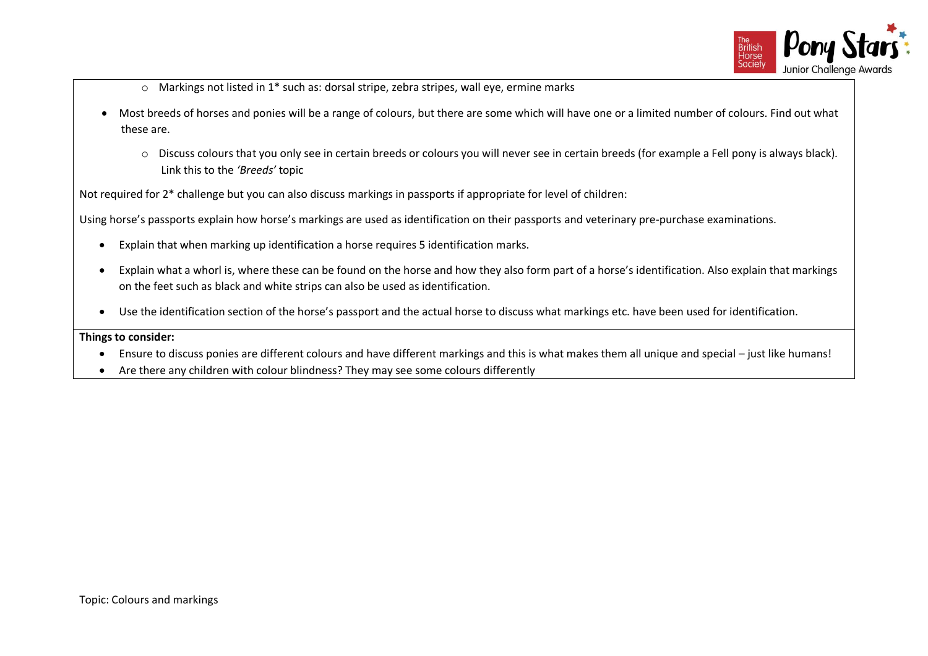

- $\circ$  Markings not listed in 1<sup>\*</sup> such as: dorsal stripe, zebra stripes, wall eye, ermine marks
- Most breeds of horses and ponies will be a range of colours, but there are some which will have one or a limited number of colours. Find out what these are.
	- o Discuss colours that you only see in certain breeds or colours you will never see in certain breeds (for example a Fell pony is always black). Link this to the *'Breeds'* topic

Not required for 2\* challenge but you can also discuss markings in passports if appropriate for level of children:

Using horse's passports explain how horse's markings are used as identification on their passports and veterinary pre-purchase examinations.

- Explain that when marking up identification a horse requires 5 identification marks.
- Explain what a whorl is, where these can be found on the horse and how they also form part of a horse's identification. Also explain that markings on the feet such as black and white strips can also be used as identification.
- Use the identification section of the horse's passport and the actual horse to discuss what markings etc. have been used for identification.

### **Things to consider:**

- Ensure to discuss ponies are different colours and have different markings and this is what makes them all unique and special just like humans!
- Are there any children with colour blindness? They may see some colours differently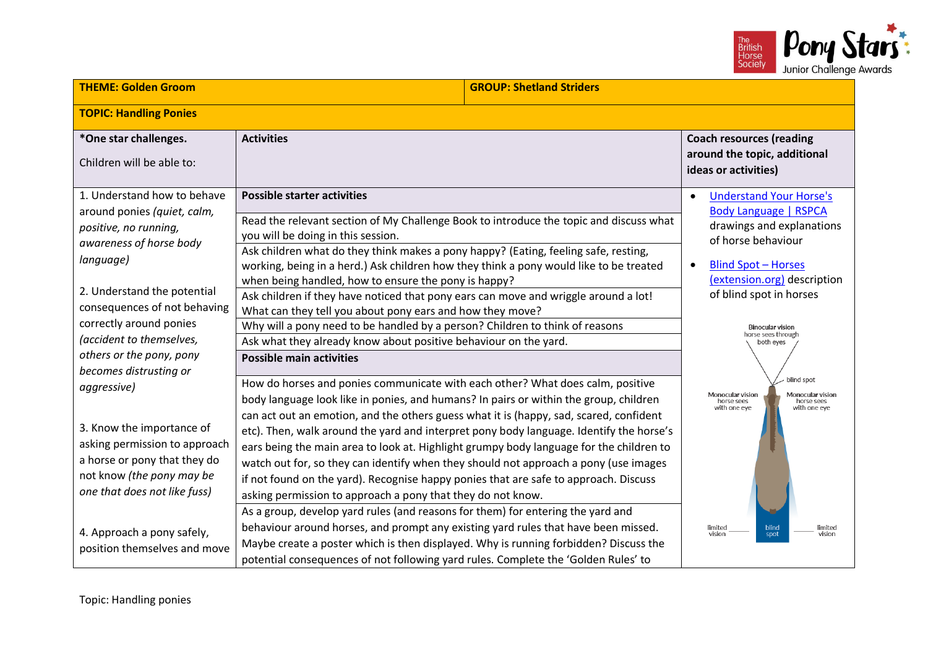

| <b>THEME: Golden Groom</b>                                                                                                                                                                                                                                                                                                                                                                                                                        | <b>GROUP: Shetland Striders</b>                                                                                                                                                                                                                                                                                                                                                                                                                                                                                                                                                                                                                                                                                                                                                                                                                                                                                                                                                                                                                                                                                                                                                                                                                                                                                                                                                                   |                                                                                                                                                                                                                                                                                                                                                                                    |  |
|---------------------------------------------------------------------------------------------------------------------------------------------------------------------------------------------------------------------------------------------------------------------------------------------------------------------------------------------------------------------------------------------------------------------------------------------------|---------------------------------------------------------------------------------------------------------------------------------------------------------------------------------------------------------------------------------------------------------------------------------------------------------------------------------------------------------------------------------------------------------------------------------------------------------------------------------------------------------------------------------------------------------------------------------------------------------------------------------------------------------------------------------------------------------------------------------------------------------------------------------------------------------------------------------------------------------------------------------------------------------------------------------------------------------------------------------------------------------------------------------------------------------------------------------------------------------------------------------------------------------------------------------------------------------------------------------------------------------------------------------------------------------------------------------------------------------------------------------------------------|------------------------------------------------------------------------------------------------------------------------------------------------------------------------------------------------------------------------------------------------------------------------------------------------------------------------------------------------------------------------------------|--|
| <b>TOPIC: Handling Ponies</b>                                                                                                                                                                                                                                                                                                                                                                                                                     |                                                                                                                                                                                                                                                                                                                                                                                                                                                                                                                                                                                                                                                                                                                                                                                                                                                                                                                                                                                                                                                                                                                                                                                                                                                                                                                                                                                                   |                                                                                                                                                                                                                                                                                                                                                                                    |  |
| *One star challenges.<br>Children will be able to:                                                                                                                                                                                                                                                                                                                                                                                                | <b>Activities</b>                                                                                                                                                                                                                                                                                                                                                                                                                                                                                                                                                                                                                                                                                                                                                                                                                                                                                                                                                                                                                                                                                                                                                                                                                                                                                                                                                                                 | <b>Coach resources (reading</b><br>around the topic, additional<br>ideas or activities)                                                                                                                                                                                                                                                                                            |  |
| 1. Understand how to behave<br>around ponies (quiet, calm,<br>positive, no running,<br>awareness of horse body<br>language)<br>2. Understand the potential<br>consequences of not behaving<br>correctly around ponies<br>(accident to themselves,<br>others or the pony, pony<br>becomes distrusting or<br>aggressive)<br>3. Know the importance of<br>asking permission to approach<br>a horse or pony that they do<br>not know (the pony may be | <b>Possible starter activities</b><br>Read the relevant section of My Challenge Book to introduce the topic and discuss what<br>you will be doing in this session.<br>Ask children what do they think makes a pony happy? (Eating, feeling safe, resting,<br>working, being in a herd.) Ask children how they think a pony would like to be treated<br>when being handled, how to ensure the pony is happy?<br>Ask children if they have noticed that pony ears can move and wriggle around a lot!<br>What can they tell you about pony ears and how they move?<br>Why will a pony need to be handled by a person? Children to think of reasons<br>Ask what they already know about positive behaviour on the yard.<br><b>Possible main activities</b><br>How do horses and ponies communicate with each other? What does calm, positive<br>body language look like in ponies, and humans? In pairs or within the group, children<br>can act out an emotion, and the others guess what it is (happy, sad, scared, confident<br>etc). Then, walk around the yard and interpret pony body language. Identify the horse's<br>ears being the main area to look at. Highlight grumpy body language for the children to<br>watch out for, so they can identify when they should not approach a pony (use images<br>if not found on the yard). Recognise happy ponies that are safe to approach. Discuss | <b>Understand Your Horse's</b><br>Body Language   RSPCA<br>drawings and explanations<br>of horse behaviour<br><b>Blind Spot - Horses</b><br>(extension.org) description<br>of blind spot in horses<br><b>Binocular vision</b><br>horse sees through<br>both eyes<br>blind spot<br>Monocular vision<br>Monocular vision<br>horse sees<br>horse sees<br>with one eye<br>with one eye |  |
| one that does not like fuss)<br>4. Approach a pony safely,<br>position themselves and move                                                                                                                                                                                                                                                                                                                                                        | asking permission to approach a pony that they do not know.<br>As a group, develop yard rules (and reasons for them) for entering the yard and<br>behaviour around horses, and prompt any existing yard rules that have been missed.<br>Maybe create a poster which is then displayed. Why is running forbidden? Discuss the<br>potential consequences of not following yard rules. Complete the 'Golden Rules' to                                                                                                                                                                                                                                                                                                                                                                                                                                                                                                                                                                                                                                                                                                                                                                                                                                                                                                                                                                                | limited<br>vision<br>blind<br>limited<br>vision<br>spot                                                                                                                                                                                                                                                                                                                            |  |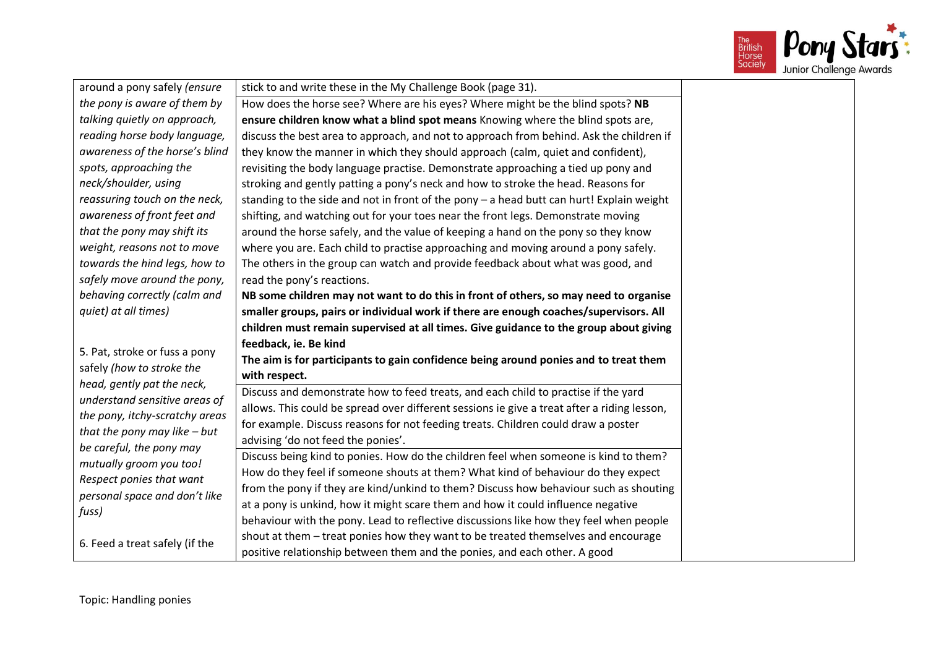

| around a pony safely (ensure           | stick to and write these in the My Challenge Book (page 31).                                                                                                   |
|----------------------------------------|----------------------------------------------------------------------------------------------------------------------------------------------------------------|
| the pony is aware of them by           | How does the horse see? Where are his eyes? Where might be the blind spots? NB                                                                                 |
| talking quietly on approach,           | ensure children know what a blind spot means Knowing where the blind spots are,                                                                                |
| reading horse body language,           | discuss the best area to approach, and not to approach from behind. Ask the children if                                                                        |
| awareness of the horse's blind         | they know the manner in which they should approach (calm, quiet and confident),                                                                                |
| spots, approaching the                 | revisiting the body language practise. Demonstrate approaching a tied up pony and                                                                              |
| neck/shoulder, using                   | stroking and gently patting a pony's neck and how to stroke the head. Reasons for                                                                              |
| reassuring touch on the neck,          | standing to the side and not in front of the pony - a head butt can hurt! Explain weight                                                                       |
| awareness of front feet and            | shifting, and watching out for your toes near the front legs. Demonstrate moving                                                                               |
| that the pony may shift its            | around the horse safely, and the value of keeping a hand on the pony so they know                                                                              |
| weight, reasons not to move            | where you are. Each child to practise approaching and moving around a pony safely.                                                                             |
| towards the hind legs, how to          | The others in the group can watch and provide feedback about what was good, and                                                                                |
| safely move around the pony,           | read the pony's reactions.                                                                                                                                     |
| behaving correctly (calm and           | NB some children may not want to do this in front of others, so may need to organise                                                                           |
| quiet) at all times)                   | smaller groups, pairs or individual work if there are enough coaches/supervisors. All                                                                          |
|                                        |                                                                                                                                                                |
|                                        | children must remain supervised at all times. Give guidance to the group about giving                                                                          |
|                                        | feedback, ie. Be kind                                                                                                                                          |
| 5. Pat, stroke or fuss a pony          | The aim is for participants to gain confidence being around ponies and to treat them                                                                           |
| safely (how to stroke the              | with respect.                                                                                                                                                  |
| head, gently pat the neck,             | Discuss and demonstrate how to feed treats, and each child to practise if the yard                                                                             |
| understand sensitive areas of          | allows. This could be spread over different sessions ie give a treat after a riding lesson,                                                                    |
| the pony, itchy-scratchy areas         | for example. Discuss reasons for not feeding treats. Children could draw a poster                                                                              |
| that the pony may like $-but$          | advising 'do not feed the ponies'.                                                                                                                             |
| be careful, the pony may               | Discuss being kind to ponies. How do the children feel when someone is kind to them?                                                                           |
| mutually groom you too!                | How do they feel if someone shouts at them? What kind of behaviour do they expect                                                                              |
| Respect ponies that want               | from the pony if they are kind/unkind to them? Discuss how behaviour such as shouting                                                                          |
| personal space and don't like<br>fuss) | at a pony is unkind, how it might scare them and how it could influence negative                                                                               |
|                                        | behaviour with the pony. Lead to reflective discussions like how they feel when people                                                                         |
| 6. Feed a treat safely (if the         | shout at them - treat ponies how they want to be treated themselves and encourage<br>positive relationship between them and the ponies, and each other. A good |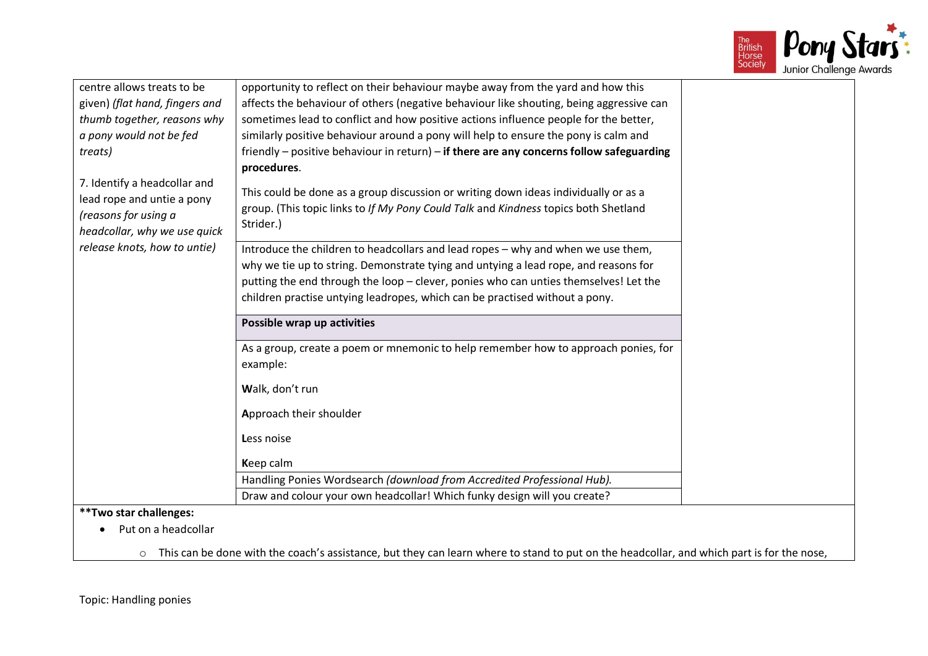

| centre allows treats to be                           | opportunity to reflect on their behaviour maybe away from the yard and how this                         |  |
|------------------------------------------------------|---------------------------------------------------------------------------------------------------------|--|
| given) (flat hand, fingers and                       | affects the behaviour of others (negative behaviour like shouting, being aggressive can                 |  |
| thumb together, reasons why                          | sometimes lead to conflict and how positive actions influence people for the better,                    |  |
| a pony would not be fed                              | similarly positive behaviour around a pony will help to ensure the pony is calm and                     |  |
| treats)                                              | friendly – positive behaviour in return) – if there are any concerns follow safeguarding<br>procedures. |  |
| 7. Identify a headcollar and                         |                                                                                                         |  |
| lead rope and untie a pony                           | This could be done as a group discussion or writing down ideas individually or as a                     |  |
| (reasons for using a<br>headcollar, why we use quick | group. (This topic links to If My Pony Could Talk and Kindness topics both Shetland<br>Strider.)        |  |
| release knots, how to untie)                         | Introduce the children to headcollars and lead ropes - why and when we use them,                        |  |
|                                                      | why we tie up to string. Demonstrate tying and untying a lead rope, and reasons for                     |  |
|                                                      | putting the end through the loop - clever, ponies who can unties themselves! Let the                    |  |
|                                                      | children practise untying leadropes, which can be practised without a pony.                             |  |
|                                                      | Possible wrap up activities                                                                             |  |
|                                                      | As a group, create a poem or mnemonic to help remember how to approach ponies, for                      |  |
|                                                      | example:                                                                                                |  |
|                                                      | Walk, don't run                                                                                         |  |
|                                                      | Approach their shoulder                                                                                 |  |
|                                                      | Less noise                                                                                              |  |
|                                                      | Keep calm                                                                                               |  |
|                                                      | Handling Ponies Wordsearch (download from Accredited Professional Hub).                                 |  |
|                                                      | Draw and colour your own headcollar! Which funky design will you create?                                |  |
| **Two star challenges:                               |                                                                                                         |  |
| Put on a headcollar                                  |                                                                                                         |  |
|                                                      |                                                                                                         |  |

 $\circ$  This can be done with the coach's assistance, but they can learn where to stand to put on the headcollar, and which part is for the nose,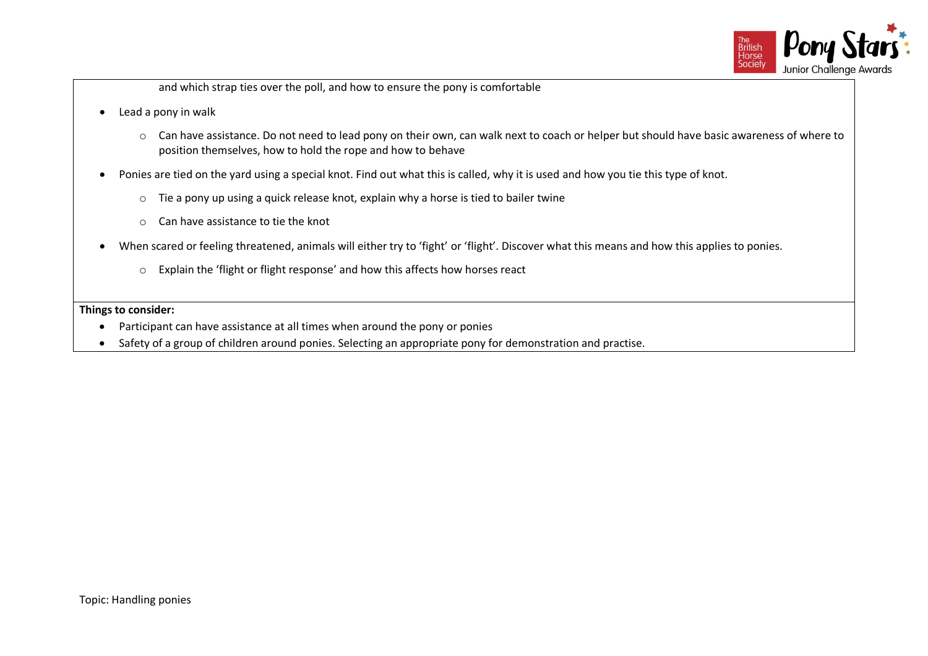

and which strap ties over the poll, and how to ensure the pony is comfortable

- Lead a pony in walk
	- o Can have assistance. Do not need to lead pony on their own, can walk next to coach or helper but should have basic awareness of where to position themselves, how to hold the rope and how to behave
- Ponies are tied on the yard using a special knot. Find out what this is called, why it is used and how you tie this type of knot.
	- o Tie a pony up using a quick release knot, explain why a horse is tied to bailer twine
	- o Can have assistance to tie the knot
- When scared or feeling threatened, animals will either try to 'fight' or 'flight'. Discover what this means and how this applies to ponies.
	- o Explain the 'flight or flight response' and how this affects how horses react

### **Things to consider:**

- Participant can have assistance at all times when around the pony or ponies
- Safety of a group of children around ponies. Selecting an appropriate pony for demonstration and practise.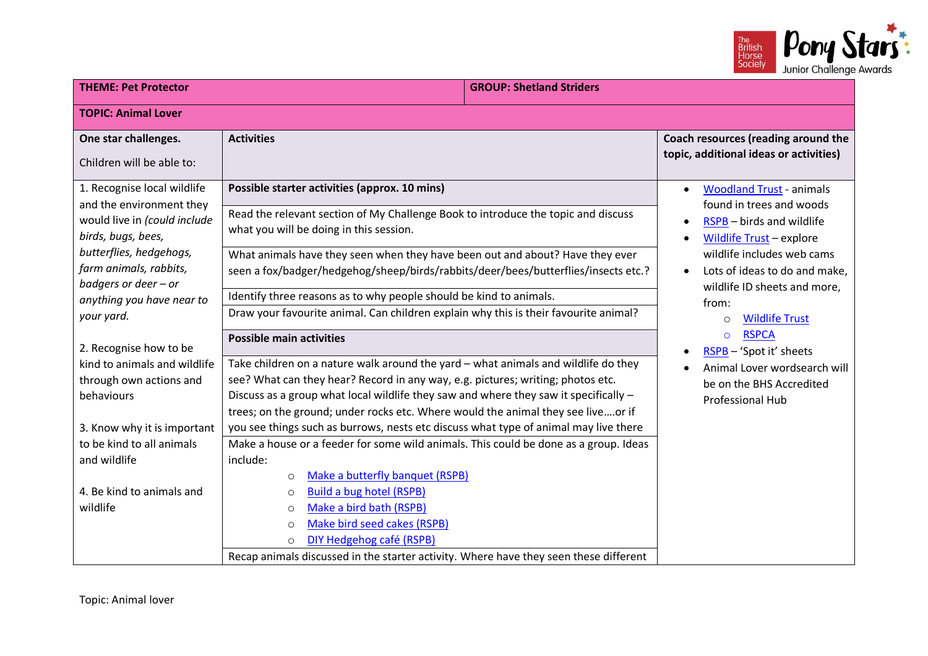

| <b>THEME: Pet Protector</b>                                                                                                                                                                                                           |                                                                                                                                                                                                                                                                                                                                                                                                                                                                                                                    | <b>GROUP: Shetland Striders</b> |                                                                                                                                                                                                                                                                                                                                                                                                                                               |
|---------------------------------------------------------------------------------------------------------------------------------------------------------------------------------------------------------------------------------------|--------------------------------------------------------------------------------------------------------------------------------------------------------------------------------------------------------------------------------------------------------------------------------------------------------------------------------------------------------------------------------------------------------------------------------------------------------------------------------------------------------------------|---------------------------------|-----------------------------------------------------------------------------------------------------------------------------------------------------------------------------------------------------------------------------------------------------------------------------------------------------------------------------------------------------------------------------------------------------------------------------------------------|
| <b>TOPIC: Animal Lover</b>                                                                                                                                                                                                            |                                                                                                                                                                                                                                                                                                                                                                                                                                                                                                                    |                                 |                                                                                                                                                                                                                                                                                                                                                                                                                                               |
| One star challenges.<br>Children will be able to:                                                                                                                                                                                     | <b>Activities</b>                                                                                                                                                                                                                                                                                                                                                                                                                                                                                                  |                                 | Coach resources (reading around the<br>topic, additional ideas or activities)                                                                                                                                                                                                                                                                                                                                                                 |
| 1. Recognise local wildlife<br>and the environment they<br>would live in (could include<br>birds, bugs, bees,<br>butterflies, hedgehogs,<br>farm animals, rabbits,<br>badgers or deer - or<br>anything you have near to<br>your yard. | Possible starter activities (approx. 10 mins)<br>Read the relevant section of My Challenge Book to introduce the topic and discuss<br>what you will be doing in this session.<br>What animals have they seen when they have been out and about? Have they ever<br>seen a fox/badger/hedgehog/sheep/birds/rabbits/deer/bees/butterflies/insects etc.?<br>Identify three reasons as to why people should be kind to animals.<br>Draw your favourite animal. Can children explain why this is their favourite animal? |                                 | <b>Woodland Trust - animals</b><br>found in trees and woods<br>RSPB - birds and wildlife<br>$\bullet$<br>Wildlife Trust - explore<br>٠<br>wildlife includes web cams<br>Lots of ideas to do and make,<br>$\bullet$<br>wildlife ID sheets and more,<br>from:<br><b>Wildlife Trust</b><br>$\circ$<br><b>RSPCA</b><br>$\Omega$<br>RSPB - 'Spot it' sheets<br>Animal Lover wordsearch will<br>be on the BHS Accredited<br><b>Professional Hub</b> |
| 2. Recognise how to be<br>kind to animals and wildlife<br>through own actions and<br>behaviours                                                                                                                                       | <b>Possible main activities</b><br>Take children on a nature walk around the yard - what animals and wildlife do they<br>see? What can they hear? Record in any way, e.g. pictures; writing; photos etc.<br>Discuss as a group what local wildlife they saw and where they saw it specifically -<br>trees; on the ground; under rocks etc. Where would the animal they see liveor if                                                                                                                               |                                 |                                                                                                                                                                                                                                                                                                                                                                                                                                               |
| 3. Know why it is important<br>to be kind to all animals<br>and wildlife<br>4. Be kind to animals and<br>wildlife                                                                                                                     | you see things such as burrows, nests etc discuss what type of animal may live there<br>Make a house or a feeder for some wild animals. This could be done as a group. Ideas<br>include:<br>Make a butterfly banquet (RSPB)<br>$\circ$<br><b>Build a bug hotel (RSPB)</b><br>$\circ$<br>Make a bird bath (RSPB)<br>$\circ$<br>Make bird seed cakes (RSPB)<br>$\circ$<br>DIY Hedgehog café (RSPB)<br>$\Omega$<br>Recap animals discussed in the starter activity. Where have they seen these different              |                                 |                                                                                                                                                                                                                                                                                                                                                                                                                                               |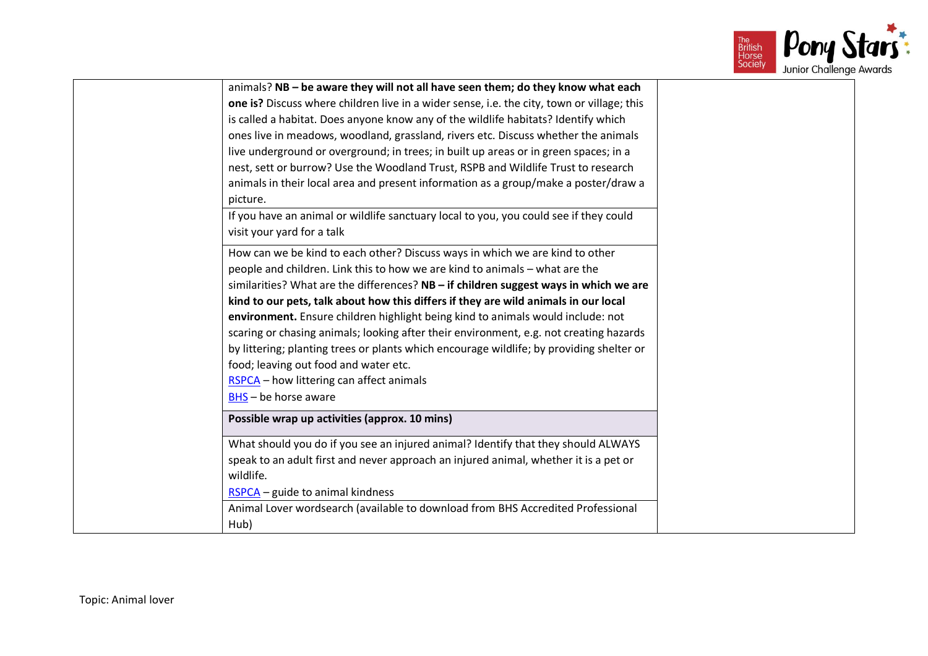

| animals? NB - be aware they will not all have seen them; do they know what each            |  |
|--------------------------------------------------------------------------------------------|--|
| one is? Discuss where children live in a wider sense, i.e. the city, town or village; this |  |
| is called a habitat. Does anyone know any of the wildlife habitats? Identify which         |  |
| ones live in meadows, woodland, grassland, rivers etc. Discuss whether the animals         |  |
| live underground or overground; in trees; in built up areas or in green spaces; in a       |  |
| nest, sett or burrow? Use the Woodland Trust, RSPB and Wildlife Trust to research          |  |
| animals in their local area and present information as a group/make a poster/draw a        |  |
| picture.                                                                                   |  |
| If you have an animal or wildlife sanctuary local to you, you could see if they could      |  |
| visit your yard for a talk                                                                 |  |
| How can we be kind to each other? Discuss ways in which we are kind to other               |  |
| people and children. Link this to how we are kind to animals - what are the                |  |
| similarities? What are the differences? NB - if children suggest ways in which we are      |  |
| kind to our pets, talk about how this differs if they are wild animals in our local        |  |
| environment. Ensure children highlight being kind to animals would include: not            |  |
| scaring or chasing animals; looking after their environment, e.g. not creating hazards     |  |
| by littering; planting trees or plants which encourage wildlife; by providing shelter or   |  |
| food; leaving out food and water etc.                                                      |  |
| RSPCA - how littering can affect animals                                                   |  |
| BHS - be horse aware                                                                       |  |
| Possible wrap up activities (approx. 10 mins)                                              |  |
| What should you do if you see an injured animal? Identify that they should ALWAYS          |  |
| speak to an adult first and never approach an injured animal, whether it is a pet or       |  |
| wildlife.                                                                                  |  |
| RSPCA - guide to animal kindness                                                           |  |
| Animal Lover wordsearch (available to download from BHS Accredited Professional            |  |
| Hub)                                                                                       |  |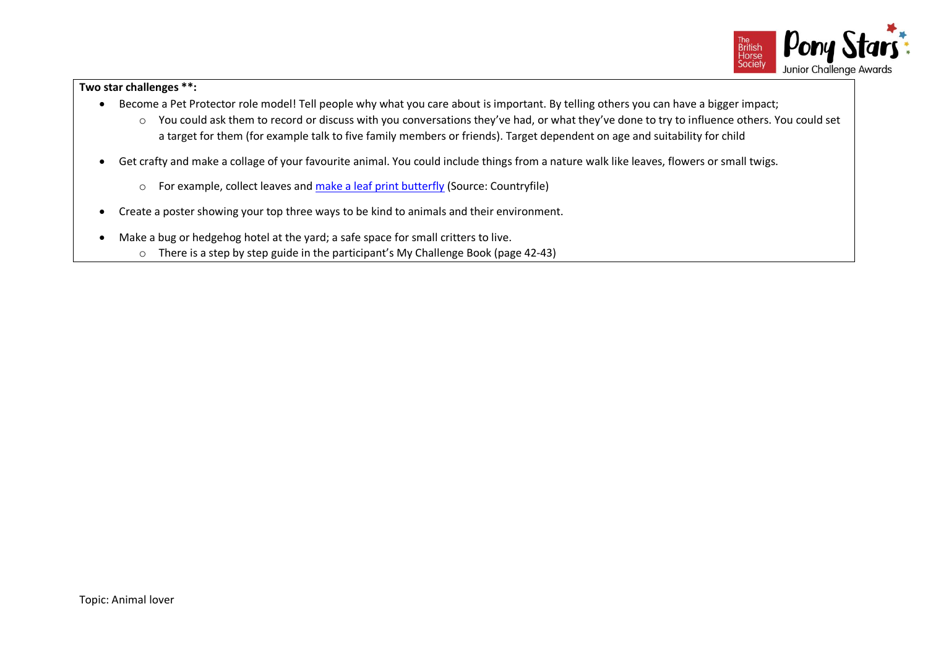

# **Two star challenges \*\*:**

- Become a Pet Protector role model! Tell people why what you care about is important. By telling others you can have a bigger impact;
	- o You could ask them to record or discuss with you conversations they've had, or what they've done to try to influence others. You could set a target for them (for example talk to five family members or friends). Target dependent on age and suitability for child
- Get crafty and make a collage of your favourite animal. You could include things from a nature walk like leaves, flowers or small twigs.
	- o For example, collect leaves and [make a leaf print butterfly](https://www.countryfile.com/how-to/crafts/how-to-make-a-leaf-print-butterfly/) (Source: Countryfile)
- Create a poster showing your top three ways to be kind to animals and their environment.
- Make a bug or hedgehog hotel at the yard; a safe space for small critters to live.
	- $\circ$  There is a step by step guide in the participant's My Challenge Book (page 42-43)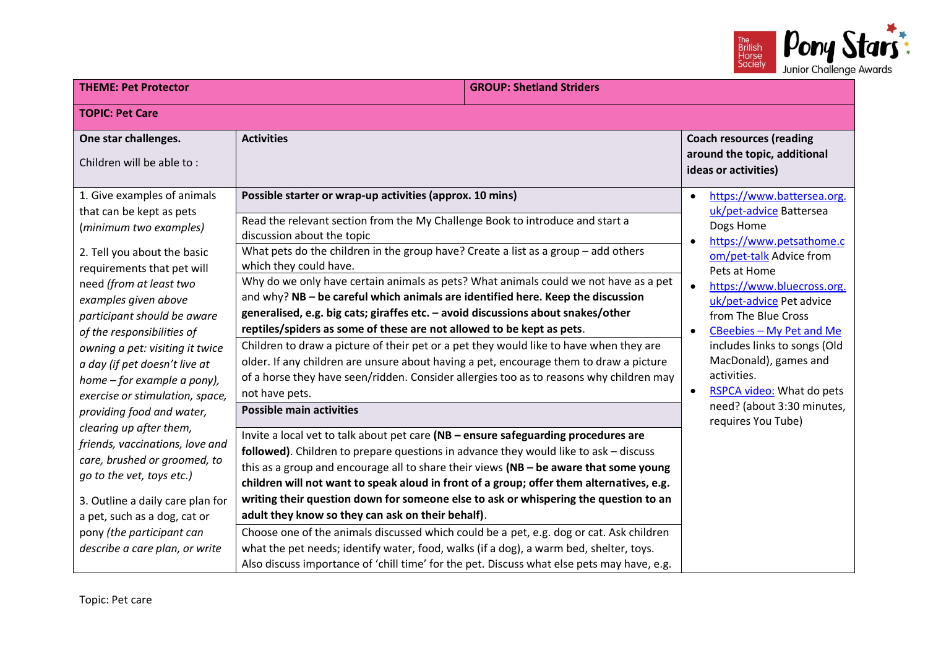

| <b>THEME: Pet Protector</b>                                                                                                                                                                                                                                                                                                        | <b>GROUP: Shetland Striders</b>                                                                                                                                                                                                                                                                                                                                                                                                                                                                                                                                                                                                                                                                                                                                                                                                                      |                                                                                                                                                                                                                                                                                                                                         |
|------------------------------------------------------------------------------------------------------------------------------------------------------------------------------------------------------------------------------------------------------------------------------------------------------------------------------------|------------------------------------------------------------------------------------------------------------------------------------------------------------------------------------------------------------------------------------------------------------------------------------------------------------------------------------------------------------------------------------------------------------------------------------------------------------------------------------------------------------------------------------------------------------------------------------------------------------------------------------------------------------------------------------------------------------------------------------------------------------------------------------------------------------------------------------------------------|-----------------------------------------------------------------------------------------------------------------------------------------------------------------------------------------------------------------------------------------------------------------------------------------------------------------------------------------|
| <b>TOPIC: Pet Care</b>                                                                                                                                                                                                                                                                                                             |                                                                                                                                                                                                                                                                                                                                                                                                                                                                                                                                                                                                                                                                                                                                                                                                                                                      |                                                                                                                                                                                                                                                                                                                                         |
| One star challenges.<br>Children will be able to:<br>1. Give examples of animals                                                                                                                                                                                                                                                   | <b>Activities</b><br>Possible starter or wrap-up activities (approx. 10 mins)                                                                                                                                                                                                                                                                                                                                                                                                                                                                                                                                                                                                                                                                                                                                                                        | <b>Coach resources (reading</b><br>around the topic, additional<br>ideas or activities)<br>https://www.battersea.org.<br>$\bullet$                                                                                                                                                                                                      |
| that can be kept as pets<br>(minimum two examples)<br>2. Tell you about the basic<br>requirements that pet will<br>need (from at least two<br>examples given above<br>participant should be aware<br>of the responsibilities of<br>owning a pet: visiting it twice<br>a day (if pet doesn't live at<br>home - for example a pony), | Read the relevant section from the My Challenge Book to introduce and start a<br>discussion about the topic<br>What pets do the children in the group have? Create a list as a group - add others<br>which they could have.<br>Why do we only have certain animals as pets? What animals could we not have as a pet<br>and why? NB - be careful which animals are identified here. Keep the discussion<br>generalised, e.g. big cats; giraffes etc. - avoid discussions about snakes/other<br>reptiles/spiders as some of these are not allowed to be kept as pets.<br>Children to draw a picture of their pet or a pet they would like to have when they are<br>older. If any children are unsure about having a pet, encourage them to draw a picture<br>of a horse they have seen/ridden. Consider allergies too as to reasons why children may   | uk/pet-advice Battersea<br>Dogs Home<br>https://www.petsathome.c<br>$\bullet$<br>om/pet-talk Advice from<br>Pets at Home<br>https://www.bluecross.org.<br>$\bullet$<br>uk/pet-advice Pet advice<br>from The Blue Cross<br>CBeebies - My Pet and Me<br>$\bullet$<br>includes links to songs (Old<br>MacDonald), games and<br>activities. |
| exercise or stimulation, space,<br>providing food and water,<br>clearing up after them,<br>friends, vaccinations, love and<br>care, brushed or groomed, to<br>go to the vet, toys etc.)<br>3. Outline a daily care plan for<br>a pet, such as a dog, cat or<br>pony (the participant can<br>describe a care plan, or write         | not have pets.<br><b>Possible main activities</b><br>Invite a local vet to talk about pet care (NB - ensure safeguarding procedures are<br>followed). Children to prepare questions in advance they would like to ask - discuss<br>this as a group and encourage all to share their views (NB - be aware that some young<br>children will not want to speak aloud in front of a group; offer them alternatives, e.g.<br>writing their question down for someone else to ask or whispering the question to an<br>adult they know so they can ask on their behalf).<br>Choose one of the animals discussed which could be a pet, e.g. dog or cat. Ask children<br>what the pet needs; identify water, food, walks (if a dog), a warm bed, shelter, toys.<br>Also discuss importance of 'chill time' for the pet. Discuss what else pets may have, e.g. | RSPCA video: What do pets<br>$\bullet$<br>need? (about 3:30 minutes,<br>requires You Tube)                                                                                                                                                                                                                                              |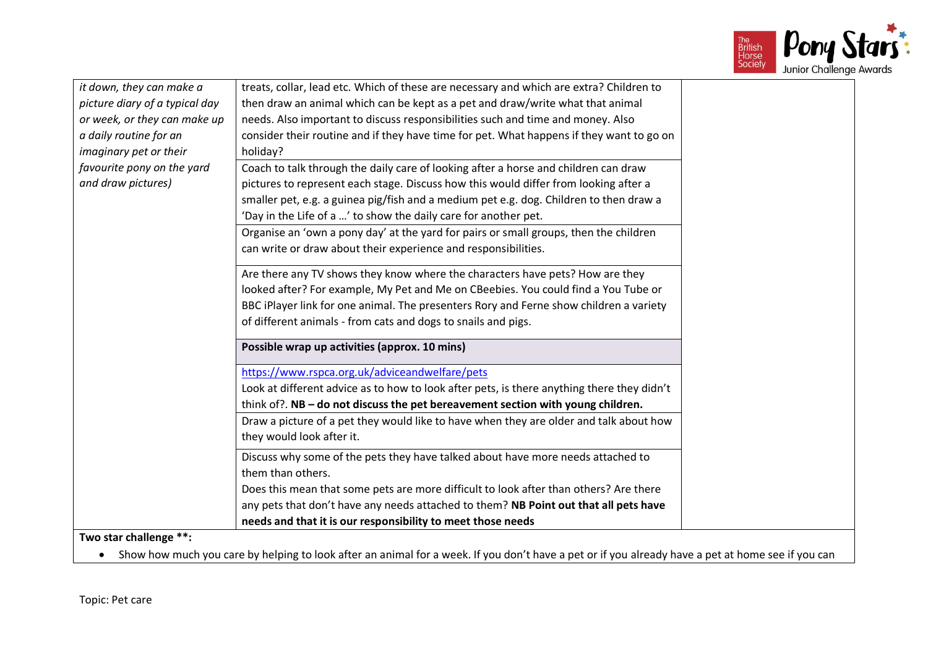

| it down, they can make a       | treats, collar, lead etc. Which of these are necessary and which are extra? Children to                                                           |
|--------------------------------|---------------------------------------------------------------------------------------------------------------------------------------------------|
| picture diary of a typical day | then draw an animal which can be kept as a pet and draw/write what that animal                                                                    |
| or week, or they can make up   | needs. Also important to discuss responsibilities such and time and money. Also                                                                   |
| a daily routine for an         | consider their routine and if they have time for pet. What happens if they want to go on                                                          |
|                                |                                                                                                                                                   |
| imaginary pet or their         | holiday?                                                                                                                                          |
| favourite pony on the yard     | Coach to talk through the daily care of looking after a horse and children can draw                                                               |
| and draw pictures)             | pictures to represent each stage. Discuss how this would differ from looking after a                                                              |
|                                | smaller pet, e.g. a guinea pig/fish and a medium pet e.g. dog. Children to then draw a                                                            |
|                                | 'Day in the Life of a ' to show the daily care for another pet.                                                                                   |
|                                | Organise an 'own a pony day' at the yard for pairs or small groups, then the children                                                             |
|                                | can write or draw about their experience and responsibilities.                                                                                    |
|                                | Are there any TV shows they know where the characters have pets? How are they                                                                     |
|                                | looked after? For example, My Pet and Me on CBeebies. You could find a You Tube or                                                                |
|                                | BBC iPlayer link for one animal. The presenters Rory and Ferne show children a variety                                                            |
|                                | of different animals - from cats and dogs to snails and pigs.                                                                                     |
|                                | Possible wrap up activities (approx. 10 mins)                                                                                                     |
|                                | https://www.rspca.org.uk/adviceandwelfare/pets                                                                                                    |
|                                | Look at different advice as to how to look after pets, is there anything there they didn't                                                        |
|                                | think of?. NB - do not discuss the pet bereavement section with young children.                                                                   |
|                                | Draw a picture of a pet they would like to have when they are older and talk about how                                                            |
|                                | they would look after it.                                                                                                                         |
|                                | Discuss why some of the pets they have talked about have more needs attached to                                                                   |
|                                | them than others.                                                                                                                                 |
|                                | Does this mean that some pets are more difficult to look after than others? Are there                                                             |
|                                | any pets that don't have any needs attached to them? NB Point out that all pets have                                                              |
|                                | needs and that it is our responsibility to meet those needs                                                                                       |
| Two star challenge **:         |                                                                                                                                                   |
|                                | Show how much you care by helping to look after an animal for a week. If you don't have a pet or if you already have a pet at home see if you can |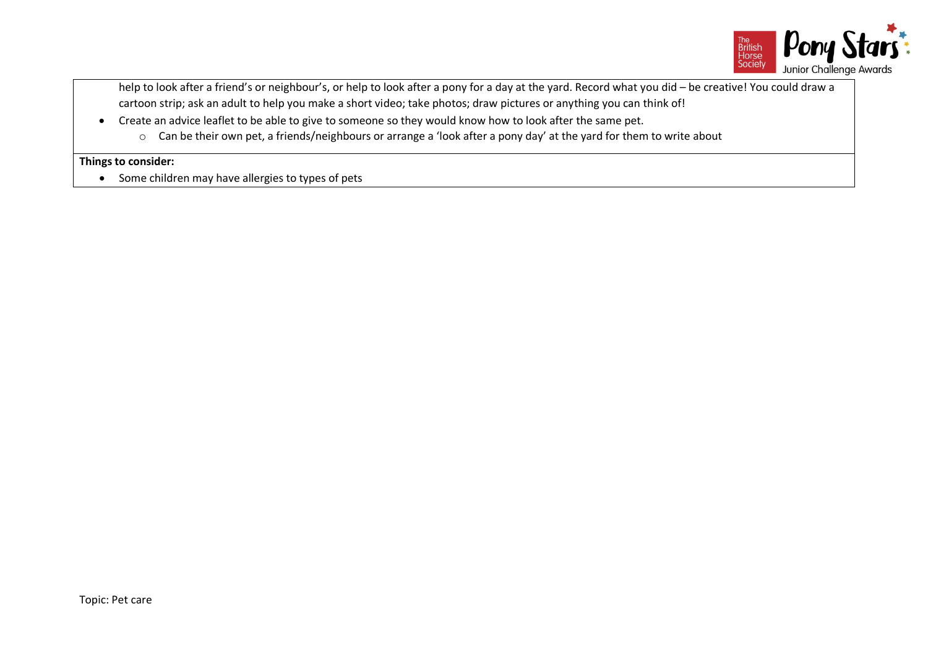

help to look after a friend's or neighbour's, or help to look after a pony for a day at the yard. Record what you did – be creative! You could draw a cartoon strip; ask an adult to help you make a short video; take photos; draw pictures or anything you can think of!

- Create an advice leaflet to be able to give to someone so they would know how to look after the same pet.
	- o Can be their own pet, a friends/neighbours or arrange a 'look after a pony day' at the yard for them to write about

### **Things to consider:**

• Some children may have allergies to types of pets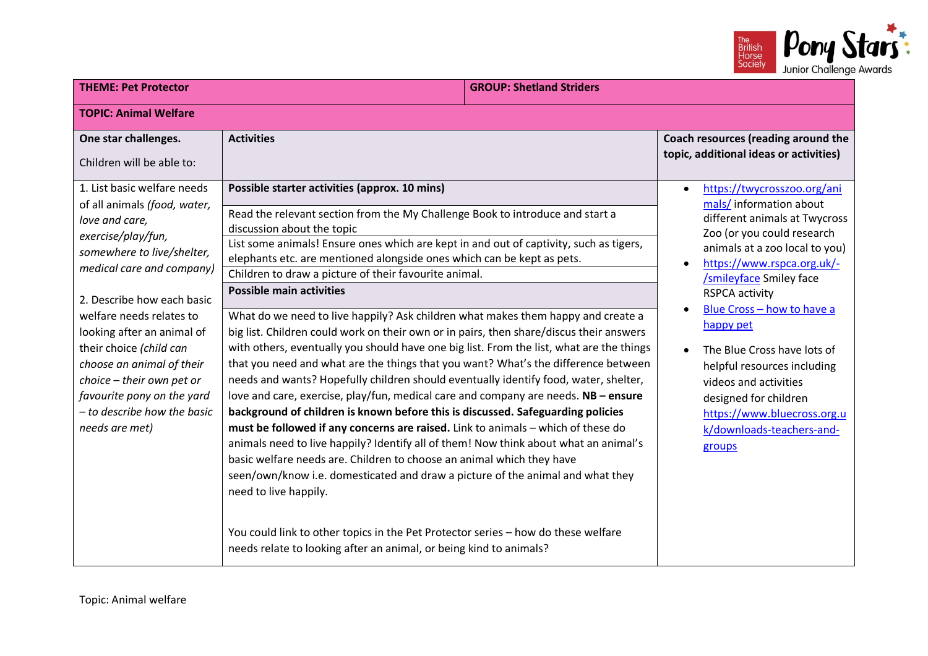

| <b>THEME: Pet Protector</b>                                                                                                                                                                                                                              |                                                                                                                                                                                                                                                                                                                                                                                                                                                                                                                                                                                                                                                                                                                                                                                                                                                                                                                                                                                                                                   | <b>GROUP: Shetland Striders</b> |                                                                                                                                                                                                                                                                                                         |
|----------------------------------------------------------------------------------------------------------------------------------------------------------------------------------------------------------------------------------------------------------|-----------------------------------------------------------------------------------------------------------------------------------------------------------------------------------------------------------------------------------------------------------------------------------------------------------------------------------------------------------------------------------------------------------------------------------------------------------------------------------------------------------------------------------------------------------------------------------------------------------------------------------------------------------------------------------------------------------------------------------------------------------------------------------------------------------------------------------------------------------------------------------------------------------------------------------------------------------------------------------------------------------------------------------|---------------------------------|---------------------------------------------------------------------------------------------------------------------------------------------------------------------------------------------------------------------------------------------------------------------------------------------------------|
| <b>TOPIC: Animal Welfare</b>                                                                                                                                                                                                                             |                                                                                                                                                                                                                                                                                                                                                                                                                                                                                                                                                                                                                                                                                                                                                                                                                                                                                                                                                                                                                                   |                                 |                                                                                                                                                                                                                                                                                                         |
| One star challenges.<br>Children will be able to:<br>1. List basic welfare needs<br>of all animals (food, water,<br>love and care,<br>exercise/play/fun,<br>somewhere to live/shelter,<br>medical care and company)                                      | <b>Activities</b><br>Possible starter activities (approx. 10 mins)<br>Read the relevant section from the My Challenge Book to introduce and start a<br>discussion about the topic<br>List some animals! Ensure ones which are kept in and out of captivity, such as tigers,<br>elephants etc. are mentioned alongside ones which can be kept as pets.<br>Children to draw a picture of their favourite animal.                                                                                                                                                                                                                                                                                                                                                                                                                                                                                                                                                                                                                    |                                 | Coach resources (reading around the<br>topic, additional ideas or activities)<br>https://twycrosszoo.org/ani<br>mals/information about<br>different animals at Twycross<br>Zoo (or you could research<br>animals at a zoo local to you)<br>https://www.rspca.org.uk/-<br><b>/smileyface Smiley face</b> |
| 2. Describe how each basic<br>welfare needs relates to<br>looking after an animal of<br>their choice (child can<br>choose an animal of their<br>choice - their own pet or<br>favourite pony on the yard<br>- to describe how the basic<br>needs are met) | <b>Possible main activities</b><br>What do we need to live happily? Ask children what makes them happy and create a<br>big list. Children could work on their own or in pairs, then share/discus their answers<br>with others, eventually you should have one big list. From the list, what are the things<br>that you need and what are the things that you want? What's the difference between<br>needs and wants? Hopefully children should eventually identify food, water, shelter,<br>love and care, exercise, play/fun, medical care and company are needs. NB - ensure<br>background of children is known before this is discussed. Safeguarding policies<br>must be followed if any concerns are raised. Link to animals - which of these do<br>animals need to live happily? Identify all of them! Now think about what an animal's<br>basic welfare needs are. Children to choose an animal which they have<br>seen/own/know i.e. domesticated and draw a picture of the animal and what they<br>need to live happily. |                                 | <b>RSPCA activity</b><br>Blue Cross - how to have a<br>happy pet<br>The Blue Cross have lots of<br>helpful resources including<br>videos and activities<br>designed for children<br>https://www.bluecross.org.u<br>k/downloads-teachers-and-<br>groups                                                  |
|                                                                                                                                                                                                                                                          | You could link to other topics in the Pet Protector series - how do these welfare<br>needs relate to looking after an animal, or being kind to animals?                                                                                                                                                                                                                                                                                                                                                                                                                                                                                                                                                                                                                                                                                                                                                                                                                                                                           |                                 |                                                                                                                                                                                                                                                                                                         |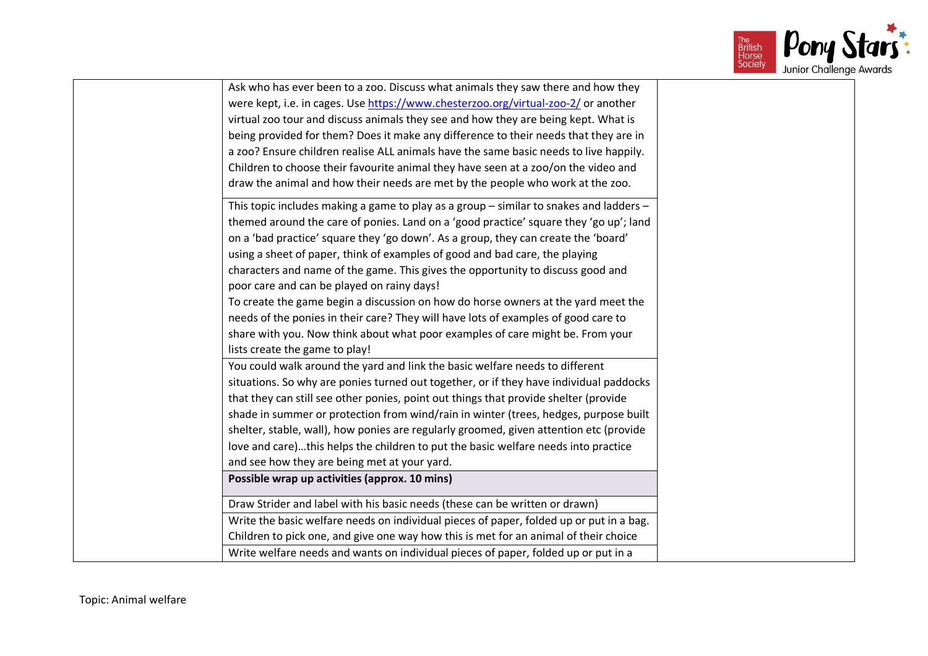

| Ask who has ever been to a zoo. Discuss what animals they saw there and how they        |
|-----------------------------------------------------------------------------------------|
| were kept, i.e. in cages. Use https://www.chesterzoo.org/virtual-zoo-2/ or another      |
| virtual zoo tour and discuss animals they see and how they are being kept. What is      |
| being provided for them? Does it make any difference to their needs that they are in    |
| a zoo? Ensure children realise ALL animals have the same basic needs to live happily.   |
| Children to choose their favourite animal they have seen at a zoo/on the video and      |
| draw the animal and how their needs are met by the people who work at the zoo.          |
| This topic includes making a game to play as a group - similar to snakes and ladders -  |
| themed around the care of ponies. Land on a 'good practice' square they 'go up'; land   |
| on a 'bad practice' square they 'go down'. As a group, they can create the 'board'      |
| using a sheet of paper, think of examples of good and bad care, the playing             |
| characters and name of the game. This gives the opportunity to discuss good and         |
| poor care and can be played on rainy days!                                              |
| To create the game begin a discussion on how do horse owners at the yard meet the       |
| needs of the ponies in their care? They will have lots of examples of good care to      |
| share with you. Now think about what poor examples of care might be. From your          |
| lists create the game to play!                                                          |
| You could walk around the yard and link the basic welfare needs to different            |
| situations. So why are ponies turned out together, or if they have individual paddocks  |
| that they can still see other ponies, point out things that provide shelter (provide    |
| shade in summer or protection from wind/rain in winter (trees, hedges, purpose built    |
| shelter, stable, wall), how ponies are regularly groomed, given attention etc (provide  |
| love and care)this helps the children to put the basic welfare needs into practice      |
| and see how they are being met at your yard.                                            |
| Possible wrap up activities (approx. 10 mins)                                           |
| Draw Strider and label with his basic needs (these can be written or drawn)             |
| Write the basic welfare needs on individual pieces of paper, folded up or put in a bag. |
| Children to pick one, and give one way how this is met for an animal of their choice    |
| Write welfare needs and wants on individual pieces of paper, folded up or put in a      |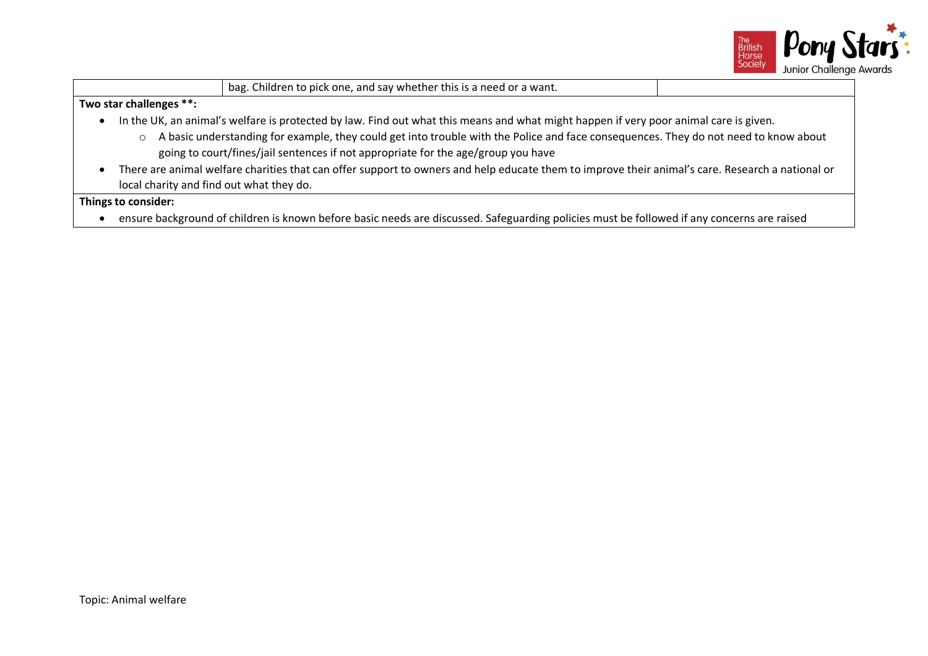

**Two star challenges \*\*:**

• In the UK, an animal's welfare is protected by law. Find out what this means and what might happen if very poor animal care is given.

bag. Children to pick one, and say whether this is a need or a want.

- o A basic understanding for example, they could get into trouble with the Police and face consequences. They do not need to know about going to court/fines/jail sentences if not appropriate for the age/group you have
- There are animal welfare charities that can offer support to owners and help educate them to improve their animal's care. Research a national or local charity and find out what they do.

**Things to consider:**

• ensure background of children is known before basic needs are discussed. Safeguarding policies must be followed if any concerns are raised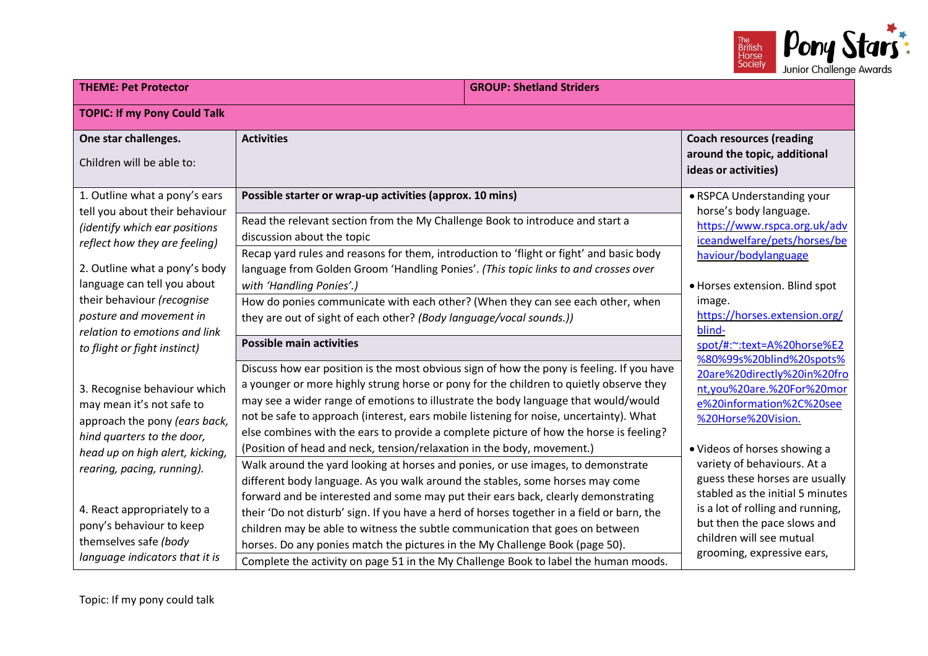

| <b>TOPIC: If my Pony Could Talk</b><br>One star challenges.                                                                                                                                                                                                                                                                                     | <b>Activities</b>                                                                                                                                                                                                                                                                                                                                                                                                                                                                                                                                                                                                                                                                                                                                                                                                                                                                                                                                                                                                                                                | <b>Coach resources (reading</b>                                                                                                                                                                                                                                                                                                                                                                                                        |
|-------------------------------------------------------------------------------------------------------------------------------------------------------------------------------------------------------------------------------------------------------------------------------------------------------------------------------------------------|------------------------------------------------------------------------------------------------------------------------------------------------------------------------------------------------------------------------------------------------------------------------------------------------------------------------------------------------------------------------------------------------------------------------------------------------------------------------------------------------------------------------------------------------------------------------------------------------------------------------------------------------------------------------------------------------------------------------------------------------------------------------------------------------------------------------------------------------------------------------------------------------------------------------------------------------------------------------------------------------------------------------------------------------------------------|----------------------------------------------------------------------------------------------------------------------------------------------------------------------------------------------------------------------------------------------------------------------------------------------------------------------------------------------------------------------------------------------------------------------------------------|
|                                                                                                                                                                                                                                                                                                                                                 |                                                                                                                                                                                                                                                                                                                                                                                                                                                                                                                                                                                                                                                                                                                                                                                                                                                                                                                                                                                                                                                                  |                                                                                                                                                                                                                                                                                                                                                                                                                                        |
| Children will be able to:                                                                                                                                                                                                                                                                                                                       |                                                                                                                                                                                                                                                                                                                                                                                                                                                                                                                                                                                                                                                                                                                                                                                                                                                                                                                                                                                                                                                                  | around the topic, additional<br>ideas or activities)                                                                                                                                                                                                                                                                                                                                                                                   |
| 1. Outline what a pony's ears<br>tell you about their behaviour<br>(identify which ear positions<br>reflect how they are feeling)<br>2. Outline what a pony's body<br>language can tell you about<br>their behaviour (recognise<br>posture and movement in<br>relation to emotions and link                                                     | Possible starter or wrap-up activities (approx. 10 mins)<br>Read the relevant section from the My Challenge Book to introduce and start a<br>discussion about the topic<br>Recap yard rules and reasons for them, introduction to 'flight or fight' and basic body<br>language from Golden Groom 'Handling Ponies'. (This topic links to and crosses over<br>with 'Handling Ponies'.)<br>How do ponies communicate with each other? (When they can see each other, when<br>they are out of sight of each other? (Body language/vocal sounds.))<br><b>Possible main activities</b>                                                                                                                                                                                                                                                                                                                                                                                                                                                                                | • RSPCA Understanding your<br>horse's body language.<br>https://www.rspca.org.uk/adv<br>iceandwelfare/pets/horses/be<br>haviour/bodylanguage<br>· Horses extension. Blind spot<br>image.<br>https://horses.extension.org/<br>blind-                                                                                                                                                                                                    |
| to flight or fight instinct)<br>3. Recognise behaviour which<br>may mean it's not safe to<br>approach the pony (ears back,<br>hind quarters to the door,<br>head up on high alert, kicking,<br>rearing, pacing, running).<br>4. React appropriately to a<br>pony's behaviour to keep<br>themselves safe (body<br>language indicators that it is | Discuss how ear position is the most obvious sign of how the pony is feeling. If you have<br>a younger or more highly strung horse or pony for the children to quietly observe they<br>may see a wider range of emotions to illustrate the body language that would/would<br>not be safe to approach (interest, ears mobile listening for noise, uncertainty). What<br>else combines with the ears to provide a complete picture of how the horse is feeling?<br>(Position of head and neck, tension/relaxation in the body, movement.)<br>Walk around the yard looking at horses and ponies, or use images, to demonstrate<br>different body language. As you walk around the stables, some horses may come<br>forward and be interested and some may put their ears back, clearly demonstrating<br>their 'Do not disturb' sign. If you have a herd of horses together in a field or barn, the<br>children may be able to witness the subtle communication that goes on between<br>horses. Do any ponies match the pictures in the My Challenge Book (page 50). | spot/#:~:text=A%20horse%E2<br>%80%99s%20blind%20spots%<br>20are%20directly%20in%20fro<br>nt,you%20are.%20For%20mor<br>e%20information%2C%20see<br>%20Horse%20Vision.<br>• Videos of horses showing a<br>variety of behaviours. At a<br>guess these horses are usually<br>stabled as the initial 5 minutes<br>is a lot of rolling and running,<br>but then the pace slows and<br>children will see mutual<br>grooming, expressive ears, |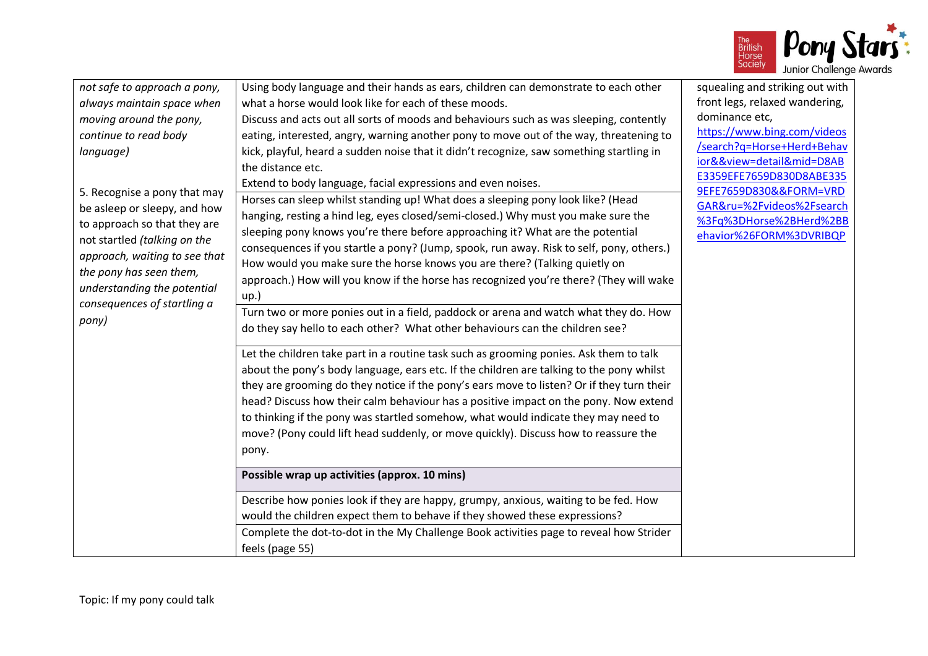

| not safe to approach a pony,<br>always maintain space when<br>moving around the pony,<br>continue to read body<br>language)<br>5. Recognise a pony that may<br>be asleep or sleepy, and how<br>to approach so that they are<br>not startled (talking on the<br>approach, waiting to see that<br>the pony has seen them,<br>understanding the potential<br>consequences of startling a<br>pony) | Using body language and their hands as ears, children can demonstrate to each other<br>what a horse would look like for each of these moods.<br>Discuss and acts out all sorts of moods and behaviours such as was sleeping, contently<br>eating, interested, angry, warning another pony to move out of the way, threatening to<br>kick, playful, heard a sudden noise that it didn't recognize, saw something startling in<br>the distance etc.<br>Extend to body language, facial expressions and even noises.<br>Horses can sleep whilst standing up! What does a sleeping pony look like? (Head<br>hanging, resting a hind leg, eyes closed/semi-closed.) Why must you make sure the<br>sleeping pony knows you're there before approaching it? What are the potential<br>consequences if you startle a pony? (Jump, spook, run away. Risk to self, pony, others.)<br>How would you make sure the horse knows you are there? (Talking quietly on<br>approach.) How will you know if the horse has recognized you're there? (They will wake<br>up.)<br>Turn two or more ponies out in a field, paddock or arena and watch what they do. How<br>do they say hello to each other? What other behaviours can the children see?<br>Let the children take part in a routine task such as grooming ponies. Ask them to talk<br>about the pony's body language, ears etc. If the children are talking to the pony whilst<br>they are grooming do they notice if the pony's ears move to listen? Or if they turn their<br>head? Discuss how their calm behaviour has a positive impact on the pony. Now extend<br>to thinking if the pony was startled somehow, what would indicate they may need to<br>move? (Pony could lift head suddenly, or move quickly). Discuss how to reassure the<br>pony.<br>Possible wrap up activities (approx. 10 mins)<br>Describe how ponies look if they are happy, grumpy, anxious, waiting to be fed. How<br>would the children expect them to behave if they showed these expressions?<br>Complete the dot-to-dot in the My Challenge Book activities page to reveal how Strider<br>feels (page 55) | squealing and striking out with<br>front legs, relaxed wandering,<br>dominance etc,<br>https://www.bing.com/videos<br>/search?q=Horse+Herd+Behav<br>ior&&view=detail∣=D8AB<br>E3359EFE7659D830D8ABE335<br>9EFE7659D830&&FORM=VRD<br>GAR&ru=%2Fvideos%2Fsearch<br>%3Fq%3DHorse%2BHerd%2BB<br>ehavior%26FORM%3DVRIBQP |
|------------------------------------------------------------------------------------------------------------------------------------------------------------------------------------------------------------------------------------------------------------------------------------------------------------------------------------------------------------------------------------------------|-------------------------------------------------------------------------------------------------------------------------------------------------------------------------------------------------------------------------------------------------------------------------------------------------------------------------------------------------------------------------------------------------------------------------------------------------------------------------------------------------------------------------------------------------------------------------------------------------------------------------------------------------------------------------------------------------------------------------------------------------------------------------------------------------------------------------------------------------------------------------------------------------------------------------------------------------------------------------------------------------------------------------------------------------------------------------------------------------------------------------------------------------------------------------------------------------------------------------------------------------------------------------------------------------------------------------------------------------------------------------------------------------------------------------------------------------------------------------------------------------------------------------------------------------------------------------------------------------------------------------------------------------------------------------------------------------------------------------------------------------------------------------------------------------------------------------------------------------------------------------------------------------------------------------------------------------------------------------------------------------------------------------------------------------------------------------------------------------------------------------------------|---------------------------------------------------------------------------------------------------------------------------------------------------------------------------------------------------------------------------------------------------------------------------------------------------------------------|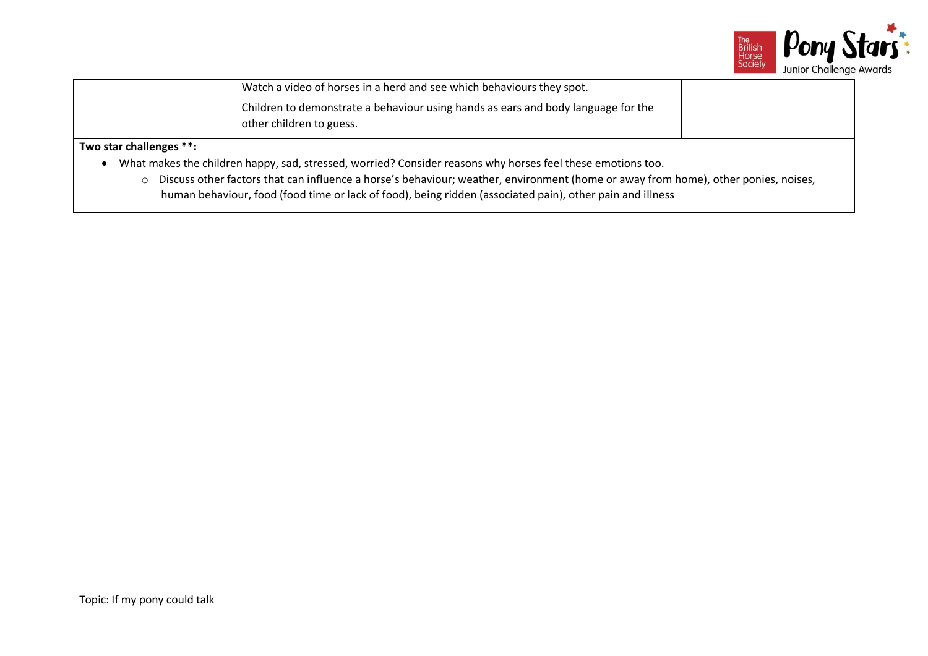

| Watch a video of horses in a herd and see which behaviours they spot.             |  |
|-----------------------------------------------------------------------------------|--|
| Children to demonstrate a behaviour using hands as ears and body language for the |  |
| other children to guess.                                                          |  |

# **Two star challenges \*\*:**

- What makes the children happy, sad, stressed, worried? Consider reasons why horses feel these emotions too.
	- o Discuss other factors that can influence a horse's behaviour; weather, environment (home or away from home), other ponies, noises, human behaviour, food (food time or lack of food), being ridden (associated pain), other pain and illness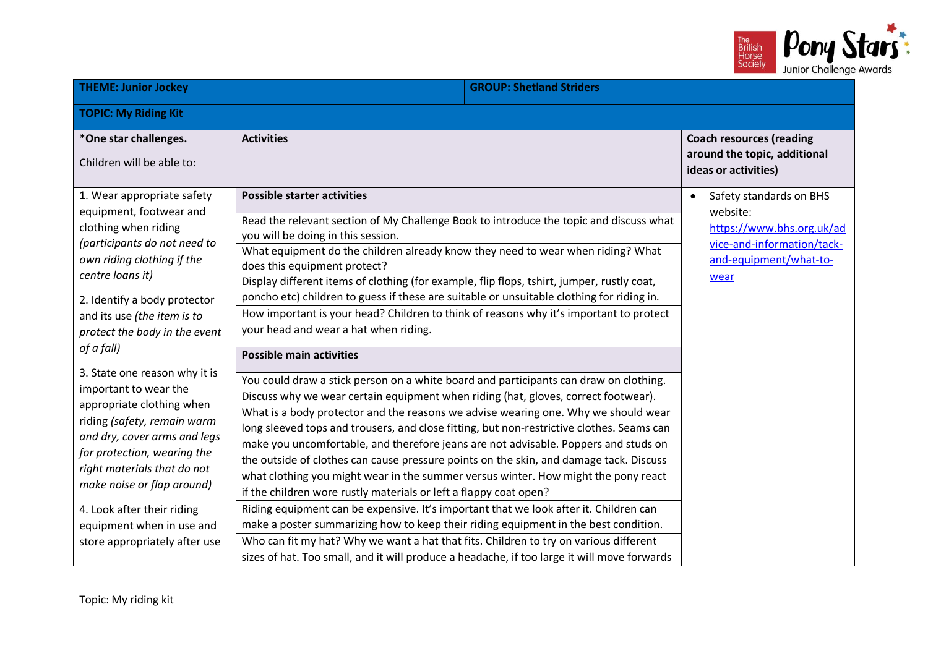

| <b>THEME: Junior Jockey</b>                                                                                                                                                                                                                                                                                                                                                                                                                                                                                                                                                                                                 |                                                                                                                                                                                                                                                                                                                                                                                                                                                                                                                                                                                                                                                                                                                                                                                                                                                                                                                                                                                                                                                                                                                                                                                                                                                                                                                                                                                                                                                                                                                                                                                                                                               | <b>GROUP: Shetland Striders</b> |                                                                                                                                               |
|-----------------------------------------------------------------------------------------------------------------------------------------------------------------------------------------------------------------------------------------------------------------------------------------------------------------------------------------------------------------------------------------------------------------------------------------------------------------------------------------------------------------------------------------------------------------------------------------------------------------------------|-----------------------------------------------------------------------------------------------------------------------------------------------------------------------------------------------------------------------------------------------------------------------------------------------------------------------------------------------------------------------------------------------------------------------------------------------------------------------------------------------------------------------------------------------------------------------------------------------------------------------------------------------------------------------------------------------------------------------------------------------------------------------------------------------------------------------------------------------------------------------------------------------------------------------------------------------------------------------------------------------------------------------------------------------------------------------------------------------------------------------------------------------------------------------------------------------------------------------------------------------------------------------------------------------------------------------------------------------------------------------------------------------------------------------------------------------------------------------------------------------------------------------------------------------------------------------------------------------------------------------------------------------|---------------------------------|-----------------------------------------------------------------------------------------------------------------------------------------------|
| <b>TOPIC: My Riding Kit</b>                                                                                                                                                                                                                                                                                                                                                                                                                                                                                                                                                                                                 |                                                                                                                                                                                                                                                                                                                                                                                                                                                                                                                                                                                                                                                                                                                                                                                                                                                                                                                                                                                                                                                                                                                                                                                                                                                                                                                                                                                                                                                                                                                                                                                                                                               |                                 |                                                                                                                                               |
| *One star challenges.<br>Children will be able to:                                                                                                                                                                                                                                                                                                                                                                                                                                                                                                                                                                          | <b>Activities</b>                                                                                                                                                                                                                                                                                                                                                                                                                                                                                                                                                                                                                                                                                                                                                                                                                                                                                                                                                                                                                                                                                                                                                                                                                                                                                                                                                                                                                                                                                                                                                                                                                             |                                 | <b>Coach resources (reading</b><br>around the topic, additional<br>ideas or activities)                                                       |
| 1. Wear appropriate safety<br>equipment, footwear and<br>clothing when riding<br>(participants do not need to<br>own riding clothing if the<br>centre loans it)<br>2. Identify a body protector<br>and its use (the item is to<br>protect the body in the event<br>of a fall)<br>3. State one reason why it is<br>important to wear the<br>appropriate clothing when<br>riding (safety, remain warm<br>and dry, cover arms and legs<br>for protection, wearing the<br>right materials that do not<br>make noise or flap around)<br>4. Look after their riding<br>equipment when in use and<br>store appropriately after use | <b>Possible starter activities</b><br>Read the relevant section of My Challenge Book to introduce the topic and discuss what<br>you will be doing in this session.<br>What equipment do the children already know they need to wear when riding? What<br>does this equipment protect?<br>Display different items of clothing (for example, flip flops, tshirt, jumper, rustly coat,<br>poncho etc) children to guess if these are suitable or unsuitable clothing for riding in.<br>How important is your head? Children to think of reasons why it's important to protect<br>your head and wear a hat when riding.<br><b>Possible main activities</b><br>You could draw a stick person on a white board and participants can draw on clothing.<br>Discuss why we wear certain equipment when riding (hat, gloves, correct footwear).<br>What is a body protector and the reasons we advise wearing one. Why we should wear<br>long sleeved tops and trousers, and close fitting, but non-restrictive clothes. Seams can<br>make you uncomfortable, and therefore jeans are not advisable. Poppers and studs on<br>the outside of clothes can cause pressure points on the skin, and damage tack. Discuss<br>what clothing you might wear in the summer versus winter. How might the pony react<br>if the children wore rustly materials or left a flappy coat open?<br>Riding equipment can be expensive. It's important that we look after it. Children can<br>make a poster summarizing how to keep their riding equipment in the best condition.<br>Who can fit my hat? Why we want a hat that fits. Children to try on various different |                                 | Safety standards on BHS<br>$\bullet$<br>website:<br>https://www.bhs.org.uk/ad<br>vice-and-information/tack-<br>and-equipment/what-to-<br>wear |
|                                                                                                                                                                                                                                                                                                                                                                                                                                                                                                                                                                                                                             | sizes of hat. Too small, and it will produce a headache, if too large it will move forwards                                                                                                                                                                                                                                                                                                                                                                                                                                                                                                                                                                                                                                                                                                                                                                                                                                                                                                                                                                                                                                                                                                                                                                                                                                                                                                                                                                                                                                                                                                                                                   |                                 |                                                                                                                                               |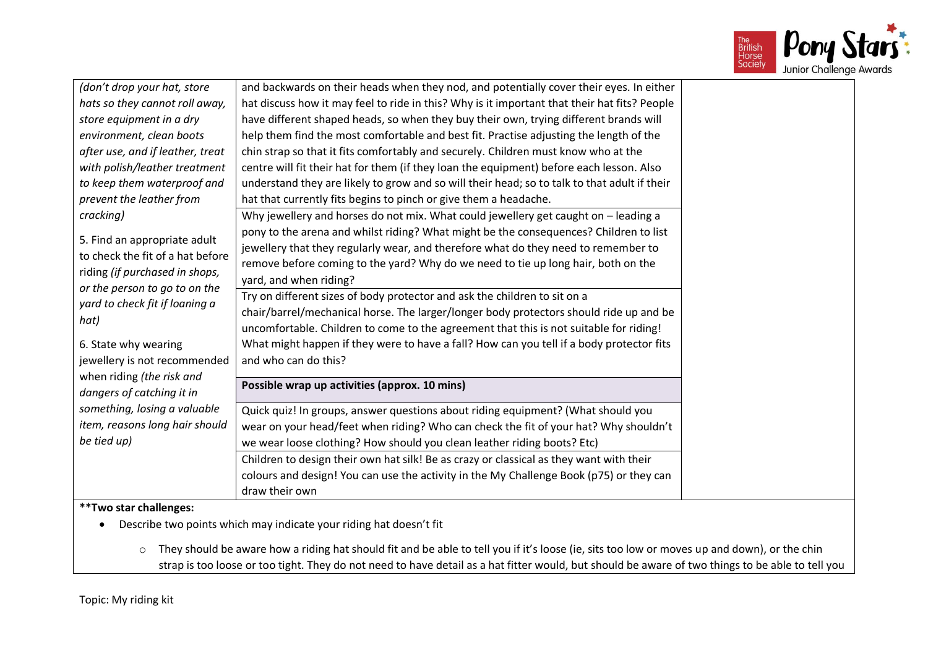

| (don't drop your hat, store      | and backwards on their heads when they nod, and potentially cover their eyes. In either                                                          |  |
|----------------------------------|--------------------------------------------------------------------------------------------------------------------------------------------------|--|
| hats so they cannot roll away,   | hat discuss how it may feel to ride in this? Why is it important that their hat fits? People                                                     |  |
| store equipment in a dry         | have different shaped heads, so when they buy their own, trying different brands will                                                            |  |
| environment, clean boots         | help them find the most comfortable and best fit. Practise adjusting the length of the                                                           |  |
| after use, and if leather, treat | chin strap so that it fits comfortably and securely. Children must know who at the                                                               |  |
| with polish/leather treatment    | centre will fit their hat for them (if they loan the equipment) before each lesson. Also                                                         |  |
| to keep them waterproof and      | understand they are likely to grow and so will their head; so to talk to that adult if their                                                     |  |
| prevent the leather from         | hat that currently fits begins to pinch or give them a headache.                                                                                 |  |
| cracking)                        | Why jewellery and horses do not mix. What could jewellery get caught on - leading a                                                              |  |
|                                  | pony to the arena and whilst riding? What might be the consequences? Children to list                                                            |  |
| 5. Find an appropriate adult     | jewellery that they regularly wear, and therefore what do they need to remember to                                                               |  |
| to check the fit of a hat before | remove before coming to the yard? Why do we need to tie up long hair, both on the                                                                |  |
| riding (if purchased in shops,   | yard, and when riding?                                                                                                                           |  |
| or the person to go to on the    | Try on different sizes of body protector and ask the children to sit on a                                                                        |  |
| yard to check fit if loaning a   | chair/barrel/mechanical horse. The larger/longer body protectors should ride up and be                                                           |  |
| hat)                             | uncomfortable. Children to come to the agreement that this is not suitable for riding!                                                           |  |
| 6. State why wearing             | What might happen if they were to have a fall? How can you tell if a body protector fits                                                         |  |
| jewellery is not recommended     | and who can do this?                                                                                                                             |  |
| when riding (the risk and        |                                                                                                                                                  |  |
| dangers of catching it in        | Possible wrap up activities (approx. 10 mins)                                                                                                    |  |
| something, losing a valuable     | Quick quiz! In groups, answer questions about riding equipment? (What should you                                                                 |  |
| item, reasons long hair should   | wear on your head/feet when riding? Who can check the fit of your hat? Why shouldn't                                                             |  |
| be tied up)                      | we wear loose clothing? How should you clean leather riding boots? Etc)                                                                          |  |
|                                  | Children to design their own hat silk! Be as crazy or classical as they want with their                                                          |  |
|                                  | colours and design! You can use the activity in the My Challenge Book (p75) or they can                                                          |  |
|                                  | draw their own                                                                                                                                   |  |
| ** Two star challenges:          |                                                                                                                                                  |  |
|                                  | Describe two points which may indicate your riding hat doesn't fit                                                                               |  |
|                                  |                                                                                                                                                  |  |
| $\circ$                          | They should be aware how a riding hat should fit and be able to tell you if it's loose (ie, sits too low or moves up and down), or the chin      |  |
|                                  | strap is too loose or too tight. They do not need to have detail as a hat fitter would, but should be aware of two things to be able to tell you |  |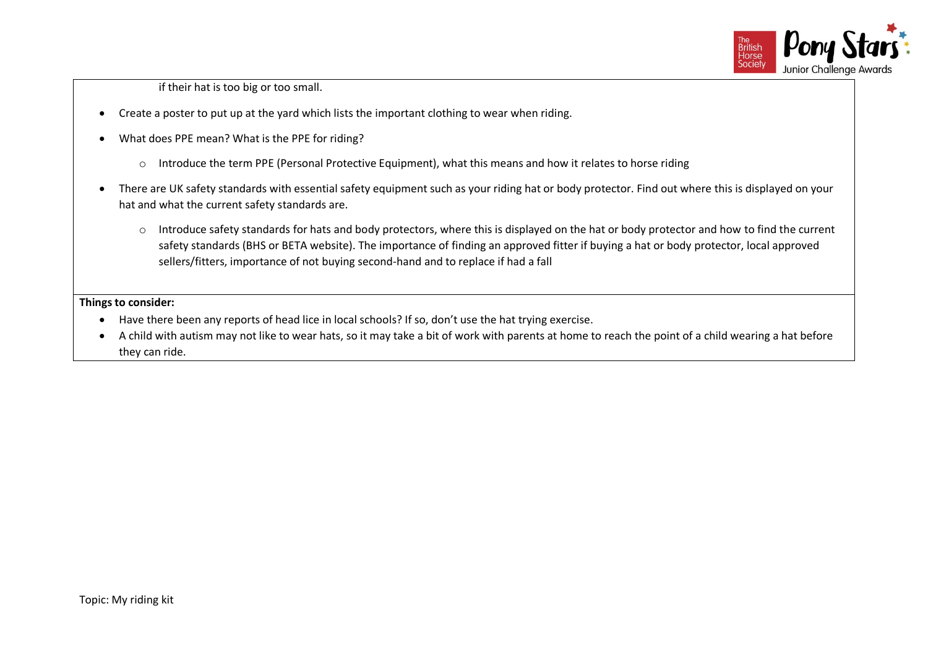

if their hat is too big or too small.

- Create a poster to put up at the yard which lists the important clothing to wear when riding.
- What does PPE mean? What is the PPE for riding?
	- $\circ$  Introduce the term PPE (Personal Protective Equipment), what this means and how it relates to horse riding
- There are UK safety standards with essential safety equipment such as your riding hat or body protector. Find out where this is displayed on your hat and what the current safety standards are.
	- o Introduce safety standards for hats and body protectors, where this is displayed on the hat or body protector and how to find the current safety standards (BHS or BETA website). The importance of finding an approved fitter if buying a hat or body protector, local approved sellers/fitters, importance of not buying second-hand and to replace if had a fall

### **Things to consider:**

- Have there been any reports of head lice in local schools? If so, don't use the hat trying exercise.
- A child with autism may not like to wear hats, so it may take a bit of work with parents at home to reach the point of a child wearing a hat before they can ride.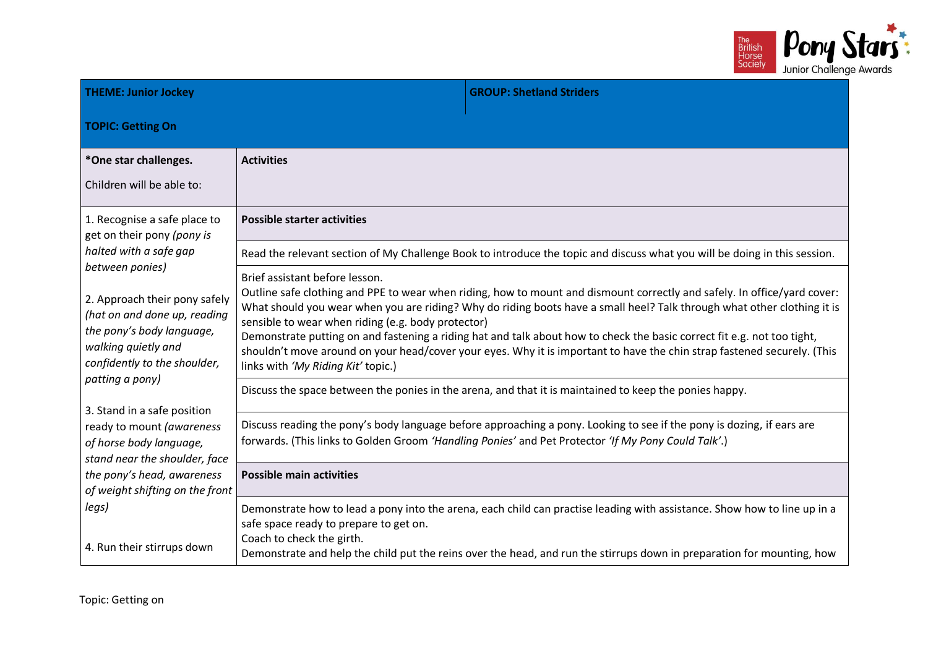

| <b>THEME: Junior Jockey</b>                                                                                                                                                             |                                                                                                                            | <b>GROUP: Shetland Striders</b>                                                                                                                                                                                                                                                                                                                                                                                                                                                                           |  |
|-----------------------------------------------------------------------------------------------------------------------------------------------------------------------------------------|----------------------------------------------------------------------------------------------------------------------------|-----------------------------------------------------------------------------------------------------------------------------------------------------------------------------------------------------------------------------------------------------------------------------------------------------------------------------------------------------------------------------------------------------------------------------------------------------------------------------------------------------------|--|
| <b>TOPIC: Getting On</b>                                                                                                                                                                |                                                                                                                            |                                                                                                                                                                                                                                                                                                                                                                                                                                                                                                           |  |
| *One star challenges.<br>Children will be able to:                                                                                                                                      | <b>Activities</b>                                                                                                          |                                                                                                                                                                                                                                                                                                                                                                                                                                                                                                           |  |
| 1. Recognise a safe place to<br>get on their pony (pony is                                                                                                                              | <b>Possible starter activities</b>                                                                                         |                                                                                                                                                                                                                                                                                                                                                                                                                                                                                                           |  |
| halted with a safe gap                                                                                                                                                                  | Read the relevant section of My Challenge Book to introduce the topic and discuss what you will be doing in this session.  |                                                                                                                                                                                                                                                                                                                                                                                                                                                                                                           |  |
| between ponies)<br>2. Approach their pony safely<br>(hat on and done up, reading<br>the pony's body language,<br>walking quietly and<br>confidently to the shoulder,<br>patting a pony) | Brief assistant before lesson.<br>sensible to wear when riding (e.g. body protector)<br>links with 'My Riding Kit' topic.) | Outline safe clothing and PPE to wear when riding, how to mount and dismount correctly and safely. In office/yard cover:<br>What should you wear when you are riding? Why do riding boots have a small heel? Talk through what other clothing it is<br>Demonstrate putting on and fastening a riding hat and talk about how to check the basic correct fit e.g. not too tight,<br>shouldn't move around on your head/cover your eyes. Why it is important to have the chin strap fastened securely. (This |  |
|                                                                                                                                                                                         |                                                                                                                            | Discuss the space between the ponies in the arena, and that it is maintained to keep the ponies happy.                                                                                                                                                                                                                                                                                                                                                                                                    |  |
| 3. Stand in a safe position<br>ready to mount (awareness<br>of horse body language,<br>stand near the shoulder, face                                                                    |                                                                                                                            | Discuss reading the pony's body language before approaching a pony. Looking to see if the pony is dozing, if ears are<br>forwards. (This links to Golden Groom 'Handling Ponies' and Pet Protector 'If My Pony Could Talk'.)                                                                                                                                                                                                                                                                              |  |
| the pony's head, awareness<br>of weight shifting on the front                                                                                                                           | <b>Possible main activities</b>                                                                                            |                                                                                                                                                                                                                                                                                                                                                                                                                                                                                                           |  |
| legs)<br>4. Run their stirrups down                                                                                                                                                     | safe space ready to prepare to get on.<br>Coach to check the girth.                                                        | Demonstrate how to lead a pony into the arena, each child can practise leading with assistance. Show how to line up in a<br>Demonstrate and help the child put the reins over the head, and run the stirrups down in preparation for mounting, how                                                                                                                                                                                                                                                        |  |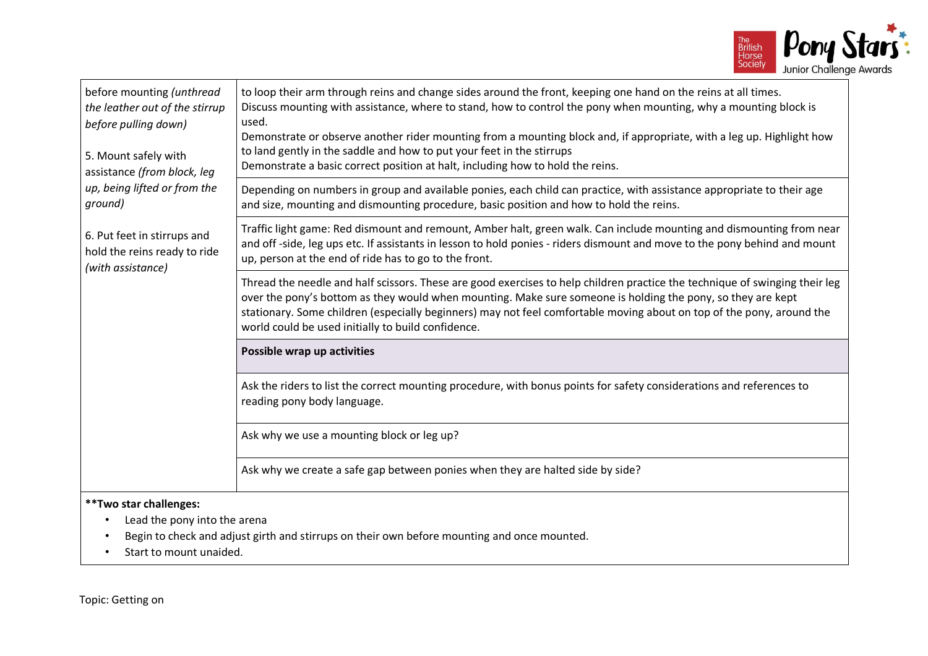

| before mounting (unthread<br>the leather out of the stirrup<br>before pulling down)<br>5. Mount safely with<br>assistance (from block, leg | to loop their arm through reins and change sides around the front, keeping one hand on the reins at all times.<br>Discuss mounting with assistance, where to stand, how to control the pony when mounting, why a mounting block is<br>used.<br>Demonstrate or observe another rider mounting from a mounting block and, if appropriate, with a leg up. Highlight how<br>to land gently in the saddle and how to put your feet in the stirrups<br>Demonstrate a basic correct position at halt, including how to hold the reins. |
|--------------------------------------------------------------------------------------------------------------------------------------------|---------------------------------------------------------------------------------------------------------------------------------------------------------------------------------------------------------------------------------------------------------------------------------------------------------------------------------------------------------------------------------------------------------------------------------------------------------------------------------------------------------------------------------|
| up, being lifted or from the<br>ground)                                                                                                    | Depending on numbers in group and available ponies, each child can practice, with assistance appropriate to their age<br>and size, mounting and dismounting procedure, basic position and how to hold the reins.                                                                                                                                                                                                                                                                                                                |
| 6. Put feet in stirrups and<br>hold the reins ready to ride<br>(with assistance)                                                           | Traffic light game: Red dismount and remount, Amber halt, green walk. Can include mounting and dismounting from near<br>and off-side, leg ups etc. If assistants in lesson to hold ponies - riders dismount and move to the pony behind and mount<br>up, person at the end of ride has to go to the front.                                                                                                                                                                                                                      |
|                                                                                                                                            | Thread the needle and half scissors. These are good exercises to help children practice the technique of swinging their leg<br>over the pony's bottom as they would when mounting. Make sure someone is holding the pony, so they are kept<br>stationary. Some children (especially beginners) may not feel comfortable moving about on top of the pony, around the<br>world could be used initially to build confidence.                                                                                                       |
|                                                                                                                                            | Possible wrap up activities                                                                                                                                                                                                                                                                                                                                                                                                                                                                                                     |
|                                                                                                                                            | Ask the riders to list the correct mounting procedure, with bonus points for safety considerations and references to<br>reading pony body language.                                                                                                                                                                                                                                                                                                                                                                             |
|                                                                                                                                            | Ask why we use a mounting block or leg up?                                                                                                                                                                                                                                                                                                                                                                                                                                                                                      |
|                                                                                                                                            | Ask why we create a safe gap between ponies when they are halted side by side?                                                                                                                                                                                                                                                                                                                                                                                                                                                  |
| ** Two star challenges:<br>Lead the pony into the arena<br>$\bullet$<br>Start to mount unaided.                                            | Begin to check and adjust girth and stirrups on their own before mounting and once mounted.                                                                                                                                                                                                                                                                                                                                                                                                                                     |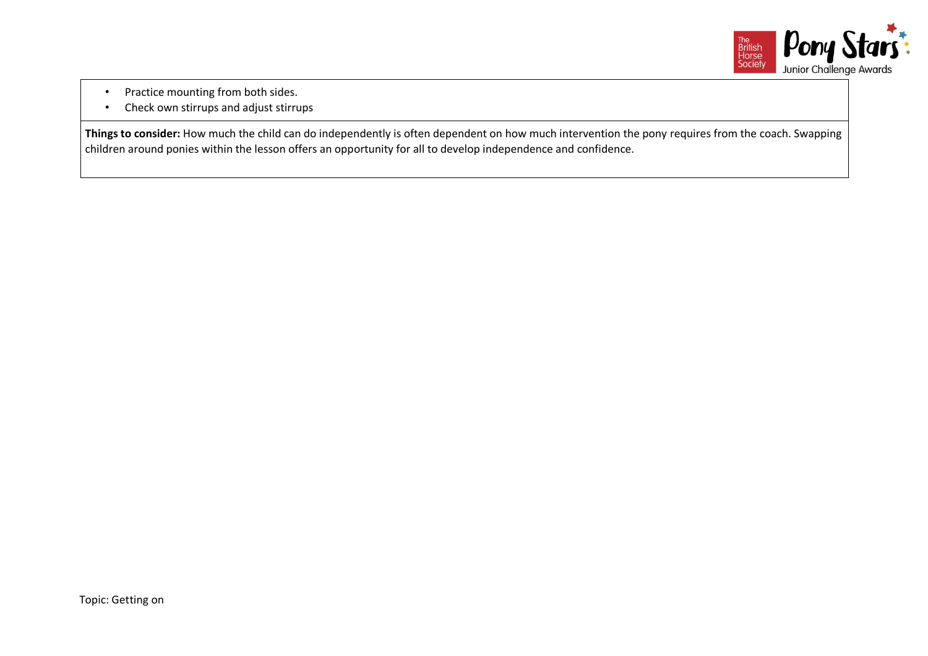

- Practice mounting from both sides.
- Check own stirrups and adjust stirrups

**Things to consider:** How much the child can do independently is often dependent on how much intervention the pony requires from the coach. Swapping children around ponies within the lesson offers an opportunity for all to develop independence and confidence.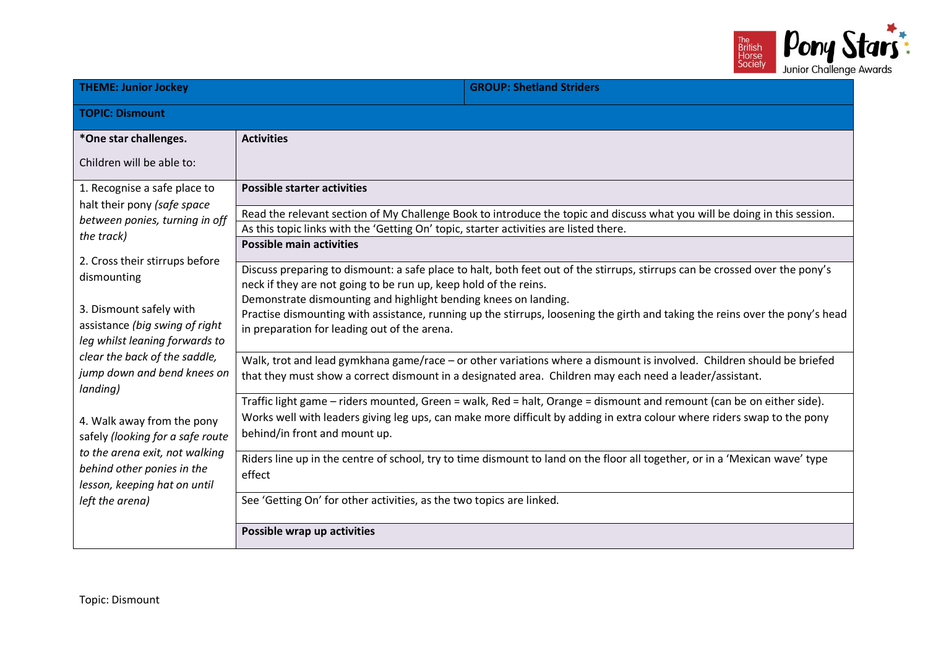

| <b>THEME: Junior Jockey</b>                                                                                                                                                                                                                                                                                                                                  |                                                                                                                                                                                                                                                                                                                     | <b>GROUP: Shetland Striders</b>                                                                                                                                                                                                                  |  |  |  |
|--------------------------------------------------------------------------------------------------------------------------------------------------------------------------------------------------------------------------------------------------------------------------------------------------------------------------------------------------------------|---------------------------------------------------------------------------------------------------------------------------------------------------------------------------------------------------------------------------------------------------------------------------------------------------------------------|--------------------------------------------------------------------------------------------------------------------------------------------------------------------------------------------------------------------------------------------------|--|--|--|
| <b>TOPIC: Dismount</b>                                                                                                                                                                                                                                                                                                                                       |                                                                                                                                                                                                                                                                                                                     |                                                                                                                                                                                                                                                  |  |  |  |
| *One star challenges.                                                                                                                                                                                                                                                                                                                                        | <b>Activities</b>                                                                                                                                                                                                                                                                                                   |                                                                                                                                                                                                                                                  |  |  |  |
| Children will be able to:                                                                                                                                                                                                                                                                                                                                    |                                                                                                                                                                                                                                                                                                                     |                                                                                                                                                                                                                                                  |  |  |  |
| 1. Recognise a safe place to                                                                                                                                                                                                                                                                                                                                 | <b>Possible starter activities</b>                                                                                                                                                                                                                                                                                  |                                                                                                                                                                                                                                                  |  |  |  |
| halt their pony (safe space<br>between ponies, turning in off<br>the track)                                                                                                                                                                                                                                                                                  | As this topic links with the 'Getting On' topic, starter activities are listed there.                                                                                                                                                                                                                               | Read the relevant section of My Challenge Book to introduce the topic and discuss what you will be doing in this session.                                                                                                                        |  |  |  |
| 2. Cross their stirrups before<br>dismounting                                                                                                                                                                                                                                                                                                                | <b>Possible main activities</b>                                                                                                                                                                                                                                                                                     | Discuss preparing to dismount: a safe place to halt, both feet out of the stirrups, stirrups can be crossed over the pony's                                                                                                                      |  |  |  |
| 3. Dismount safely with<br>assistance (big swing of right<br>leg whilst leaning forwards to<br>clear the back of the saddle,<br>jump down and bend knees on<br>landing)<br>4. Walk away from the pony<br>safely (looking for a safe route<br>to the arena exit, not walking<br>behind other ponies in the<br>lesson, keeping hat on until<br>left the arena) | neck if they are not going to be run up, keep hold of the reins.<br>Demonstrate dismounting and highlight bending knees on landing.<br>Practise dismounting with assistance, running up the stirrups, loosening the girth and taking the reins over the pony's head<br>in preparation for leading out of the arena. |                                                                                                                                                                                                                                                  |  |  |  |
|                                                                                                                                                                                                                                                                                                                                                              | Walk, trot and lead gymkhana game/race - or other variations where a dismount is involved. Children should be briefed<br>that they must show a correct dismount in a designated area. Children may each need a leader/assistant.                                                                                    |                                                                                                                                                                                                                                                  |  |  |  |
|                                                                                                                                                                                                                                                                                                                                                              | behind/in front and mount up.                                                                                                                                                                                                                                                                                       | Traffic light game - riders mounted, Green = walk, Red = halt, Orange = dismount and remount (can be on either side).<br>Works well with leaders giving leg ups, can make more difficult by adding in extra colour where riders swap to the pony |  |  |  |
|                                                                                                                                                                                                                                                                                                                                                              | Riders line up in the centre of school, try to time dismount to land on the floor all together, or in a 'Mexican wave' type<br>effect                                                                                                                                                                               |                                                                                                                                                                                                                                                  |  |  |  |
|                                                                                                                                                                                                                                                                                                                                                              | See 'Getting On' for other activities, as the two topics are linked.                                                                                                                                                                                                                                                |                                                                                                                                                                                                                                                  |  |  |  |
|                                                                                                                                                                                                                                                                                                                                                              | Possible wrap up activities                                                                                                                                                                                                                                                                                         |                                                                                                                                                                                                                                                  |  |  |  |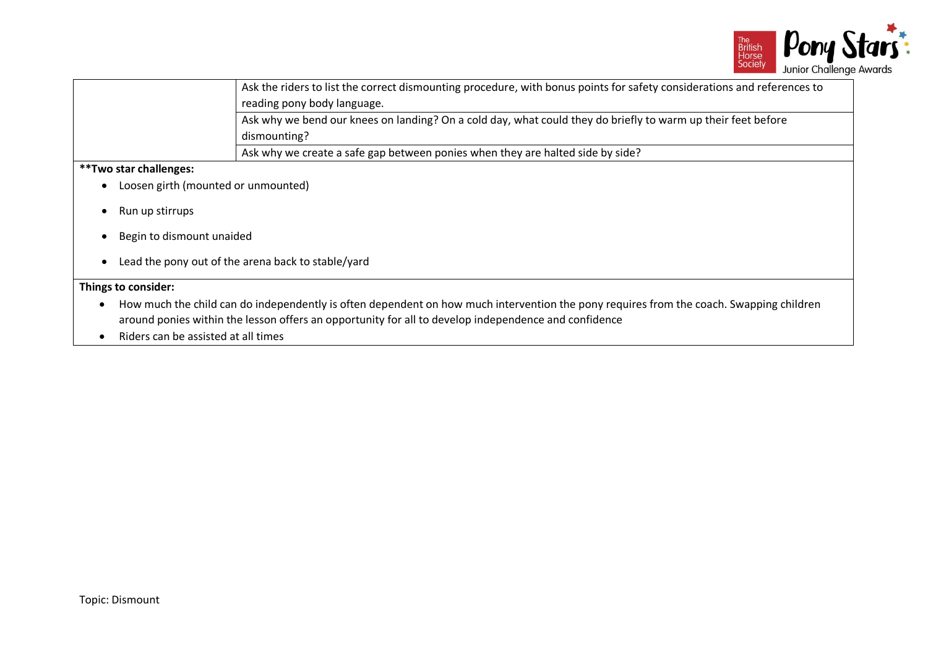

|                                                                                                                                         | Ask the riders to list the correct dismounting procedure, with bonus points for safety considerations and references to<br>reading pony body language. |  |  |  |
|-----------------------------------------------------------------------------------------------------------------------------------------|--------------------------------------------------------------------------------------------------------------------------------------------------------|--|--|--|
|                                                                                                                                         |                                                                                                                                                        |  |  |  |
| Ask why we bend our knees on landing? On a cold day, what could they do briefly to warm up their feet before                            |                                                                                                                                                        |  |  |  |
|                                                                                                                                         | dismounting?                                                                                                                                           |  |  |  |
|                                                                                                                                         | Ask why we create a safe gap between ponies when they are halted side by side?                                                                         |  |  |  |
| <b>**Two star challenges:</b>                                                                                                           |                                                                                                                                                        |  |  |  |
| Loosen girth (mounted or unmounted)                                                                                                     |                                                                                                                                                        |  |  |  |
|                                                                                                                                         |                                                                                                                                                        |  |  |  |
| Run up stirrups                                                                                                                         |                                                                                                                                                        |  |  |  |
|                                                                                                                                         |                                                                                                                                                        |  |  |  |
| Begin to dismount unaided                                                                                                               |                                                                                                                                                        |  |  |  |
| Lead the pony out of the arena back to stable/yard                                                                                      |                                                                                                                                                        |  |  |  |
|                                                                                                                                         |                                                                                                                                                        |  |  |  |
| Things to consider:                                                                                                                     |                                                                                                                                                        |  |  |  |
| How much the child can do independently is often dependent on how much intervention the pony requires from the coach. Swapping children |                                                                                                                                                        |  |  |  |
| around ponies within the lesson offers an opportunity for all to develop independence and confidence                                    |                                                                                                                                                        |  |  |  |
|                                                                                                                                         |                                                                                                                                                        |  |  |  |
| Riders can be assisted at all times                                                                                                     |                                                                                                                                                        |  |  |  |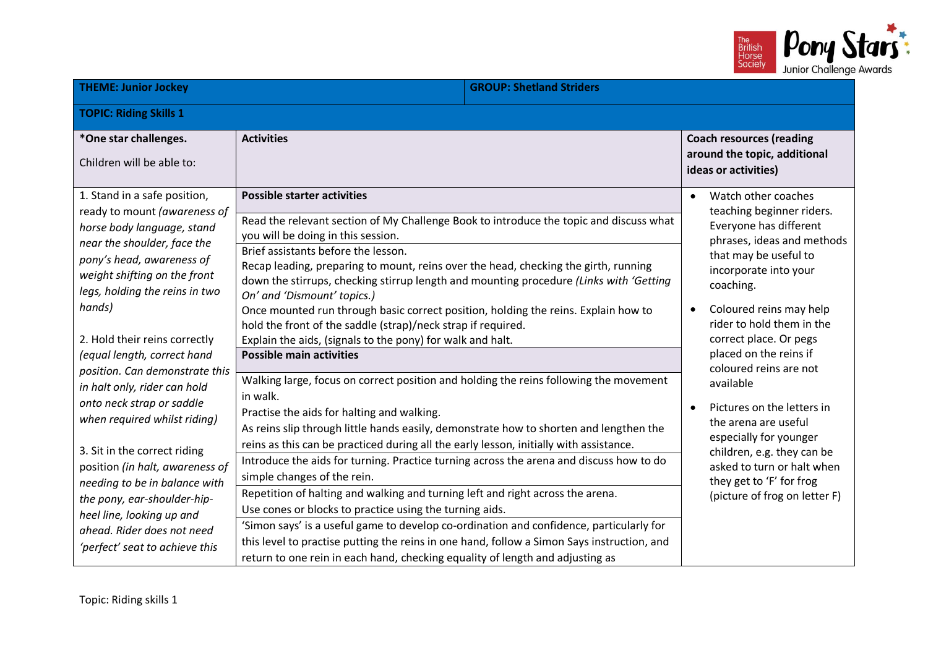

| <b>THEME: Junior Jockey</b>                                                                                                                                                                                                                                                                                                                                                                                                                                                                                                                                                                                                                                       |                                                                                                                                                                                                                                                                                                                                                                                                                                                                                                                                                                                                                                                                                                                                                                                                                                                                                                                                                                                                                                                                                                                                                   | <b>GROUP: Shetland Striders</b> |                                                                                                                                                                                                                                                                                                                                                                                                                                                                                                                                           |  |  |
|-------------------------------------------------------------------------------------------------------------------------------------------------------------------------------------------------------------------------------------------------------------------------------------------------------------------------------------------------------------------------------------------------------------------------------------------------------------------------------------------------------------------------------------------------------------------------------------------------------------------------------------------------------------------|---------------------------------------------------------------------------------------------------------------------------------------------------------------------------------------------------------------------------------------------------------------------------------------------------------------------------------------------------------------------------------------------------------------------------------------------------------------------------------------------------------------------------------------------------------------------------------------------------------------------------------------------------------------------------------------------------------------------------------------------------------------------------------------------------------------------------------------------------------------------------------------------------------------------------------------------------------------------------------------------------------------------------------------------------------------------------------------------------------------------------------------------------|---------------------------------|-------------------------------------------------------------------------------------------------------------------------------------------------------------------------------------------------------------------------------------------------------------------------------------------------------------------------------------------------------------------------------------------------------------------------------------------------------------------------------------------------------------------------------------------|--|--|
| <b>TOPIC: Riding Skills 1</b>                                                                                                                                                                                                                                                                                                                                                                                                                                                                                                                                                                                                                                     |                                                                                                                                                                                                                                                                                                                                                                                                                                                                                                                                                                                                                                                                                                                                                                                                                                                                                                                                                                                                                                                                                                                                                   |                                 |                                                                                                                                                                                                                                                                                                                                                                                                                                                                                                                                           |  |  |
| *One star challenges.<br>Children will be able to:                                                                                                                                                                                                                                                                                                                                                                                                                                                                                                                                                                                                                | <b>Activities</b>                                                                                                                                                                                                                                                                                                                                                                                                                                                                                                                                                                                                                                                                                                                                                                                                                                                                                                                                                                                                                                                                                                                                 |                                 | <b>Coach resources (reading</b><br>around the topic, additional<br>ideas or activities)                                                                                                                                                                                                                                                                                                                                                                                                                                                   |  |  |
| 1. Stand in a safe position,<br>ready to mount (awareness of<br>horse body language, stand<br>near the shoulder, face the<br>pony's head, awareness of<br>weight shifting on the front<br>legs, holding the reins in two<br>hands)<br>2. Hold their reins correctly<br>(equal length, correct hand<br>position. Can demonstrate this<br>in halt only, rider can hold<br>onto neck strap or saddle<br>when required whilst riding)<br>3. Sit in the correct riding<br>position (in halt, awareness of<br>needing to be in balance with<br>the pony, ear-shoulder-hip-<br>heel line, looking up and<br>ahead. Rider does not need<br>'perfect' seat to achieve this | <b>Possible starter activities</b><br>Read the relevant section of My Challenge Book to introduce the topic and discuss what<br>you will be doing in this session.<br>Brief assistants before the lesson.<br>Recap leading, preparing to mount, reins over the head, checking the girth, running<br>down the stirrups, checking stirrup length and mounting procedure (Links with 'Getting<br>On' and 'Dismount' topics.)<br>Once mounted run through basic correct position, holding the reins. Explain how to<br>hold the front of the saddle (strap)/neck strap if required.<br>Explain the aids, (signals to the pony) for walk and halt.<br><b>Possible main activities</b><br>Walking large, focus on correct position and holding the reins following the movement<br>in walk.<br>Practise the aids for halting and walking.<br>As reins slip through little hands easily, demonstrate how to shorten and lengthen the<br>reins as this can be practiced during all the early lesson, initially with assistance.<br>Introduce the aids for turning. Practice turning across the arena and discuss how to do<br>simple changes of the rein. |                                 | Watch other coaches<br>$\bullet$<br>teaching beginner riders.<br>Everyone has different<br>phrases, ideas and methods<br>that may be useful to<br>incorporate into your<br>coaching.<br>Coloured reins may help<br>$\bullet$<br>rider to hold them in the<br>correct place. Or pegs<br>placed on the reins if<br>coloured reins are not<br>available<br>Pictures on the letters in<br>$\bullet$<br>the arena are useful<br>especially for younger<br>children, e.g. they can be<br>asked to turn or halt when<br>they get to 'F' for frog |  |  |
|                                                                                                                                                                                                                                                                                                                                                                                                                                                                                                                                                                                                                                                                   | Repetition of halting and walking and turning left and right across the arena.<br>Use cones or blocks to practice using the turning aids.<br>'Simon says' is a useful game to develop co-ordination and confidence, particularly for<br>this level to practise putting the reins in one hand, follow a Simon Says instruction, and<br>return to one rein in each hand, checking equality of length and adjusting as                                                                                                                                                                                                                                                                                                                                                                                                                                                                                                                                                                                                                                                                                                                               |                                 | (picture of frog on letter F)                                                                                                                                                                                                                                                                                                                                                                                                                                                                                                             |  |  |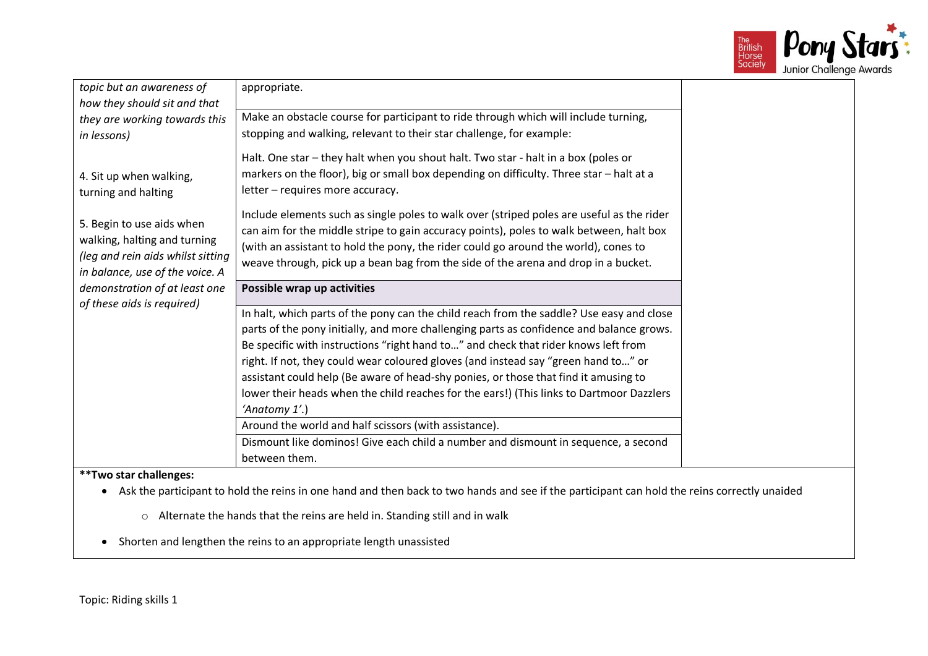

| topic but an awareness of<br>how they should sit and that<br>they are working towards this<br>in lessons)                         | appropriate.<br>Make an obstacle course for participant to ride through which will include turning,<br>stopping and walking, relevant to their star challenge, for example:<br>Halt. One star - they halt when you shout halt. Two star - halt in a box (poles or                                                                                                                                                                                                                                                                                                    |
|-----------------------------------------------------------------------------------------------------------------------------------|----------------------------------------------------------------------------------------------------------------------------------------------------------------------------------------------------------------------------------------------------------------------------------------------------------------------------------------------------------------------------------------------------------------------------------------------------------------------------------------------------------------------------------------------------------------------|
| 4. Sit up when walking,<br>turning and halting                                                                                    | markers on the floor), big or small box depending on difficulty. Three star - halt at a<br>letter - requires more accuracy.                                                                                                                                                                                                                                                                                                                                                                                                                                          |
| 5. Begin to use aids when<br>walking, halting and turning<br>(leg and rein aids whilst sitting<br>in balance, use of the voice. A | Include elements such as single poles to walk over (striped poles are useful as the rider<br>can aim for the middle stripe to gain accuracy points), poles to walk between, halt box<br>(with an assistant to hold the pony, the rider could go around the world), cones to<br>weave through, pick up a bean bag from the side of the arena and drop in a bucket.                                                                                                                                                                                                    |
| demonstration of at least one<br>of these aids is required)                                                                       | Possible wrap up activities                                                                                                                                                                                                                                                                                                                                                                                                                                                                                                                                          |
|                                                                                                                                   | In halt, which parts of the pony can the child reach from the saddle? Use easy and close<br>parts of the pony initially, and more challenging parts as confidence and balance grows.<br>Be specific with instructions "right hand to" and check that rider knows left from<br>right. If not, they could wear coloured gloves (and instead say "green hand to" or<br>assistant could help (Be aware of head-shy ponies, or those that find it amusing to<br>lower their heads when the child reaches for the ears!) (This links to Dartmoor Dazzlers<br>'Anatomy 1'.) |
|                                                                                                                                   | Around the world and half scissors (with assistance).                                                                                                                                                                                                                                                                                                                                                                                                                                                                                                                |
|                                                                                                                                   | Dismount like dominos! Give each child a number and dismount in sequence, a second<br>between them.                                                                                                                                                                                                                                                                                                                                                                                                                                                                  |

- Ask the participant to hold the reins in one hand and then back to two hands and see if the participant can hold the reins correctly unaided
	- o Alternate the hands that the reins are held in. Standing still and in walk
- Shorten and lengthen the reins to an appropriate length unassisted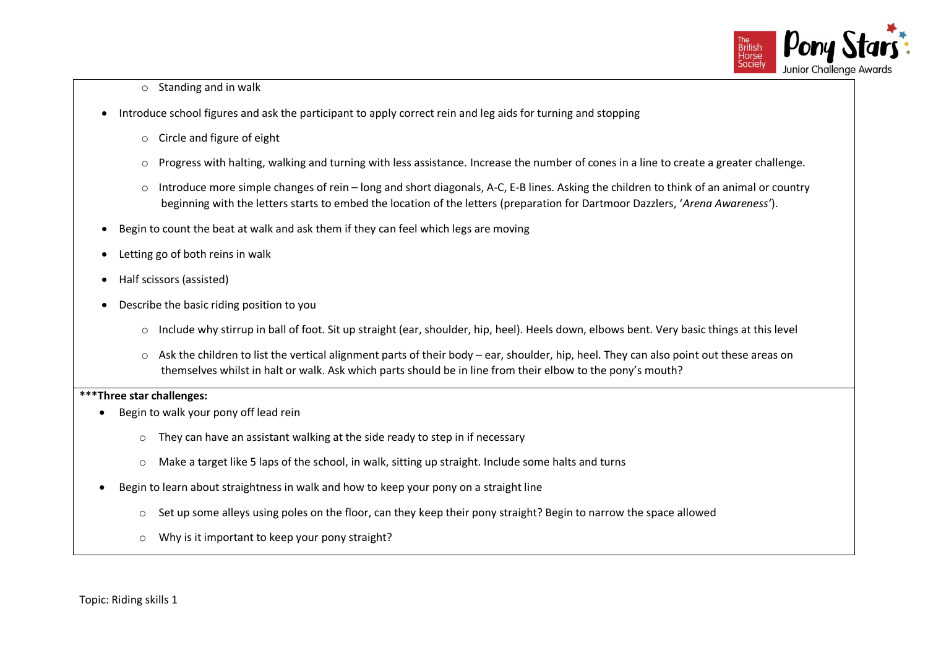

#### $\circ$  Standing and in walk

- Introduce school figures and ask the participant to apply correct rein and leg aids for turning and stopping
	- o Circle and figure of eight
	- $\circ$  Progress with halting, walking and turning with less assistance. Increase the number of cones in a line to create a greater challenge.
	- o Introduce more simple changes of rein long and short diagonals, A-C, E-B lines. Asking the children to think of an animal or country beginning with the letters starts to embed the location of the letters (preparation for Dartmoor Dazzlers, '*Arena Awareness'*).
- Begin to count the beat at walk and ask them if they can feel which legs are moving
- Letting go of both reins in walk
- Half scissors (assisted)
- Describe the basic riding position to you
	- o Include why stirrup in ball of foot. Sit up straight (ear, shoulder, hip, heel). Heels down, elbows bent. Very basic things at this level
	- $\circ$  Ask the children to list the vertical alignment parts of their body ear, shoulder, hip, heel. They can also point out these areas on themselves whilst in halt or walk. Ask which parts should be in line from their elbow to the pony's mouth?

## **\*\*\*Three star challenges:**

- Begin to walk your pony off lead rein
	- o They can have an assistant walking at the side ready to step in if necessary
	- $\circ$  Make a target like 5 laps of the school, in walk, sitting up straight. Include some halts and turns
- Begin to learn about straightness in walk and how to keep your pony on a straight line
	- $\circ$  Set up some alleys using poles on the floor, can they keep their pony straight? Begin to narrow the space allowed
	- o Why is it important to keep your pony straight?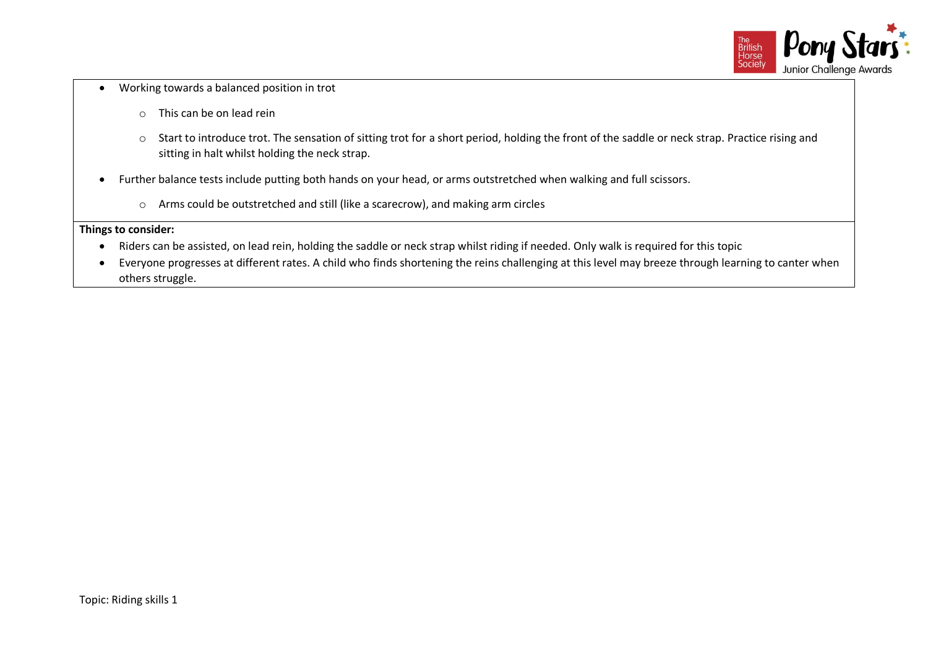

- Working towards a balanced position in trot
	- o This can be on lead rein
	- o Start to introduce trot. The sensation of sitting trot for a short period, holding the front of the saddle or neck strap. Practice rising and sitting in halt whilst holding the neck strap.
- Further balance tests include putting both hands on your head, or arms outstretched when walking and full scissors.
	- o Arms could be outstretched and still (like a scarecrow), and making arm circles

- Riders can be assisted, on lead rein, holding the saddle or neck strap whilst riding if needed. Only walk is required for this topic
- Everyone progresses at different rates. A child who finds shortening the reins challenging at this level may breeze through learning to canter when others struggle.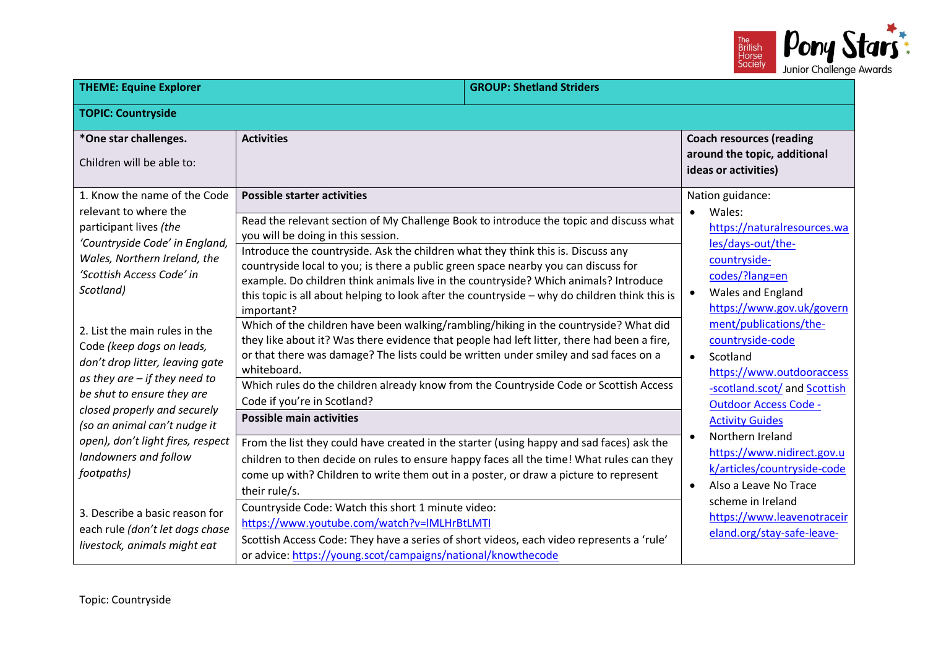

| <b>THEME: Equine Explorer</b>                                                                                                                                                                                                                                                                                                                                 |                                                                                                                                                                                                                                                                                                                                                                                                                                                                                                                                                                                                                                                                                                                                                                                                                                                                                                                                                                          | <b>GROUP: Shetland Striders</b> |                                                                                                                                                                                                                                                                                                                                  |
|---------------------------------------------------------------------------------------------------------------------------------------------------------------------------------------------------------------------------------------------------------------------------------------------------------------------------------------------------------------|--------------------------------------------------------------------------------------------------------------------------------------------------------------------------------------------------------------------------------------------------------------------------------------------------------------------------------------------------------------------------------------------------------------------------------------------------------------------------------------------------------------------------------------------------------------------------------------------------------------------------------------------------------------------------------------------------------------------------------------------------------------------------------------------------------------------------------------------------------------------------------------------------------------------------------------------------------------------------|---------------------------------|----------------------------------------------------------------------------------------------------------------------------------------------------------------------------------------------------------------------------------------------------------------------------------------------------------------------------------|
| <b>TOPIC: Countryside</b>                                                                                                                                                                                                                                                                                                                                     |                                                                                                                                                                                                                                                                                                                                                                                                                                                                                                                                                                                                                                                                                                                                                                                                                                                                                                                                                                          |                                 |                                                                                                                                                                                                                                                                                                                                  |
| *One star challenges.<br>Children will be able to:                                                                                                                                                                                                                                                                                                            | <b>Activities</b>                                                                                                                                                                                                                                                                                                                                                                                                                                                                                                                                                                                                                                                                                                                                                                                                                                                                                                                                                        |                                 | <b>Coach resources (reading</b><br>around the topic, additional<br>ideas or activities)                                                                                                                                                                                                                                          |
| 1. Know the name of the Code<br>relevant to where the<br>participant lives (the<br>'Countryside Code' in England,<br>Wales, Northern Ireland, the<br>'Scottish Access Code' in<br>Scotland)<br>2. List the main rules in the<br>Code (keep dogs on leads,<br>don't drop litter, leaving gate<br>as they are $-$ if they need to<br>be shut to ensure they are | <b>Possible starter activities</b><br>Read the relevant section of My Challenge Book to introduce the topic and discuss what<br>you will be doing in this session.<br>Introduce the countryside. Ask the children what they think this is. Discuss any<br>countryside local to you; is there a public green space nearby you can discuss for<br>example. Do children think animals live in the countryside? Which animals? Introduce<br>this topic is all about helping to look after the countryside - why do children think this is<br>important?<br>Which of the children have been walking/rambling/hiking in the countryside? What did<br>they like about it? Was there evidence that people had left litter, there had been a fire,<br>or that there was damage? The lists could be written under smiley and sad faces on a<br>whiteboard.<br>Which rules do the children already know from the Countryside Code or Scottish Access<br>Code if you're in Scotland? |                                 | Nation guidance:<br>Wales:<br>$\bullet$<br>https://naturalresources.wa<br>les/days-out/the-<br>countryside-<br>codes/?lang=en<br>Wales and England<br>$\bullet$<br>https://www.gov.uk/govern<br>ment/publications/the-<br>countryside-code<br>Scotland<br>$\bullet$<br>https://www.outdooraccess<br>-scotland.scot/ and Scottish |
| closed properly and securely<br>(so an animal can't nudge it                                                                                                                                                                                                                                                                                                  | <b>Possible main activities</b>                                                                                                                                                                                                                                                                                                                                                                                                                                                                                                                                                                                                                                                                                                                                                                                                                                                                                                                                          |                                 | <b>Outdoor Access Code -</b><br><b>Activity Guides</b><br>Northern Ireland                                                                                                                                                                                                                                                       |
| open), don't light fires, respect<br>landowners and follow<br>footpaths)<br>3. Describe a basic reason for<br>each rule (don't let dogs chase<br>livestock, animals might eat                                                                                                                                                                                 | From the list they could have created in the starter (using happy and sad faces) ask the<br>children to then decide on rules to ensure happy faces all the time! What rules can they<br>come up with? Children to write them out in a poster, or draw a picture to represent<br>their rule/s.<br>Countryside Code: Watch this short 1 minute video:<br>https://www.youtube.com/watch?v=IMLHrBtLMTI<br>Scottish Access Code: They have a series of short videos, each video represents a 'rule'<br>or advice: https://young.scot/campaigns/national/knowthecode                                                                                                                                                                                                                                                                                                                                                                                                           |                                 | https://www.nidirect.gov.u<br>k/articles/countryside-code<br>Also a Leave No Trace<br>$\bullet$<br>scheme in Ireland<br>https://www.leavenotraceir<br>eland.org/stay-safe-leave-                                                                                                                                                 |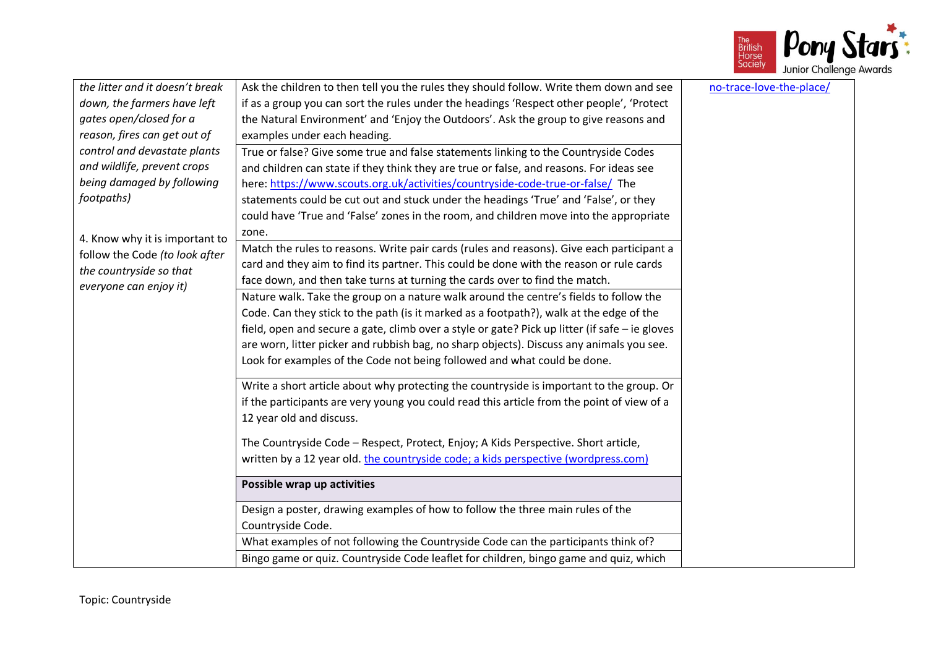

| the litter and it doesn't break | Ask the children to then tell you the rules they should follow. Write them down and see        | no-trace-love-the-place/ |
|---------------------------------|------------------------------------------------------------------------------------------------|--------------------------|
| down, the farmers have left     | if as a group you can sort the rules under the headings 'Respect other people', 'Protect       |                          |
| gates open/closed for a         | the Natural Environment' and 'Enjoy the Outdoors'. Ask the group to give reasons and           |                          |
| reason, fires can get out of    | examples under each heading.                                                                   |                          |
| control and devastate plants    | True or false? Give some true and false statements linking to the Countryside Codes            |                          |
| and wildlife, prevent crops     | and children can state if they think they are true or false, and reasons. For ideas see        |                          |
| being damaged by following      | here: https://www.scouts.org.uk/activities/countryside-code-true-or-false/ The                 |                          |
| footpaths)                      | statements could be cut out and stuck under the headings 'True' and 'False', or they           |                          |
|                                 | could have 'True and 'False' zones in the room, and children move into the appropriate         |                          |
| 4. Know why it is important to  | zone.                                                                                          |                          |
| follow the Code (to look after  | Match the rules to reasons. Write pair cards (rules and reasons). Give each participant a      |                          |
| the countryside so that         | card and they aim to find its partner. This could be done with the reason or rule cards        |                          |
| everyone can enjoy it)          | face down, and then take turns at turning the cards over to find the match.                    |                          |
|                                 | Nature walk. Take the group on a nature walk around the centre's fields to follow the          |                          |
|                                 | Code. Can they stick to the path (is it marked as a footpath?), walk at the edge of the        |                          |
|                                 | field, open and secure a gate, climb over a style or gate? Pick up litter (if safe - ie gloves |                          |
|                                 | are worn, litter picker and rubbish bag, no sharp objects). Discuss any animals you see.       |                          |
|                                 | Look for examples of the Code not being followed and what could be done.                       |                          |
|                                 | Write a short article about why protecting the countryside is important to the group. Or       |                          |
|                                 | if the participants are very young you could read this article from the point of view of a     |                          |
|                                 | 12 year old and discuss.                                                                       |                          |
|                                 | The Countryside Code - Respect, Protect, Enjoy; A Kids Perspective. Short article,             |                          |
|                                 | written by a 12 year old. the countryside code; a kids perspective (wordpress.com)             |                          |
|                                 | Possible wrap up activities                                                                    |                          |
|                                 | Design a poster, drawing examples of how to follow the three main rules of the                 |                          |
|                                 | Countryside Code.                                                                              |                          |
|                                 | What examples of not following the Countryside Code can the participants think of?             |                          |
|                                 | Bingo game or quiz. Countryside Code leaflet for children, bingo game and quiz, which          |                          |
|                                 |                                                                                                |                          |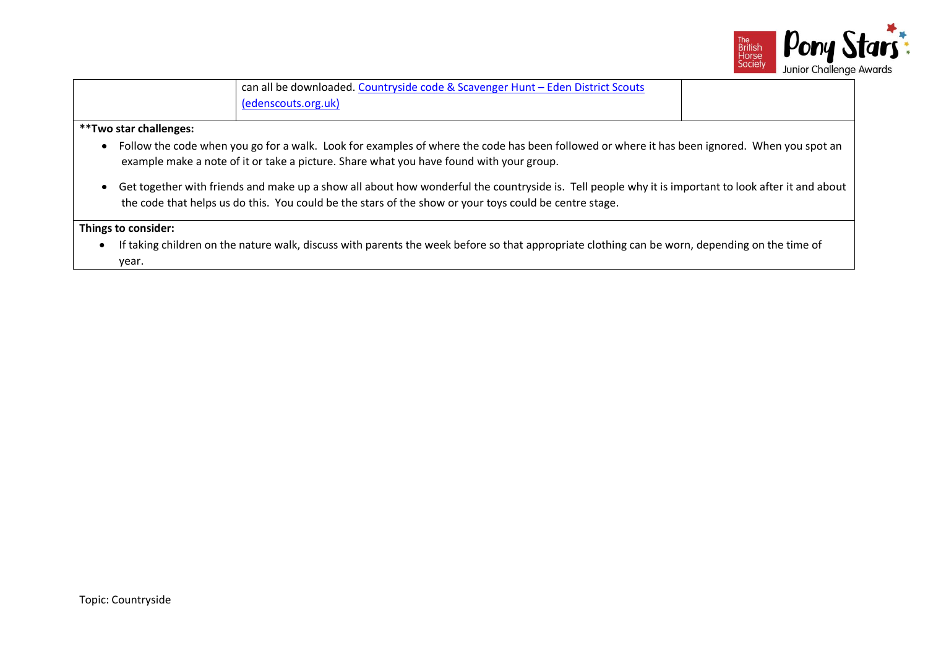

|                        | can all be downloaded. Countryside code & Scavenger Hunt - Eden District Scouts<br>(edenscouts.org.uk) |  |
|------------------------|--------------------------------------------------------------------------------------------------------|--|
| **Two star challenges: |                                                                                                        |  |

- Follow the code when you go for a walk. Look for examples of where the code has been followed or where it has been ignored. When you spot an example make a note of it or take a picture. Share what you have found with your group.
- Get together with friends and make up a show all about how wonderful the countryside is. Tell people why it is important to look after it and about the code that helps us do this. You could be the stars of the show or your toys could be centre stage.

• If taking children on the nature walk, discuss with parents the week before so that appropriate clothing can be worn, depending on the time of year.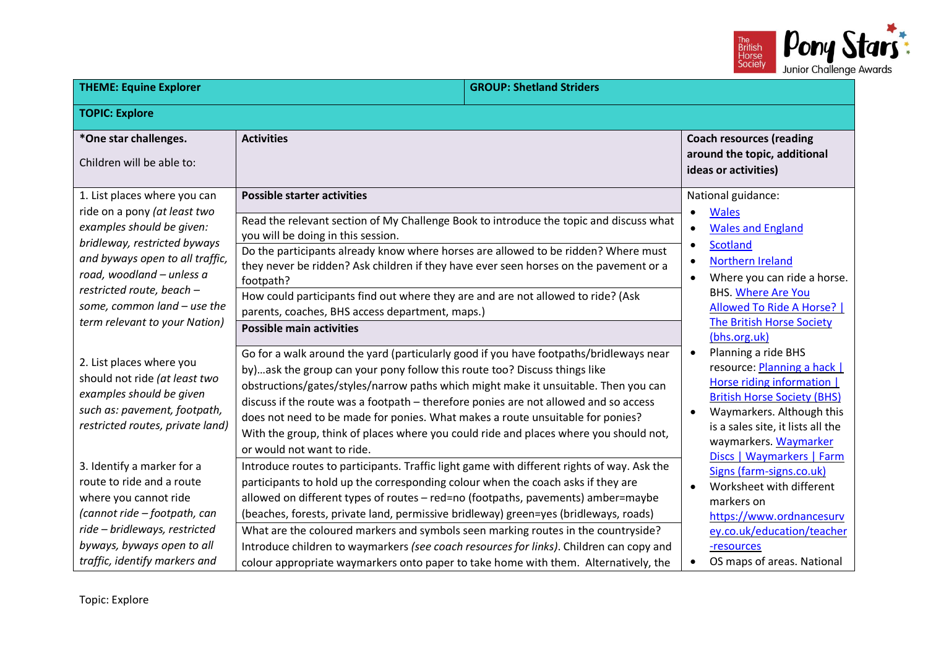

| <b>THEME: Equine Explorer</b>                                                                                                                                                                                                                                                          |                                                                                                                                                                                                                                                                                                                                                                                                                                                                                                                                                                                                                                   | <b>GROUP: Shetland Striders</b> |                                                                                                                                                                                                                                                                                         |
|----------------------------------------------------------------------------------------------------------------------------------------------------------------------------------------------------------------------------------------------------------------------------------------|-----------------------------------------------------------------------------------------------------------------------------------------------------------------------------------------------------------------------------------------------------------------------------------------------------------------------------------------------------------------------------------------------------------------------------------------------------------------------------------------------------------------------------------------------------------------------------------------------------------------------------------|---------------------------------|-----------------------------------------------------------------------------------------------------------------------------------------------------------------------------------------------------------------------------------------------------------------------------------------|
| <b>TOPIC: Explore</b>                                                                                                                                                                                                                                                                  |                                                                                                                                                                                                                                                                                                                                                                                                                                                                                                                                                                                                                                   |                                 |                                                                                                                                                                                                                                                                                         |
| *One star challenges.<br>Children will be able to:                                                                                                                                                                                                                                     | <b>Activities</b>                                                                                                                                                                                                                                                                                                                                                                                                                                                                                                                                                                                                                 |                                 | <b>Coach resources (reading</b><br>around the topic, additional<br>ideas or activities)                                                                                                                                                                                                 |
| 1. List places where you can<br>ride on a pony (at least two<br>examples should be given:<br>bridleway, restricted byways<br>and byways open to all traffic,<br>road, woodland - unless a<br>restricted route, beach -<br>some, common land - use the<br>term relevant to your Nation) | <b>Possible starter activities</b><br>Read the relevant section of My Challenge Book to introduce the topic and discuss what<br>you will be doing in this session.<br>Do the participants already know where horses are allowed to be ridden? Where must<br>they never be ridden? Ask children if they have ever seen horses on the pavement or a<br>footpath?<br>How could participants find out where they are and are not allowed to ride? (Ask<br>parents, coaches, BHS access department, maps.)<br><b>Possible main activities</b>                                                                                          |                                 | National guidance:<br><b>Wales</b><br>$\bullet$<br><b>Wales and England</b><br>$\bullet$<br><b>Scotland</b><br>Northern Ireland<br>$\bullet$<br>Where you can ride a horse.<br>$\bullet$<br><b>BHS. Where Are You</b><br>Allowed To Ride A Horse?  <br><b>The British Horse Society</b> |
| 2. List places where you<br>should not ride (at least two<br>examples should be given<br>such as: pavement, footpath,<br>restricted routes, private land)                                                                                                                              | Go for a walk around the yard (particularly good if you have footpaths/bridleways near<br>by)  ask the group can your pony follow this route too? Discuss things like<br>obstructions/gates/styles/narrow paths which might make it unsuitable. Then you can<br>discuss if the route was a footpath - therefore ponies are not allowed and so access<br>does not need to be made for ponies. What makes a route unsuitable for ponies?<br>With the group, think of places where you could ride and places where you should not,<br>or would not want to ride.                                                                     |                                 | (bhs.org.uk)<br>Planning a ride BHS<br>$\bullet$<br>resource: Planning a hack  <br>Horse riding information  <br><b>British Horse Society (BHS)</b><br>Waymarkers. Although this<br>is a sales site, it lists all the<br>waymarkers. Waymarker<br>Discs   Waymarkers   Farm             |
| 3. Identify a marker for a<br>route to ride and a route<br>where you cannot ride<br>(cannot ride - footpath, can<br>ride - bridleways, restricted<br>byways, byways open to all<br>traffic, identify markers and                                                                       | Introduce routes to participants. Traffic light game with different rights of way. Ask the<br>participants to hold up the corresponding colour when the coach asks if they are<br>allowed on different types of routes - red=no (footpaths, pavements) amber=maybe<br>(beaches, forests, private land, permissive bridleway) green=yes (bridleways, roads)<br>What are the coloured markers and symbols seen marking routes in the countryside?<br>Introduce children to waymarkers (see coach resources for links). Children can copy and<br>colour appropriate waymarkers onto paper to take home with them. Alternatively, the |                                 | Signs (farm-signs.co.uk)<br>Worksheet with different<br>markers on<br>https://www.ordnancesurv<br>ey.co.uk/education/teacher<br>-resources<br>OS maps of areas. National                                                                                                                |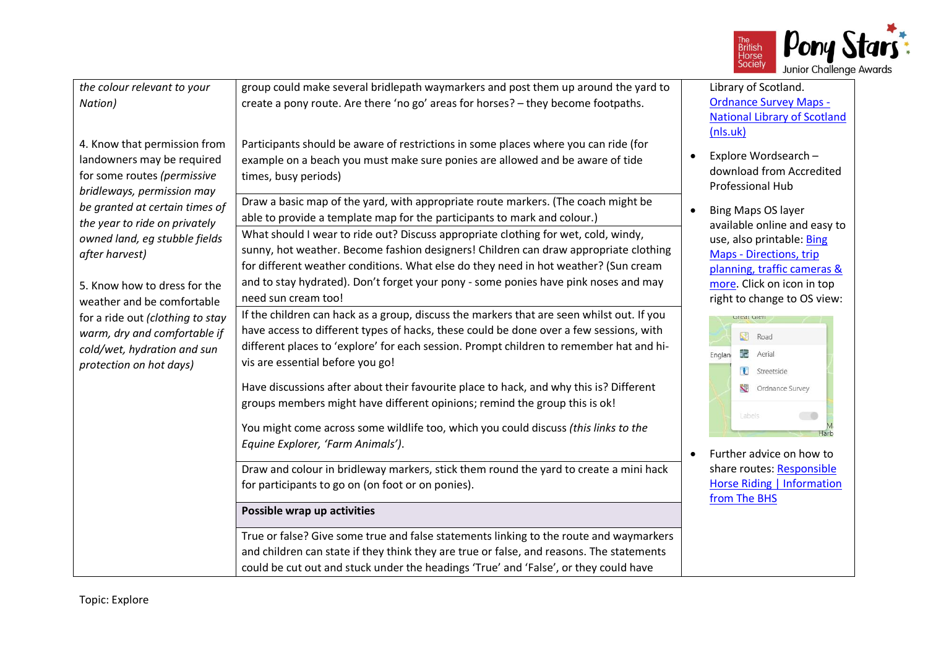

| the colour relevant to your<br>Nation)                                                                                     | group could make several bridlepath waymarkers and post them up around the yard to<br>create a pony route. Are there 'no go' areas for horses? - they become footpaths.                                                                                                                                                                                                         | Library of Scotland.<br><b>Ordnance Survey Maps -</b><br><b>National Library of Scotland</b><br>(nls.uk)                                                |
|----------------------------------------------------------------------------------------------------------------------------|---------------------------------------------------------------------------------------------------------------------------------------------------------------------------------------------------------------------------------------------------------------------------------------------------------------------------------------------------------------------------------|---------------------------------------------------------------------------------------------------------------------------------------------------------|
| 4. Know that permission from<br>landowners may be required<br>for some routes (permissive<br>bridleways, permission may    | Participants should be aware of restrictions in some places where you can ride (for<br>example on a beach you must make sure ponies are allowed and be aware of tide<br>times, busy periods)                                                                                                                                                                                    | Explore Wordsearch -<br>download from Accredited<br>Professional Hub                                                                                    |
| be granted at certain times of<br>the year to ride on privately                                                            | Draw a basic map of the yard, with appropriate route markers. (The coach might be<br>able to provide a template map for the participants to mark and colour.)                                                                                                                                                                                                                   | <b>Bing Maps OS layer</b><br>available online and easy to                                                                                               |
| owned land, eg stubble fields<br>after harvest)<br>5. Know how to dress for the<br>weather and be comfortable              | What should I wear to ride out? Discuss appropriate clothing for wet, cold, windy,<br>sunny, hot weather. Become fashion designers! Children can draw appropriate clothing<br>for different weather conditions. What else do they need in hot weather? (Sun cream<br>and to stay hydrated). Don't forget your pony - some ponies have pink noses and may<br>need sun cream too! | use, also printable: Bing<br><b>Maps - Directions, trip</b><br>planning, traffic cameras &<br>more. Click on icon in top<br>right to change to OS view: |
| for a ride out (clothing to stay<br>warm, dry and comfortable if<br>cold/wet, hydration and sun<br>protection on hot days) | If the children can hack as a group, discuss the markers that are seen whilst out. If you<br>have access to different types of hacks, these could be done over a few sessions, with<br>different places to 'explore' for each session. Prompt children to remember hat and hi-<br>vis are essential before you go!                                                              | ureat olen<br>S.<br>Road<br>市<br>Aerial<br>Englan<br>Streetside                                                                                         |
|                                                                                                                            | Have discussions after about their favourite place to hack, and why this is? Different<br>groups members might have different opinions; remind the group this is ok!                                                                                                                                                                                                            | Ordnance Survey<br>Labels                                                                                                                               |
|                                                                                                                            | You might come across some wildlife too, which you could discuss (this links to the<br>Equine Explorer, 'Farm Animals').                                                                                                                                                                                                                                                        | Further advice on how to                                                                                                                                |
|                                                                                                                            | Draw and colour in bridleway markers, stick them round the yard to create a mini hack<br>for participants to go on (on foot or on ponies).                                                                                                                                                                                                                                      | share routes: Responsible<br><b>Horse Riding   Information</b><br>from The BHS                                                                          |
|                                                                                                                            | Possible wrap up activities                                                                                                                                                                                                                                                                                                                                                     |                                                                                                                                                         |
|                                                                                                                            | True or false? Give some true and false statements linking to the route and waymarkers<br>and children can state if they think they are true or false, and reasons. The statements<br>could be cut out and stuck under the headings 'True' and 'False', or they could have                                                                                                      |                                                                                                                                                         |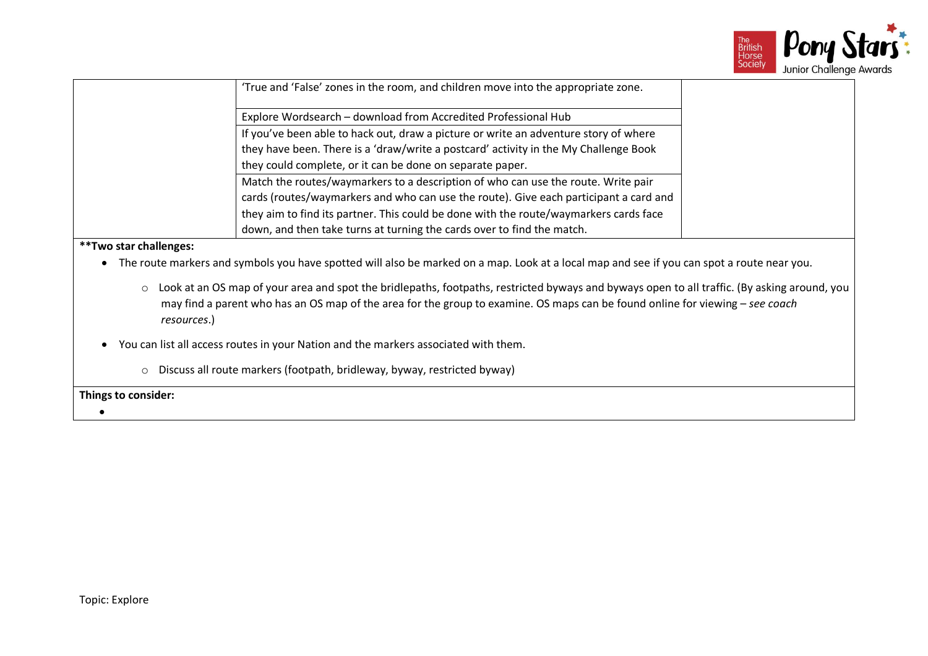

|                                                                        | 'True and 'False' zones in the room, and children move into the appropriate zone.                                                          |
|------------------------------------------------------------------------|--------------------------------------------------------------------------------------------------------------------------------------------|
| Explore Wordsearch - download from Accredited Professional Hub         |                                                                                                                                            |
|                                                                        | If you've been able to hack out, draw a picture or write an adventure story of where                                                       |
|                                                                        | they have been. There is a 'draw/write a postcard' activity in the My Challenge Book                                                       |
| they could complete, or it can be done on separate paper.              |                                                                                                                                            |
|                                                                        | Match the routes/waymarkers to a description of who can use the route. Write pair                                                          |
|                                                                        | cards (routes/waymarkers and who can use the route). Give each participant a card and                                                      |
|                                                                        | they aim to find its partner. This could be done with the route/waymarkers cards face                                                      |
| down, and then take turns at turning the cards over to find the match. |                                                                                                                                            |
| <b>**Two star challenges:</b>                                          |                                                                                                                                            |
|                                                                        | The route markers and symbols you have spotted will also be marked on a map. Look at a local map and see if you can spot a route near you. |

- o Look at an OS map of your area and spot the bridlepaths, footpaths, restricted byways and byways open to all traffic. (By asking around, you may find a parent who has an OS map of the area for the group to examine. OS maps can be found online for viewing – *see coach resources*.)
- You can list all access routes in your Nation and the markers associated with them.
	- o Discuss all route markers (footpath, bridleway, byway, restricted byway)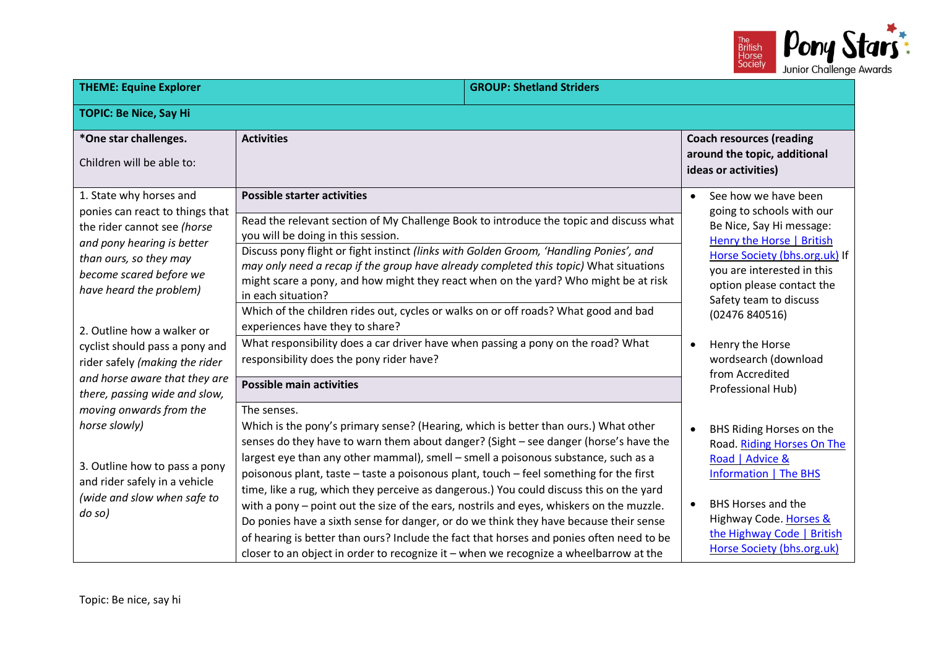

| <b>THEME: Equine Explorer</b>                                                                                                                                                                                                                                                                             |                                                                                                                                                                                                                                                                                                                                                                                                                                                                                                                                                                                                                                                                                                                                                                                                                                                 | <b>GROUP: Shetland Striders</b> |                                                                                                                                                                                                                                                                                                                               |
|-----------------------------------------------------------------------------------------------------------------------------------------------------------------------------------------------------------------------------------------------------------------------------------------------------------|-------------------------------------------------------------------------------------------------------------------------------------------------------------------------------------------------------------------------------------------------------------------------------------------------------------------------------------------------------------------------------------------------------------------------------------------------------------------------------------------------------------------------------------------------------------------------------------------------------------------------------------------------------------------------------------------------------------------------------------------------------------------------------------------------------------------------------------------------|---------------------------------|-------------------------------------------------------------------------------------------------------------------------------------------------------------------------------------------------------------------------------------------------------------------------------------------------------------------------------|
| <b>TOPIC: Be Nice, Say Hi</b>                                                                                                                                                                                                                                                                             |                                                                                                                                                                                                                                                                                                                                                                                                                                                                                                                                                                                                                                                                                                                                                                                                                                                 |                                 |                                                                                                                                                                                                                                                                                                                               |
| *One star challenges.<br>Children will be able to:                                                                                                                                                                                                                                                        | <b>Activities</b>                                                                                                                                                                                                                                                                                                                                                                                                                                                                                                                                                                                                                                                                                                                                                                                                                               |                                 | <b>Coach resources (reading</b><br>around the topic, additional<br>ideas or activities)                                                                                                                                                                                                                                       |
| 1. State why horses and<br>ponies can react to things that<br>the rider cannot see (horse<br>and pony hearing is better<br>than ours, so they may<br>become scared before we<br>have heard the problem)<br>2. Outline how a walker or<br>cyclist should pass a pony and<br>rider safely (making the rider | <b>Possible starter activities</b><br>Read the relevant section of My Challenge Book to introduce the topic and discuss what<br>you will be doing in this session.<br>Discuss pony flight or fight instinct (links with Golden Groom, 'Handling Ponies', and<br>may only need a recap if the group have already completed this topic) What situations<br>might scare a pony, and how might they react when on the yard? Who might be at risk<br>in each situation?<br>Which of the children rides out, cycles or walks on or off roads? What good and bad<br>experiences have they to share?<br>What responsibility does a car driver have when passing a pony on the road? What<br>responsibility does the pony rider have?                                                                                                                    |                                 | See how we have been<br>$\bullet$<br>going to schools with our<br>Be Nice, Say Hi message:<br><b>Henry the Horse   British</b><br>Horse Society (bhs.org.uk) If<br>you are interested in this<br>option please contact the<br>Safety team to discuss<br>(02476840516)<br>Henry the Horse<br>$\bullet$<br>wordsearch (download |
| and horse aware that they are<br>there, passing wide and slow,<br>moving onwards from the<br>horse slowly)<br>3. Outline how to pass a pony<br>and rider safely in a vehicle<br>(wide and slow when safe to<br>do so)                                                                                     | <b>Possible main activities</b>                                                                                                                                                                                                                                                                                                                                                                                                                                                                                                                                                                                                                                                                                                                                                                                                                 |                                 | from Accredited<br>Professional Hub)                                                                                                                                                                                                                                                                                          |
|                                                                                                                                                                                                                                                                                                           | The senses.<br>Which is the pony's primary sense? (Hearing, which is better than ours.) What other<br>senses do they have to warn them about danger? (Sight - see danger (horse's have the<br>largest eye than any other mammal), smell - smell a poisonous substance, such as a<br>poisonous plant, taste - taste a poisonous plant, touch - feel something for the first<br>time, like a rug, which they perceive as dangerous.) You could discuss this on the yard<br>with a pony - point out the size of the ears, nostrils and eyes, whiskers on the muzzle.<br>Do ponies have a sixth sense for danger, or do we think they have because their sense<br>of hearing is better than ours? Include the fact that horses and ponies often need to be<br>closer to an object in order to recognize it - when we recognize a wheelbarrow at the |                                 | BHS Riding Horses on the<br>$\bullet$<br>Road. Riding Horses On The<br>Road   Advice &<br><b>Information   The BHS</b><br><b>BHS Horses and the</b><br>$\bullet$<br>Highway Code. Horses &<br>the Highway Code   British<br>Horse Society (bhs.org.uk)                                                                        |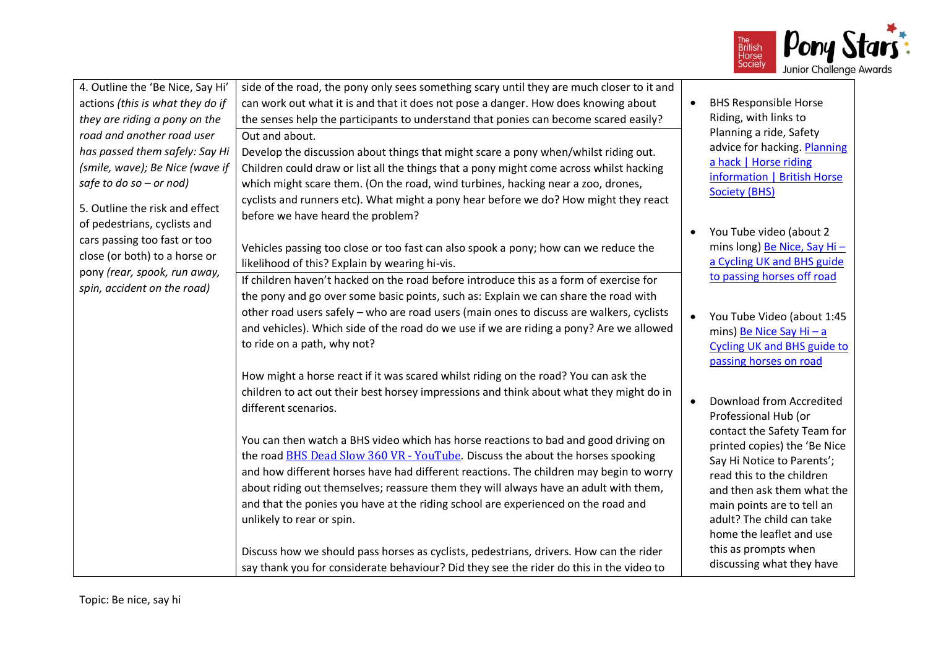

| 4. Outline the 'Be Nice, Say Hi'<br>actions (this is what they do if<br>they are riding a pony on the<br>road and another road user<br>has passed them safely: Say Hi<br>(smile, wave); Be Nice (wave if<br>safe to do so $-$ or nod)<br>5. Outline the risk and effect | side of the road, the pony only sees something scary until they are much closer to it and<br>can work out what it is and that it does not pose a danger. How does knowing about<br>the senses help the participants to understand that ponies can become scared easily?<br>Out and about.<br>Develop the discussion about things that might scare a pony when/whilst riding out.<br>Children could draw or list all the things that a pony might come across whilst hacking<br>which might scare them. (On the road, wind turbines, hacking near a zoo, drones,<br>cyclists and runners etc). What might a pony hear before we do? How might they react<br>before we have heard the problem? |           | <b>BHS Responsible Horse</b><br>Riding, with links to<br>Planning a ride, Safety<br>advice for hacking. Planning<br>a hack   Horse riding<br>information   British Horse<br><b>Society (BHS)</b>             |
|-------------------------------------------------------------------------------------------------------------------------------------------------------------------------------------------------------------------------------------------------------------------------|----------------------------------------------------------------------------------------------------------------------------------------------------------------------------------------------------------------------------------------------------------------------------------------------------------------------------------------------------------------------------------------------------------------------------------------------------------------------------------------------------------------------------------------------------------------------------------------------------------------------------------------------------------------------------------------------|-----------|--------------------------------------------------------------------------------------------------------------------------------------------------------------------------------------------------------------|
| of pedestrians, cyclists and<br>cars passing too fast or too<br>close (or both) to a horse or<br>pony (rear, spook, run away,                                                                                                                                           | Vehicles passing too close or too fast can also spook a pony; how can we reduce the<br>likelihood of this? Explain by wearing hi-vis.                                                                                                                                                                                                                                                                                                                                                                                                                                                                                                                                                        |           | You Tube video (about 2<br>mins long) Be Nice, Say Hi-<br>a Cycling UK and BHS guide<br>to passing horses off road                                                                                           |
| spin, accident on the road)                                                                                                                                                                                                                                             | If children haven't hacked on the road before introduce this as a form of exercise for<br>the pony and go over some basic points, such as: Explain we can share the road with<br>other road users safely - who are road users (main ones to discuss are walkers, cyclists<br>and vehicles). Which side of the road do we use if we are riding a pony? Are we allowed<br>to ride on a path, why not?                                                                                                                                                                                                                                                                                          |           | You Tube Video (about 1:45<br>mins) Be Nice Say Hi - a<br><b>Cycling UK and BHS guide to</b><br>passing horses on road                                                                                       |
|                                                                                                                                                                                                                                                                         | How might a horse react if it was scared whilst riding on the road? You can ask the<br>children to act out their best horsey impressions and think about what they might do in<br>different scenarios.                                                                                                                                                                                                                                                                                                                                                                                                                                                                                       | $\bullet$ | Download from Accredited<br>Professional Hub (or<br>contact the Safety Team for                                                                                                                              |
|                                                                                                                                                                                                                                                                         | You can then watch a BHS video which has horse reactions to bad and good driving on<br>the road BHS Dead Slow 360 VR - YouTube. Discuss the about the horses spooking<br>and how different horses have had different reactions. The children may begin to worry<br>about riding out themselves; reassure them they will always have an adult with them,<br>and that the ponies you have at the riding school are experienced on the road and<br>unlikely to rear or spin.                                                                                                                                                                                                                    |           | printed copies) the 'Be Nice<br>Say Hi Notice to Parents';<br>read this to the children<br>and then ask them what the<br>main points are to tell an<br>adult? The child can take<br>home the leaflet and use |
|                                                                                                                                                                                                                                                                         | Discuss how we should pass horses as cyclists, pedestrians, drivers. How can the rider<br>say thank you for considerate behaviour? Did they see the rider do this in the video to                                                                                                                                                                                                                                                                                                                                                                                                                                                                                                            |           | this as prompts when<br>discussing what they have                                                                                                                                                            |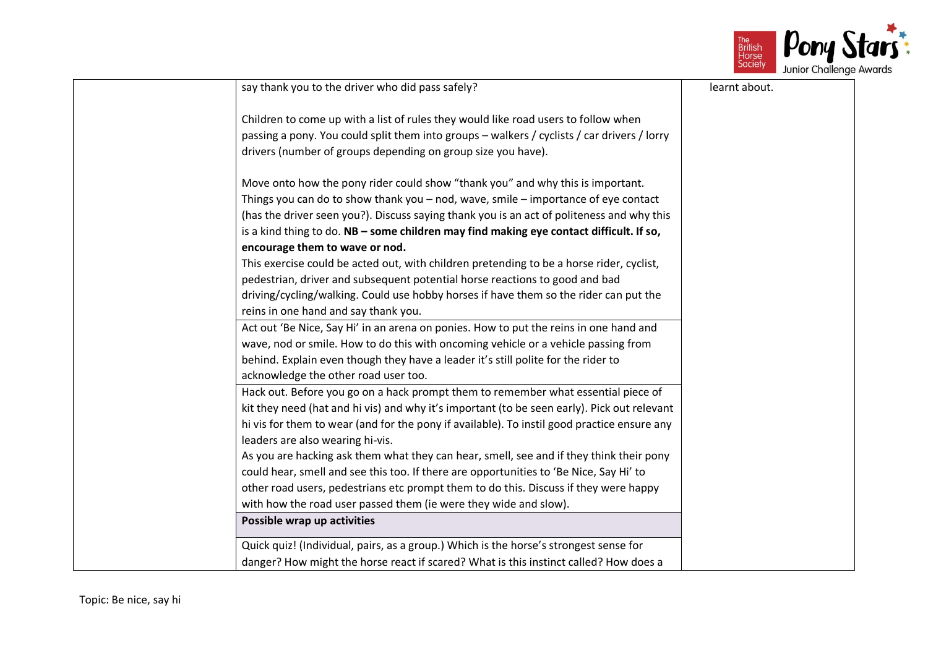

| say thank you to the driver who did pass safely?                                            | learnt about. |
|---------------------------------------------------------------------------------------------|---------------|
| Children to come up with a list of rules they would like road users to follow when          |               |
| passing a pony. You could split them into groups - walkers / cyclists / car drivers / lorry |               |
| drivers (number of groups depending on group size you have).                                |               |
|                                                                                             |               |
| Move onto how the pony rider could show "thank you" and why this is important.              |               |
| Things you can do to show thank you - nod, wave, smile - importance of eye contact          |               |
| (has the driver seen you?). Discuss saying thank you is an act of politeness and why this   |               |
| is a kind thing to do. NB - some children may find making eye contact difficult. If so,     |               |
| encourage them to wave or nod.                                                              |               |
| This exercise could be acted out, with children pretending to be a horse rider, cyclist,    |               |
| pedestrian, driver and subsequent potential horse reactions to good and bad                 |               |
| driving/cycling/walking. Could use hobby horses if have them so the rider can put the       |               |
| reins in one hand and say thank you.                                                        |               |
| Act out 'Be Nice, Say Hi' in an arena on ponies. How to put the reins in one hand and       |               |
| wave, nod or smile. How to do this with oncoming vehicle or a vehicle passing from          |               |
| behind. Explain even though they have a leader it's still polite for the rider to           |               |
| acknowledge the other road user too.                                                        |               |
| Hack out. Before you go on a hack prompt them to remember what essential piece of           |               |
| kit they need (hat and hi vis) and why it's important (to be seen early). Pick out relevant |               |
| hi vis for them to wear (and for the pony if available). To instil good practice ensure any |               |
| leaders are also wearing hi-vis.                                                            |               |
| As you are hacking ask them what they can hear, smell, see and if they think their pony     |               |
| could hear, smell and see this too. If there are opportunities to 'Be Nice, Say Hi' to      |               |
| other road users, pedestrians etc prompt them to do this. Discuss if they were happy        |               |
| with how the road user passed them (ie were they wide and slow).                            |               |
| Possible wrap up activities                                                                 |               |
| Quick quiz! (Individual, pairs, as a group.) Which is the horse's strongest sense for       |               |
| danger? How might the horse react if scared? What is this instinct called? How does a       |               |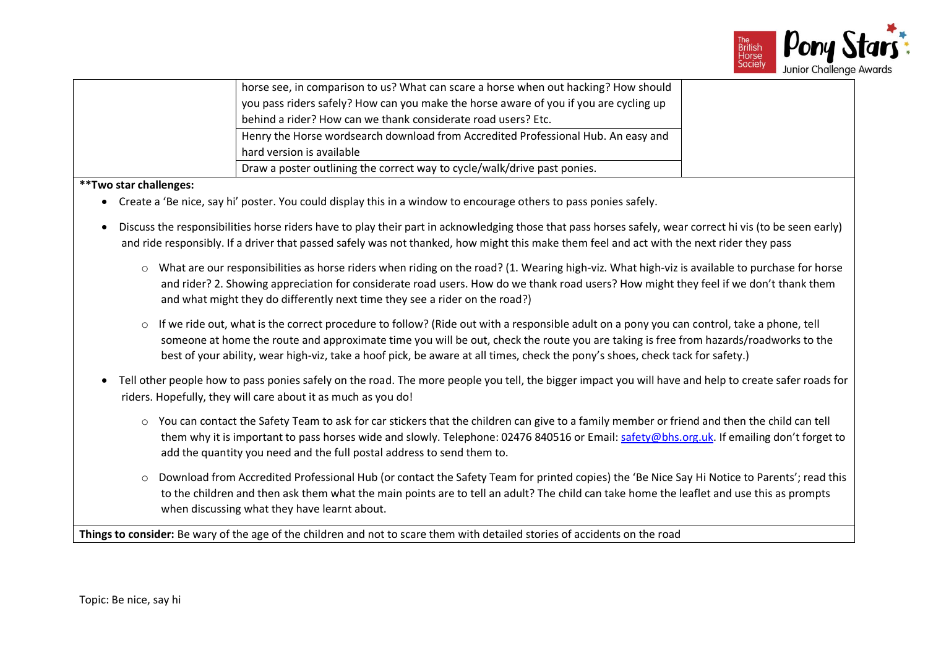

| horse see, in comparison to us? What can scare a horse when out hacking? How should<br>you pass riders safely? How can you make the horse aware of you if you are cycling up |
|------------------------------------------------------------------------------------------------------------------------------------------------------------------------------|
| behind a rider? How can we thank considerate road users? Etc.                                                                                                                |
| Henry the Horse wordsearch download from Accredited Professional Hub. An easy and<br>hard version is available                                                               |
| Draw a poster outlining the correct way to cycle/walk/drive past ponies.                                                                                                     |

**\*\*Two star challenges:**

- Create a 'Be nice, say hi' poster. You could display this in a window to encourage others to pass ponies safely.
- Discuss the responsibilities horse riders have to play their part in acknowledging those that pass horses safely, wear correct hi vis (to be seen early) and ride responsibly. If a driver that passed safely was not thanked, how might this make them feel and act with the next rider they pass
	- $\circ$  What are our responsibilities as horse riders when riding on the road? (1. Wearing high-viz. What high-viz is available to purchase for horse and rider? 2. Showing appreciation for considerate road users. How do we thank road users? How might they feel if we don't thank them and what might they do differently next time they see a rider on the road?)
	- $\circ$  If we ride out, what is the correct procedure to follow? (Ride out with a responsible adult on a pony you can control, take a phone, tell someone at home the route and approximate time you will be out, check the route you are taking is free from hazards/roadworks to the best of your ability, wear high-viz, take a hoof pick, be aware at all times, check the pony's shoes, check tack for safety.)
- Tell other people how to pass ponies safely on the road. The more people you tell, the bigger impact you will have and help to create safer roads for riders. Hopefully, they will care about it as much as you do!
	- $\circ$  You can contact the Safety Team to ask for car stickers that the children can give to a family member or friend and then the child can tell them why it is important to pass horses wide and slowly. Telephone: 02476 840516 or Email[: safety@bhs.org.uk.](mailto:safety@bhs.org.uk) If emailing don't forget to add the quantity you need and the full postal address to send them to.
	- o Download from Accredited Professional Hub (or contact the Safety Team for printed copies) the 'Be Nice Say Hi Notice to Parents'; read this to the children and then ask them what the main points are to tell an adult? The child can take home the leaflet and use this as prompts when discussing what they have learnt about.

**Things to consider:** Be wary of the age of the children and not to scare them with detailed stories of accidents on the road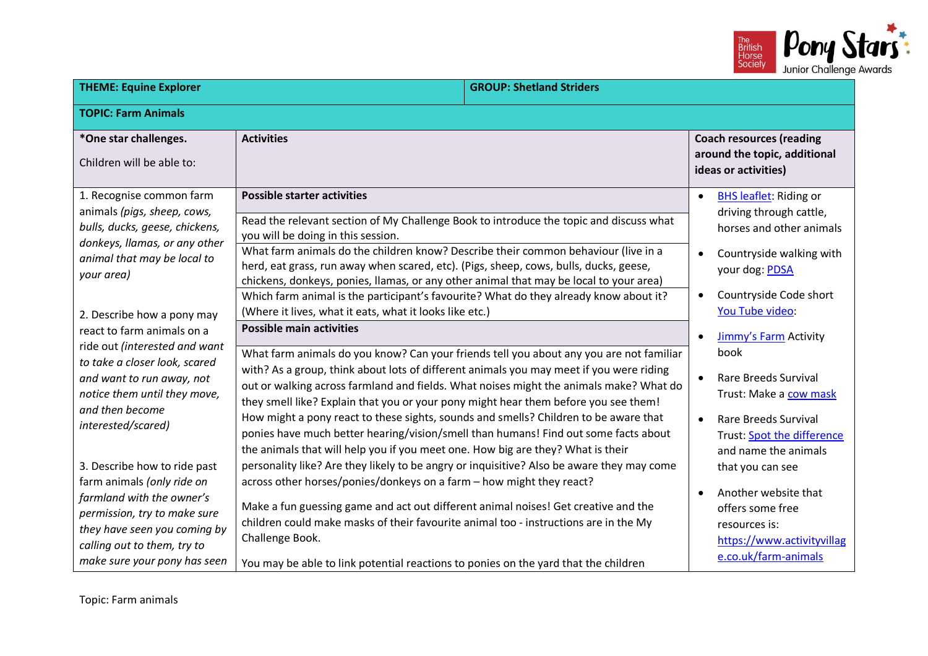

| <b>THEME: Equine Explorer</b>                                                                                                                                                                                          |                                                                                                                                                                                                                                                                                                                                                                                                                                                                                                                                                                                                                                       | <b>GROUP: Shetland Striders</b> |                                                                                                                                                                                        |
|------------------------------------------------------------------------------------------------------------------------------------------------------------------------------------------------------------------------|---------------------------------------------------------------------------------------------------------------------------------------------------------------------------------------------------------------------------------------------------------------------------------------------------------------------------------------------------------------------------------------------------------------------------------------------------------------------------------------------------------------------------------------------------------------------------------------------------------------------------------------|---------------------------------|----------------------------------------------------------------------------------------------------------------------------------------------------------------------------------------|
| <b>TOPIC: Farm Animals</b>                                                                                                                                                                                             |                                                                                                                                                                                                                                                                                                                                                                                                                                                                                                                                                                                                                                       |                                 |                                                                                                                                                                                        |
| *One star challenges.<br>Children will be able to:                                                                                                                                                                     | <b>Activities</b>                                                                                                                                                                                                                                                                                                                                                                                                                                                                                                                                                                                                                     |                                 | <b>Coach resources (reading</b><br>around the topic, additional<br>ideas or activities)                                                                                                |
| 1. Recognise common farm<br>animals (pigs, sheep, cows,<br>bulls, ducks, geese, chickens,<br>donkeys, Ilamas, or any other<br>animal that may be local to<br>your area)                                                | <b>Possible starter activities</b><br>Read the relevant section of My Challenge Book to introduce the topic and discuss what<br>you will be doing in this session.<br>What farm animals do the children know? Describe their common behaviour (live in a<br>herd, eat grass, run away when scared, etc). (Pigs, sheep, cows, bulls, ducks, geese,<br>chickens, donkeys, ponies, llamas, or any other animal that may be local to your area)<br>Which farm animal is the participant's favourite? What do they already know about it?                                                                                                  |                                 | <b>BHS leaflet:</b> Riding or<br>$\bullet$<br>driving through cattle,<br>horses and other animals<br>Countryside walking with<br>your dog: PDSA<br>Countryside Code short<br>$\bullet$ |
| 2. Describe how a pony may<br>react to farm animals on a                                                                                                                                                               | (Where it lives, what it eats, what it looks like etc.)<br><b>Possible main activities</b>                                                                                                                                                                                                                                                                                                                                                                                                                                                                                                                                            |                                 | You Tube video:<br>Jimmy's Farm Activity<br>$\bullet$                                                                                                                                  |
| ride out (interested and want<br>to take a closer look, scared<br>and want to run away, not<br>notice them until they move,<br>and then become<br>interested/scared)                                                   | What farm animals do you know? Can your friends tell you about any you are not familiar<br>with? As a group, think about lots of different animals you may meet if you were riding<br>out or walking across farmland and fields. What noises might the animals make? What do<br>they smell like? Explain that you or your pony might hear them before you see them!<br>How might a pony react to these sights, sounds and smells? Children to be aware that<br>ponies have much better hearing/vision/smell than humans! Find out some facts about<br>the animals that will help you if you meet one. How big are they? What is their |                                 | book<br><b>Rare Breeds Survival</b><br>$\bullet$<br>Trust: Make a cow mask<br><b>Rare Breeds Survival</b><br>$\bullet$<br>Trust: Spot the difference<br>and name the animals           |
| 3. Describe how to ride past<br>farm animals (only ride on<br>farmland with the owner's<br>permission, try to make sure<br>they have seen you coming by<br>calling out to them, try to<br>make sure your pony has seen | personality like? Are they likely to be angry or inquisitive? Also be aware they may come<br>across other horses/ponies/donkeys on a farm - how might they react?<br>Make a fun guessing game and act out different animal noises! Get creative and the<br>children could make masks of their favourite animal too - instructions are in the My<br>Challenge Book.<br>You may be able to link potential reactions to ponies on the yard that the children                                                                                                                                                                             |                                 | that you can see<br>Another website that<br>offers some free<br>resources is:<br>https://www.activityvillag<br>e.co.uk/farm-animals                                                    |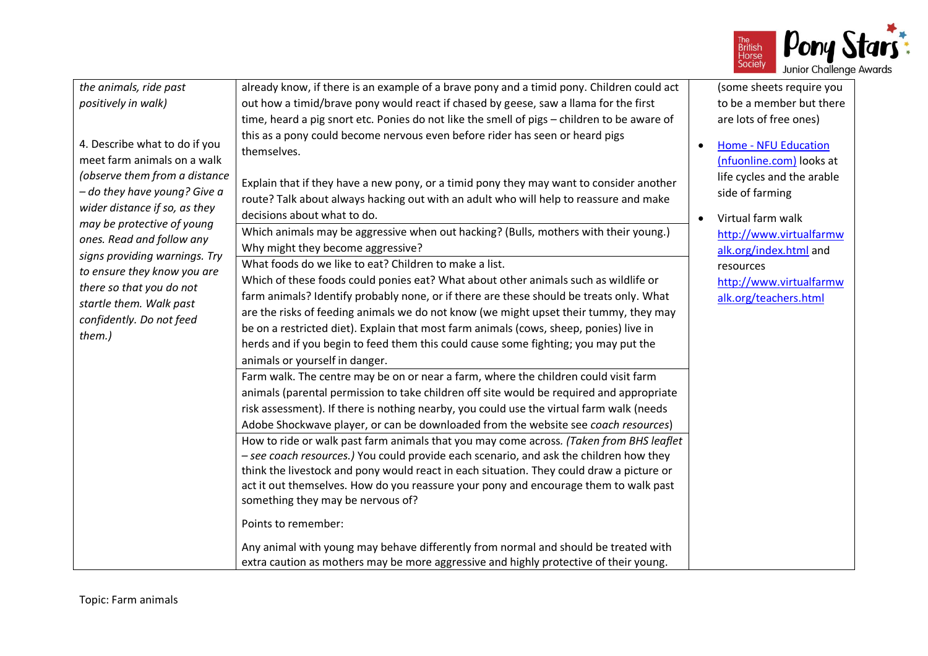

| the animals, ride past<br>positively in walk)<br>4. Describe what to do if you<br>meet farm animals on a walk<br>(observe them from a distance<br>- do they have young? Give a<br>wider distance if so, as they<br>may be protective of young<br>ones. Read and follow any<br>signs providing warnings. Try<br>to ensure they know you are<br>there so that you do not<br>startle them. Walk past<br>confidently. Do not feed<br>them.) | already know, if there is an example of a brave pony and a timid pony. Children could act<br>out how a timid/brave pony would react if chased by geese, saw a llama for the first<br>time, heard a pig snort etc. Ponies do not like the smell of pigs - children to be aware of<br>this as a pony could become nervous even before rider has seen or heard pigs<br>themselves.<br>Explain that if they have a new pony, or a timid pony they may want to consider another<br>route? Talk about always hacking out with an adult who will help to reassure and make<br>decisions about what to do.<br>Which animals may be aggressive when out hacking? (Bulls, mothers with their young.)<br>Why might they become aggressive?<br>What foods do we like to eat? Children to make a list.<br>Which of these foods could ponies eat? What about other animals such as wildlife or<br>farm animals? Identify probably none, or if there are these should be treats only. What<br>are the risks of feeding animals we do not know (we might upset their tummy, they may<br>be on a restricted diet). Explain that most farm animals (cows, sheep, ponies) live in<br>herds and if you begin to feed them this could cause some fighting; you may put the<br>animals or yourself in danger.<br>Farm walk. The centre may be on or near a farm, where the children could visit farm<br>animals (parental permission to take children off site would be required and appropriate<br>risk assessment). If there is nothing nearby, you could use the virtual farm walk (needs<br>Adobe Shockwave player, or can be downloaded from the website see coach resources)<br>How to ride or walk past farm animals that you may come across. (Taken from BHS leaflet<br>- see coach resources.) You could provide each scenario, and ask the children how they<br>think the livestock and pony would react in each situation. They could draw a picture or<br>act it out themselves. How do you reassure your pony and encourage them to walk past<br>something they may be nervous of?<br>Points to remember:<br>Any animal with young may behave differently from normal and should be treated with<br>extra caution as mothers may be more aggressive and highly protective of their young. | $\bullet$<br>$\bullet$ | (some sheets require you<br>to be a member but there<br>are lots of free ones)<br><b>Home - NFU Education</b><br>(nfuonline.com) looks at<br>life cycles and the arable<br>side of farming<br>Virtual farm walk<br>http://www.virtualfarmw<br>alk.org/index.html and<br>resources<br>http://www.virtualfarmw<br>alk.org/teachers.html |
|-----------------------------------------------------------------------------------------------------------------------------------------------------------------------------------------------------------------------------------------------------------------------------------------------------------------------------------------------------------------------------------------------------------------------------------------|-----------------------------------------------------------------------------------------------------------------------------------------------------------------------------------------------------------------------------------------------------------------------------------------------------------------------------------------------------------------------------------------------------------------------------------------------------------------------------------------------------------------------------------------------------------------------------------------------------------------------------------------------------------------------------------------------------------------------------------------------------------------------------------------------------------------------------------------------------------------------------------------------------------------------------------------------------------------------------------------------------------------------------------------------------------------------------------------------------------------------------------------------------------------------------------------------------------------------------------------------------------------------------------------------------------------------------------------------------------------------------------------------------------------------------------------------------------------------------------------------------------------------------------------------------------------------------------------------------------------------------------------------------------------------------------------------------------------------------------------------------------------------------------------------------------------------------------------------------------------------------------------------------------------------------------------------------------------------------------------------------------------------------------------------------------------------------------------------------------------------------------------------------------------------------------------------------------------------------------------------------------------------------------|------------------------|---------------------------------------------------------------------------------------------------------------------------------------------------------------------------------------------------------------------------------------------------------------------------------------------------------------------------------------|
|-----------------------------------------------------------------------------------------------------------------------------------------------------------------------------------------------------------------------------------------------------------------------------------------------------------------------------------------------------------------------------------------------------------------------------------------|-----------------------------------------------------------------------------------------------------------------------------------------------------------------------------------------------------------------------------------------------------------------------------------------------------------------------------------------------------------------------------------------------------------------------------------------------------------------------------------------------------------------------------------------------------------------------------------------------------------------------------------------------------------------------------------------------------------------------------------------------------------------------------------------------------------------------------------------------------------------------------------------------------------------------------------------------------------------------------------------------------------------------------------------------------------------------------------------------------------------------------------------------------------------------------------------------------------------------------------------------------------------------------------------------------------------------------------------------------------------------------------------------------------------------------------------------------------------------------------------------------------------------------------------------------------------------------------------------------------------------------------------------------------------------------------------------------------------------------------------------------------------------------------------------------------------------------------------------------------------------------------------------------------------------------------------------------------------------------------------------------------------------------------------------------------------------------------------------------------------------------------------------------------------------------------------------------------------------------------------------------------------------------------|------------------------|---------------------------------------------------------------------------------------------------------------------------------------------------------------------------------------------------------------------------------------------------------------------------------------------------------------------------------------|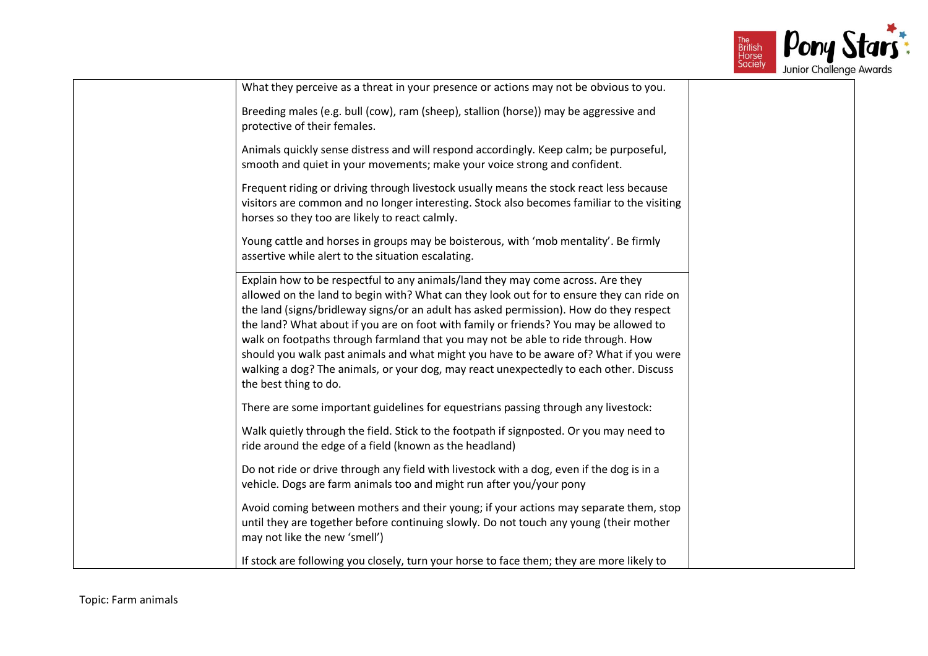

| What they perceive as a threat in your presence or actions may not be obvious to you.                                                                                                                                                                                                                                                                                                                                                                                                                                                                                                                                                                          |  |
|----------------------------------------------------------------------------------------------------------------------------------------------------------------------------------------------------------------------------------------------------------------------------------------------------------------------------------------------------------------------------------------------------------------------------------------------------------------------------------------------------------------------------------------------------------------------------------------------------------------------------------------------------------------|--|
| Breeding males (e.g. bull (cow), ram (sheep), stallion (horse)) may be aggressive and<br>protective of their females.                                                                                                                                                                                                                                                                                                                                                                                                                                                                                                                                          |  |
| Animals quickly sense distress and will respond accordingly. Keep calm; be purposeful,<br>smooth and quiet in your movements; make your voice strong and confident.                                                                                                                                                                                                                                                                                                                                                                                                                                                                                            |  |
| Frequent riding or driving through livestock usually means the stock react less because<br>visitors are common and no longer interesting. Stock also becomes familiar to the visiting<br>horses so they too are likely to react calmly.                                                                                                                                                                                                                                                                                                                                                                                                                        |  |
| Young cattle and horses in groups may be boisterous, with 'mob mentality'. Be firmly<br>assertive while alert to the situation escalating.                                                                                                                                                                                                                                                                                                                                                                                                                                                                                                                     |  |
| Explain how to be respectful to any animals/land they may come across. Are they<br>allowed on the land to begin with? What can they look out for to ensure they can ride on<br>the land (signs/bridleway signs/or an adult has asked permission). How do they respect<br>the land? What about if you are on foot with family or friends? You may be allowed to<br>walk on footpaths through farmland that you may not be able to ride through. How<br>should you walk past animals and what might you have to be aware of? What if you were<br>walking a dog? The animals, or your dog, may react unexpectedly to each other. Discuss<br>the best thing to do. |  |
| There are some important guidelines for equestrians passing through any livestock:                                                                                                                                                                                                                                                                                                                                                                                                                                                                                                                                                                             |  |
| Walk quietly through the field. Stick to the footpath if signposted. Or you may need to<br>ride around the edge of a field (known as the headland)                                                                                                                                                                                                                                                                                                                                                                                                                                                                                                             |  |
| Do not ride or drive through any field with livestock with a dog, even if the dog is in a<br>vehicle. Dogs are farm animals too and might run after you/your pony                                                                                                                                                                                                                                                                                                                                                                                                                                                                                              |  |
| Avoid coming between mothers and their young; if your actions may separate them, stop<br>until they are together before continuing slowly. Do not touch any young (their mother<br>may not like the new 'smell')                                                                                                                                                                                                                                                                                                                                                                                                                                               |  |
| If stock are following you closely, turn your horse to face them; they are more likely to                                                                                                                                                                                                                                                                                                                                                                                                                                                                                                                                                                      |  |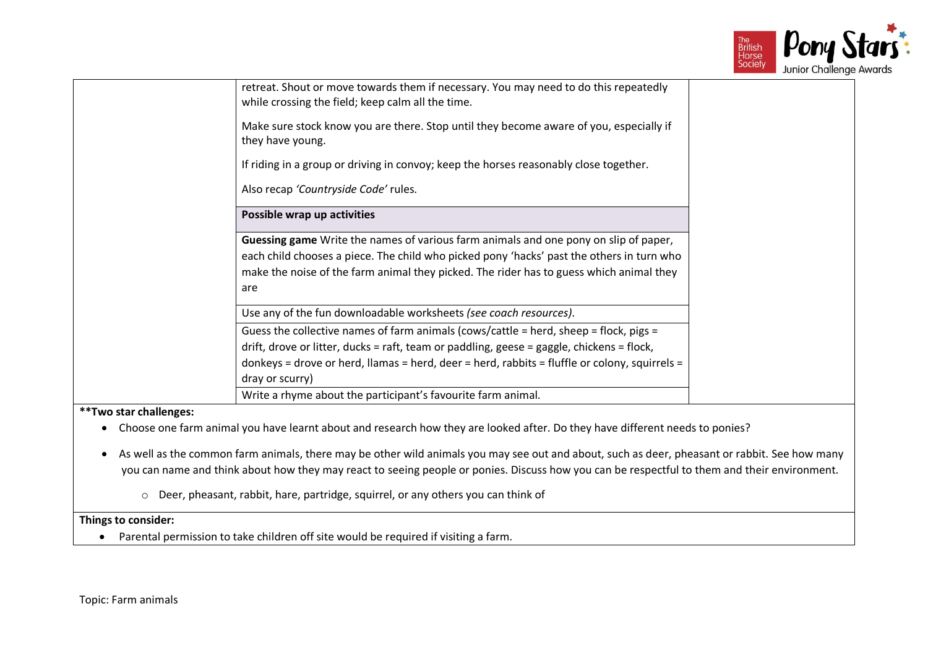

|                        | retreat. Shout or move towards them if necessary. You may need to do this repeatedly<br>while crossing the field; keep calm all the time.                                                                                                                                                              |
|------------------------|--------------------------------------------------------------------------------------------------------------------------------------------------------------------------------------------------------------------------------------------------------------------------------------------------------|
|                        | Make sure stock know you are there. Stop until they become aware of you, especially if<br>they have young.                                                                                                                                                                                             |
|                        | If riding in a group or driving in convoy; keep the horses reasonably close together.                                                                                                                                                                                                                  |
|                        | Also recap 'Countryside Code' rules.                                                                                                                                                                                                                                                                   |
|                        | Possible wrap up activities                                                                                                                                                                                                                                                                            |
| are                    | <b>Guessing game</b> Write the names of various farm animals and one pony on slip of paper,<br>each child chooses a piece. The child who picked pony 'hacks' past the others in turn who<br>make the noise of the farm animal they picked. The rider has to guess which animal they                    |
|                        | Use any of the fun downloadable worksheets (see coach resources).                                                                                                                                                                                                                                      |
|                        | Guess the collective names of farm animals (cows/cattle = herd, sheep = flock, pigs =<br>drift, drove or litter, ducks = raft, team or paddling, geese = gaggle, chickens = flock,<br>donkeys = drove or herd, llamas = herd, deer = herd, rabbits = fluffle or colony, squirrels =<br>dray or scurry) |
|                        | Write a rhyme about the participant's favourite farm animal.                                                                                                                                                                                                                                           |
| **Two star challenges: |                                                                                                                                                                                                                                                                                                        |

- Choose one farm animal you have learnt about and research how they are looked after. Do they have different needs to ponies?
- As well as the common farm animals, there may be other wild animals you may see out and about, such as deer, pheasant or rabbit. See how many you can name and think about how they may react to seeing people or ponies. Discuss how you can be respectful to them and their environment.
	- o Deer, pheasant, rabbit, hare, partridge, squirrel, or any others you can think of

• Parental permission to take children off site would be required if visiting a farm.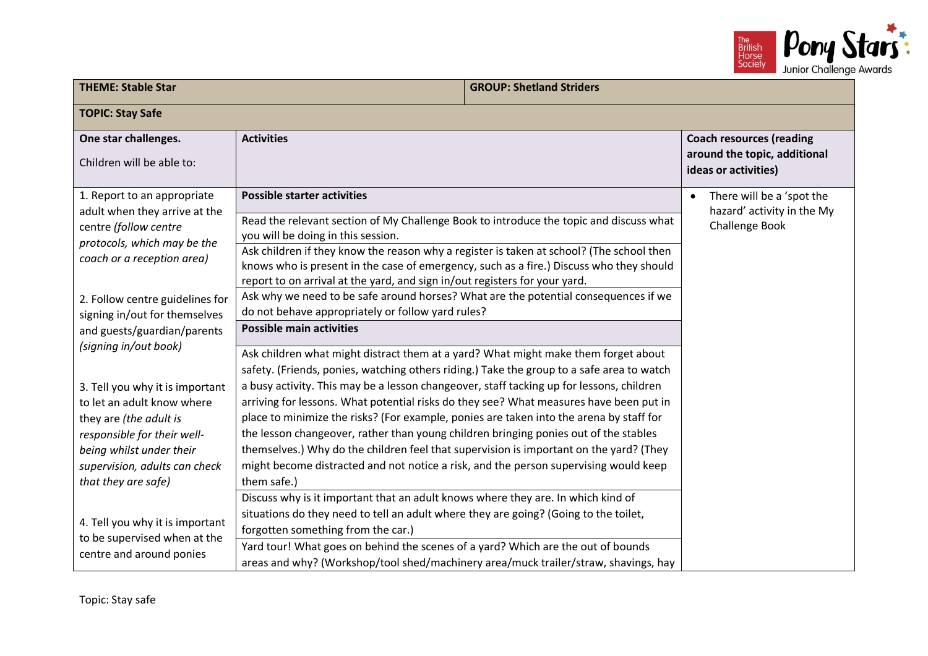

| <b>THEME: Stable Star</b>                                                                                                                                                                                                           |                                                                                                                                                                                                                                                                                                                                                                                                                                                                                                                                                                                                                                                                                                                                                           | <b>GROUP: Shetland Striders</b> |                                                                                         |
|-------------------------------------------------------------------------------------------------------------------------------------------------------------------------------------------------------------------------------------|-----------------------------------------------------------------------------------------------------------------------------------------------------------------------------------------------------------------------------------------------------------------------------------------------------------------------------------------------------------------------------------------------------------------------------------------------------------------------------------------------------------------------------------------------------------------------------------------------------------------------------------------------------------------------------------------------------------------------------------------------------------|---------------------------------|-----------------------------------------------------------------------------------------|
| <b>TOPIC: Stay Safe</b>                                                                                                                                                                                                             |                                                                                                                                                                                                                                                                                                                                                                                                                                                                                                                                                                                                                                                                                                                                                           |                                 |                                                                                         |
| One star challenges.<br>Children will be able to:                                                                                                                                                                                   | <b>Activities</b>                                                                                                                                                                                                                                                                                                                                                                                                                                                                                                                                                                                                                                                                                                                                         |                                 | <b>Coach resources (reading</b><br>around the topic, additional<br>ideas or activities) |
| 1. Report to an appropriate<br>adult when they arrive at the<br>centre (follow centre<br>protocols, which may be the<br>coach or a reception area)                                                                                  | <b>Possible starter activities</b><br>Read the relevant section of My Challenge Book to introduce the topic and discuss what<br>you will be doing in this session.<br>Ask children if they know the reason why a register is taken at school? (The school then                                                                                                                                                                                                                                                                                                                                                                                                                                                                                            |                                 | There will be a 'spot the<br>$\bullet$<br>hazard' activity in the My<br>Challenge Book  |
| 2. Follow centre guidelines for<br>signing in/out for themselves<br>and guests/guardian/parents                                                                                                                                     | knows who is present in the case of emergency, such as a fire.) Discuss who they should<br>report to on arrival at the yard, and sign in/out registers for your yard.<br>Ask why we need to be safe around horses? What are the potential consequences if we<br>do not behave appropriately or follow yard rules?<br><b>Possible main activities</b>                                                                                                                                                                                                                                                                                                                                                                                                      |                                 |                                                                                         |
| (signing in/out book)<br>3. Tell you why it is important<br>to let an adult know where<br>they are (the adult is<br>responsible for their well-<br>being whilst under their<br>supervision, adults can check<br>that they are safe) | Ask children what might distract them at a yard? What might make them forget about<br>safety. (Friends, ponies, watching others riding.) Take the group to a safe area to watch<br>a busy activity. This may be a lesson changeover, staff tacking up for lessons, children<br>arriving for lessons. What potential risks do they see? What measures have been put in<br>place to minimize the risks? (For example, ponies are taken into the arena by staff for<br>the lesson changeover, rather than young children bringing ponies out of the stables<br>themselves.) Why do the children feel that supervision is important on the yard? (They<br>might become distracted and not notice a risk, and the person supervising would keep<br>them safe.) |                                 |                                                                                         |
| 4. Tell you why it is important<br>to be supervised when at the<br>centre and around ponies                                                                                                                                         | Discuss why is it important that an adult knows where they are. In which kind of<br>situations do they need to tell an adult where they are going? (Going to the toilet,<br>forgotten something from the car.)<br>Yard tour! What goes on behind the scenes of a yard? Which are the out of bounds<br>areas and why? (Workshop/tool shed/machinery area/muck trailer/straw, shavings, hay                                                                                                                                                                                                                                                                                                                                                                 |                                 |                                                                                         |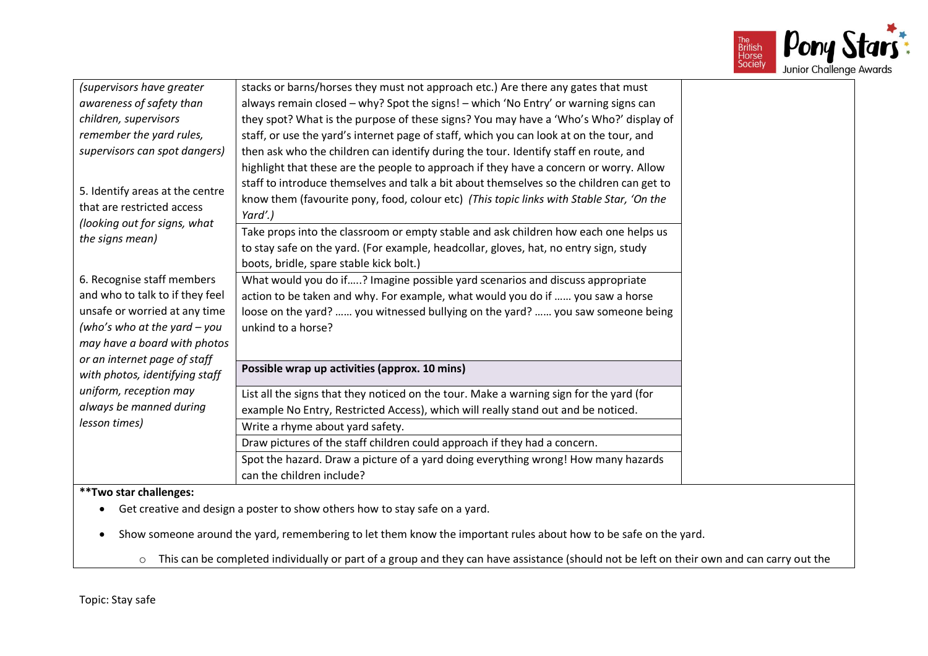

| (supervisors have greater       | stacks or barns/horses they must not approach etc.) Are there any gates that must        |
|---------------------------------|------------------------------------------------------------------------------------------|
| awareness of safety than        | always remain closed - why? Spot the signs! - which 'No Entry' or warning signs can      |
| children, supervisors           | they spot? What is the purpose of these signs? You may have a 'Who's Who?' display of    |
| remember the yard rules,        | staff, or use the yard's internet page of staff, which you can look at on the tour, and  |
| supervisors can spot dangers)   | then ask who the children can identify during the tour. Identify staff en route, and     |
|                                 | highlight that these are the people to approach if they have a concern or worry. Allow   |
| 5. Identify areas at the centre | staff to introduce themselves and talk a bit about themselves so the children can get to |
| that are restricted access      | know them (favourite pony, food, colour etc) (This topic links with Stable Star, 'On the |
| (looking out for signs, what    | Yard'.)                                                                                  |
| the signs mean)                 | Take props into the classroom or empty stable and ask children how each one helps us     |
|                                 | to stay safe on the yard. (For example, headcollar, gloves, hat, no entry sign, study    |
|                                 | boots, bridle, spare stable kick bolt.)                                                  |
| 6. Recognise staff members      | What would you do if? Imagine possible yard scenarios and discuss appropriate            |
| and who to talk to if they feel | action to be taken and why. For example, what would you do if  you saw a horse           |
| unsafe or worried at any time   | loose on the yard?  you witnessed bullying on the yard?  you saw someone being           |
| (who's who at the yard $-$ you  | unkind to a horse?                                                                       |
| may have a board with photos    |                                                                                          |
| or an internet page of staff    | Possible wrap up activities (approx. 10 mins)                                            |
| with photos, identifying staff  |                                                                                          |
| uniform, reception may          | List all the signs that they noticed on the tour. Make a warning sign for the yard (for  |
| always be manned during         | example No Entry, Restricted Access), which will really stand out and be noticed.        |
| lesson times)                   | Write a rhyme about yard safety.                                                         |
|                                 | Draw pictures of the staff children could approach if they had a concern.                |
|                                 | Spot the hazard. Draw a picture of a yard doing everything wrong! How many hazards       |
|                                 | can the children include?                                                                |
| **Two star challenges:          |                                                                                          |
|                                 | • Get creative and design a poster to show others how to stay safe on a yard.            |
|                                 |                                                                                          |

- Show someone around the yard, remembering to let them know the important rules about how to be safe on the yard.
	- o This can be completed individually or part of a group and they can have assistance (should not be left on their own and can carry out the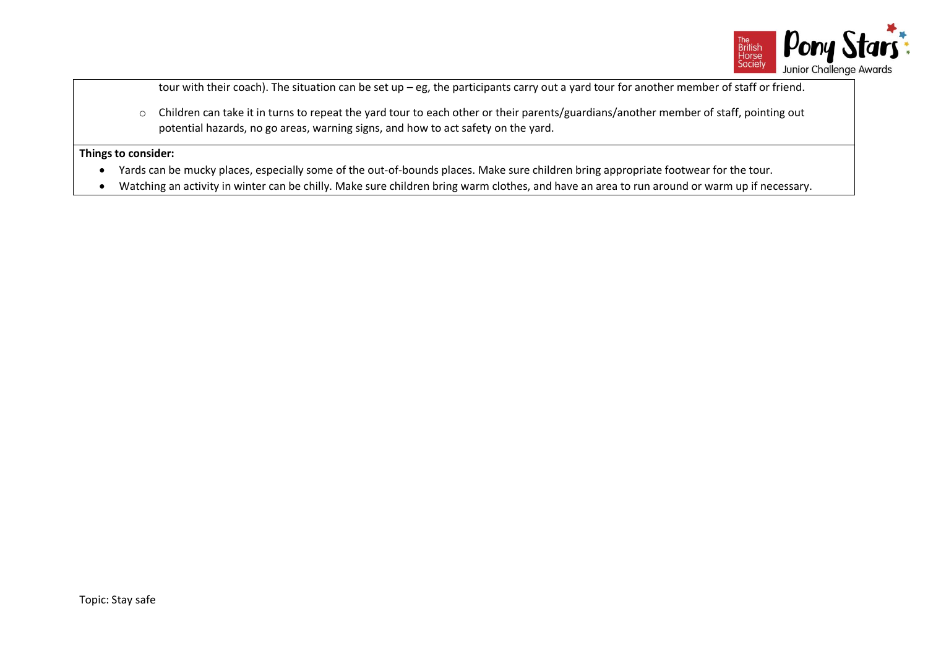

tour with their coach). The situation can be set up – eg, the participants carry out a yard tour for another member of staff or friend.

o Children can take it in turns to repeat the yard tour to each other or their parents/guardians/another member of staff, pointing out potential hazards, no go areas, warning signs, and how to act safety on the yard.

- Yards can be mucky places, especially some of the out-of-bounds places. Make sure children bring appropriate footwear for the tour.
- Watching an activity in winter can be chilly. Make sure children bring warm clothes, and have an area to run around or warm up if necessary.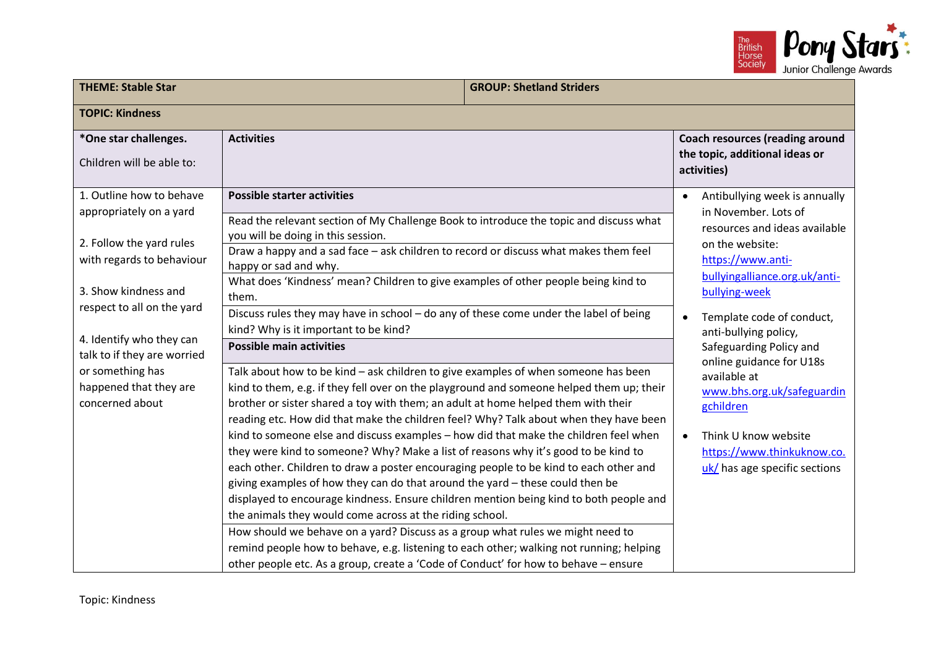

| <b>THEME: Stable Star</b>                                     |                                                                                                                                                                                                                                                                                                                                                              | <b>GROUP: Shetland Striders</b> |                                                                                         |  |
|---------------------------------------------------------------|--------------------------------------------------------------------------------------------------------------------------------------------------------------------------------------------------------------------------------------------------------------------------------------------------------------------------------------------------------------|---------------------------------|-----------------------------------------------------------------------------------------|--|
| <b>TOPIC: Kindness</b>                                        |                                                                                                                                                                                                                                                                                                                                                              |                                 |                                                                                         |  |
| *One star challenges.<br>Children will be able to:            | <b>Activities</b>                                                                                                                                                                                                                                                                                                                                            |                                 | <b>Coach resources (reading around</b><br>the topic, additional ideas or<br>activities) |  |
| 1. Outline how to behave<br>appropriately on a yard           | <b>Possible starter activities</b><br>Read the relevant section of My Challenge Book to introduce the topic and discuss what                                                                                                                                                                                                                                 |                                 | Antibullying week is annually<br>in November. Lots of<br>resources and ideas available  |  |
| 2. Follow the yard rules<br>with regards to behaviour         | you will be doing in this session.<br>Draw a happy and a sad face - ask children to record or discuss what makes them feel<br>happy or sad and why.<br>What does 'Kindness' mean? Children to give examples of other people being kind to                                                                                                                    |                                 | on the website:<br>https://www.anti-<br>bullyingalliance.org.uk/anti-                   |  |
| 3. Show kindness and<br>respect to all on the yard            | them.<br>Discuss rules they may have in school - do any of these come under the label of being<br>kind? Why is it important to be kind?                                                                                                                                                                                                                      |                                 | bullying-week<br>Template code of conduct,                                              |  |
| 4. Identify who they can<br>talk to if they are worried       | <b>Possible main activities</b>                                                                                                                                                                                                                                                                                                                              |                                 | anti-bullying policy,<br>Safeguarding Policy and<br>online guidance for U18s            |  |
| or something has<br>happened that they are<br>concerned about | Talk about how to be kind - ask children to give examples of when someone has been<br>kind to them, e.g. if they fell over on the playground and someone helped them up; their<br>brother or sister shared a toy with them; an adult at home helped them with their<br>reading etc. How did that make the children feel? Why? Talk about when they have been |                                 | available at<br>www.bhs.org.uk/safeguardin<br>gchildren                                 |  |
|                                                               | kind to someone else and discuss examples - how did that make the children feel when<br>they were kind to someone? Why? Make a list of reasons why it's good to be kind to<br>each other. Children to draw a poster encouraging people to be kind to each other and<br>giving examples of how they can do that around the yard - these could then be         |                                 | Think U know website<br>https://www.thinkuknow.co.<br>uk/ has age specific sections     |  |
|                                                               | displayed to encourage kindness. Ensure children mention being kind to both people and<br>the animals they would come across at the riding school.<br>How should we behave on a yard? Discuss as a group what rules we might need to                                                                                                                         |                                 |                                                                                         |  |
|                                                               | remind people how to behave, e.g. listening to each other; walking not running; helping<br>other people etc. As a group, create a 'Code of Conduct' for how to behave - ensure                                                                                                                                                                               |                                 |                                                                                         |  |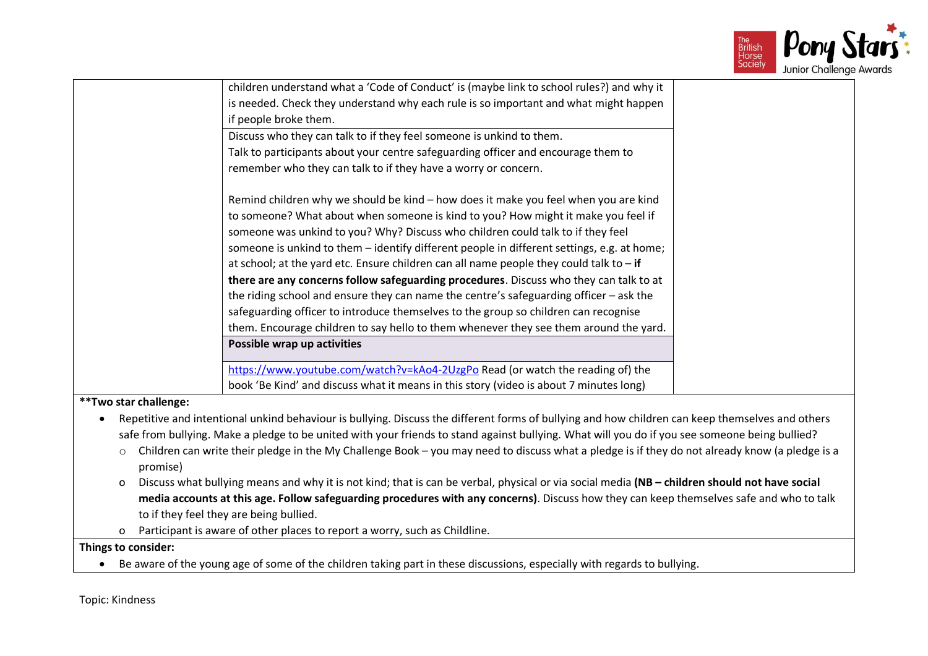

|                       | children understand what a 'Code of Conduct' is (maybe link to school rules?) and why it                                                         |  |
|-----------------------|--------------------------------------------------------------------------------------------------------------------------------------------------|--|
|                       | is needed. Check they understand why each rule is so important and what might happen                                                             |  |
|                       | if people broke them.                                                                                                                            |  |
|                       | Discuss who they can talk to if they feel someone is unkind to them.                                                                             |  |
|                       | Talk to participants about your centre safeguarding officer and encourage them to                                                                |  |
|                       | remember who they can talk to if they have a worry or concern.                                                                                   |  |
|                       |                                                                                                                                                  |  |
|                       | Remind children why we should be kind - how does it make you feel when you are kind                                                              |  |
|                       | to someone? What about when someone is kind to you? How might it make you feel if                                                                |  |
|                       | someone was unkind to you? Why? Discuss who children could talk to if they feel                                                                  |  |
|                       | someone is unkind to them - identify different people in different settings, e.g. at home;                                                       |  |
|                       | at school; at the yard etc. Ensure children can all name people they could talk to $-$ if                                                        |  |
|                       | there are any concerns follow safeguarding procedures. Discuss who they can talk to at                                                           |  |
|                       | the riding school and ensure they can name the centre's safeguarding officer - ask the                                                           |  |
|                       | safeguarding officer to introduce themselves to the group so children can recognise                                                              |  |
|                       | them. Encourage children to say hello to them whenever they see them around the yard.                                                            |  |
|                       | Possible wrap up activities                                                                                                                      |  |
|                       | https://www.youtube.com/watch?v=kAo4-2UzgPo Read (or watch the reading of) the                                                                   |  |
|                       | book 'Be Kind' and discuss what it means in this story (video is about 7 minutes long)                                                           |  |
| **Two star challenge: |                                                                                                                                                  |  |
|                       | Repetitive and intentional unkind behaviour is bullying. Discuss the different forms of bullying and how children can keep themselves and others |  |
|                       | safe from bullying. Make a pledge to be united with your friends to stand against bullying. What will you do if you see someone being bullied?   |  |
| $\circ$               | Children can write their pledge in the My Challenge Book - you may need to discuss what a pledge is if they do not already know (a pledge is a   |  |
| promise)              |                                                                                                                                                  |  |
| $\circ$               | Discuss what bullying means and why it is not kind; that is can be verbal, physical or via social media (NB - children should not have social    |  |
|                       | media accounts at this age. Follow safeguarding procedures with any concerns). Discuss how they can keep themselves safe and who to talk         |  |
|                       | to if they feel they are being bullied.                                                                                                          |  |
| 0                     | Participant is aware of other places to report a worry, such as Childline.                                                                       |  |
| Things to consider:   |                                                                                                                                                  |  |
|                       | Be aware of the young age of some of the children taking part in these discussions, especially with regards to bullying.                         |  |

Topic: Kindness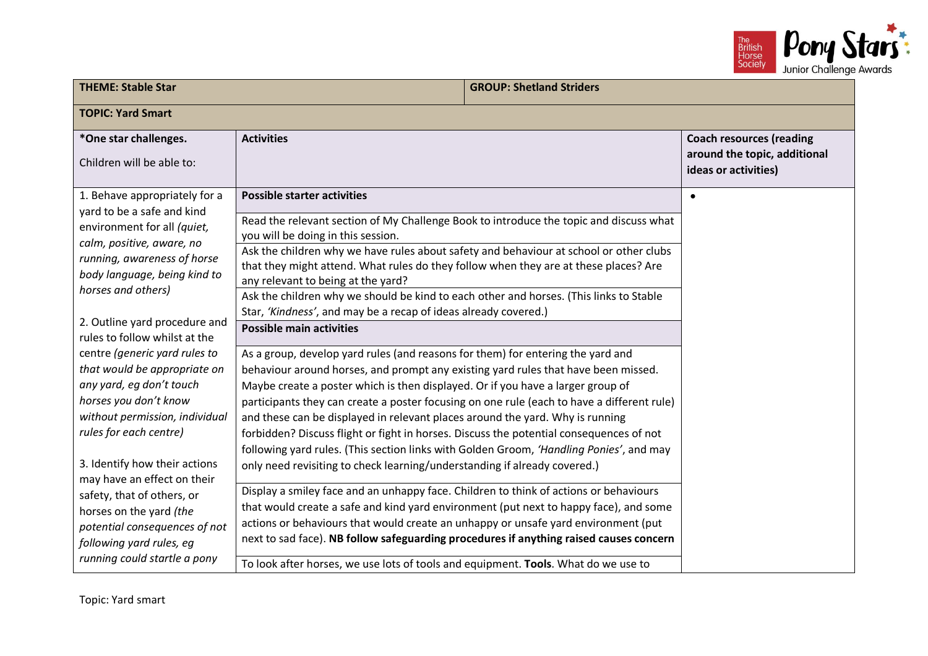

| <b>THEME: Stable Star</b><br><b>GROUP: Shetland Striders</b>                                                                                                                                                                       |                                                                                                                                                                                                                                                                                                                                                                   |  |                                                                                         |
|------------------------------------------------------------------------------------------------------------------------------------------------------------------------------------------------------------------------------------|-------------------------------------------------------------------------------------------------------------------------------------------------------------------------------------------------------------------------------------------------------------------------------------------------------------------------------------------------------------------|--|-----------------------------------------------------------------------------------------|
| <b>TOPIC: Yard Smart</b>                                                                                                                                                                                                           |                                                                                                                                                                                                                                                                                                                                                                   |  |                                                                                         |
| *One star challenges.<br>Children will be able to:                                                                                                                                                                                 | <b>Activities</b>                                                                                                                                                                                                                                                                                                                                                 |  | <b>Coach resources (reading</b><br>around the topic, additional<br>ideas or activities) |
| 1. Behave appropriately for a<br>yard to be a safe and kind<br>environment for all (quiet,<br>calm, positive, aware, no<br>running, awareness of horse                                                                             | <b>Possible starter activities</b><br>Read the relevant section of My Challenge Book to introduce the topic and discuss what<br>you will be doing in this session.<br>Ask the children why we have rules about safety and behaviour at school or other clubs                                                                                                      |  | $\bullet$                                                                               |
| body language, being kind to<br>horses and others)                                                                                                                                                                                 | that they might attend. What rules do they follow when they are at these places? Are<br>any relevant to being at the yard?<br>Ask the children why we should be kind to each other and horses. (This links to Stable<br>Star, 'Kindness', and may be a recap of ideas already covered.)                                                                           |  |                                                                                         |
| 2. Outline yard procedure and<br>rules to follow whilst at the                                                                                                                                                                     | <b>Possible main activities</b>                                                                                                                                                                                                                                                                                                                                   |  |                                                                                         |
| centre (generic yard rules to<br>that would be appropriate on<br>any yard, eg don't touch                                                                                                                                          | As a group, develop yard rules (and reasons for them) for entering the yard and<br>behaviour around horses, and prompt any existing yard rules that have been missed.<br>Maybe create a poster which is then displayed. Or if you have a larger group of                                                                                                          |  |                                                                                         |
| horses you don't know<br>without permission, individual<br>rules for each centre)                                                                                                                                                  | participants they can create a poster focusing on one rule (each to have a different rule)<br>and these can be displayed in relevant places around the yard. Why is running<br>forbidden? Discuss flight or fight in horses. Discuss the potential consequences of not<br>following yard rules. (This section links with Golden Groom, 'Handling Ponies', and may |  |                                                                                         |
| 3. Identify how their actions<br>only need revisiting to check learning/understanding if already covered.)<br>may have an effect on their<br>Display a smiley face and an unhappy face. Children to think of actions or behaviours |                                                                                                                                                                                                                                                                                                                                                                   |  |                                                                                         |
| safety, that of others, or<br>horses on the yard (the<br>potential consequences of not<br>following yard rules, eg                                                                                                                 | that would create a safe and kind yard environment (put next to happy face), and some<br>actions or behaviours that would create an unhappy or unsafe yard environment (put<br>next to sad face). NB follow safeguarding procedures if anything raised causes concern                                                                                             |  |                                                                                         |
| running could startle a pony                                                                                                                                                                                                       | To look after horses, we use lots of tools and equipment. Tools. What do we use to                                                                                                                                                                                                                                                                                |  |                                                                                         |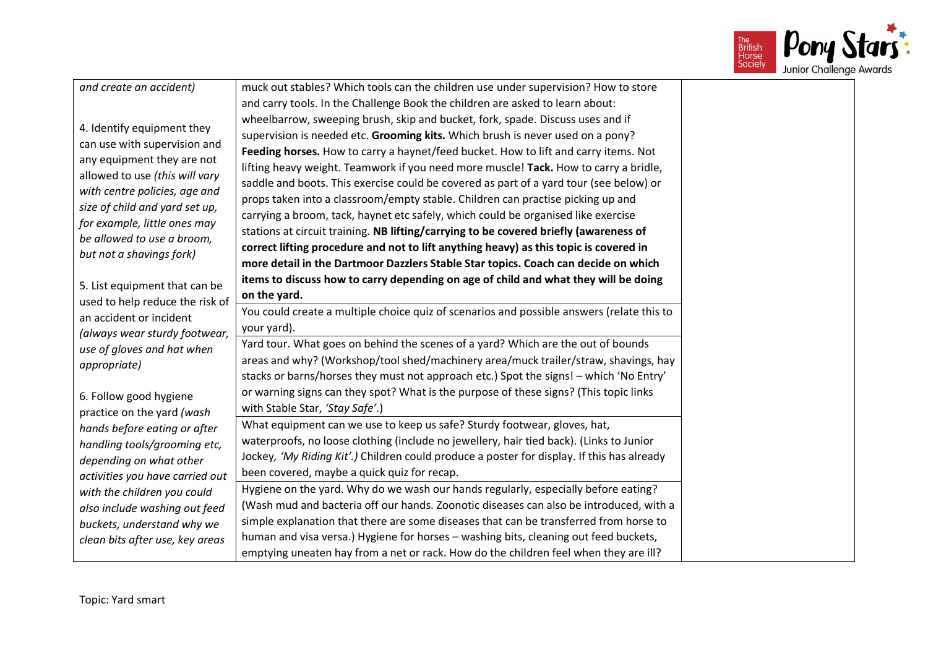

| and create an accident)                                    | muck out stables? Which tools can the children use under supervision? How to store         |  |  |  |  |
|------------------------------------------------------------|--------------------------------------------------------------------------------------------|--|--|--|--|
|                                                            | and carry tools. In the Challenge Book the children are asked to learn about:              |  |  |  |  |
| 4. Identify equipment they                                 | wheelbarrow, sweeping brush, skip and bucket, fork, spade. Discuss uses and if             |  |  |  |  |
|                                                            | supervision is needed etc. Grooming kits. Which brush is never used on a pony?             |  |  |  |  |
| can use with supervision and                               | Feeding horses. How to carry a haynet/feed bucket. How to lift and carry items. Not        |  |  |  |  |
| any equipment they are not                                 | lifting heavy weight. Teamwork if you need more muscle! Tack. How to carry a bridle,       |  |  |  |  |
| allowed to use (this will vary                             | saddle and boots. This exercise could be covered as part of a yard tour (see below) or     |  |  |  |  |
| with centre policies, age and                              | props taken into a classroom/empty stable. Children can practise picking up and            |  |  |  |  |
| size of child and yard set up,                             | carrying a broom, tack, haynet etc safely, which could be organised like exercise          |  |  |  |  |
| for example, little ones may<br>be allowed to use a broom, | stations at circuit training. NB lifting/carrying to be covered briefly (awareness of      |  |  |  |  |
| but not a shavings fork)                                   | correct lifting procedure and not to lift anything heavy) as this topic is covered in      |  |  |  |  |
|                                                            | more detail in the Dartmoor Dazzlers Stable Star topics. Coach can decide on which         |  |  |  |  |
| 5. List equipment that can be                              | items to discuss how to carry depending on age of child and what they will be doing        |  |  |  |  |
| used to help reduce the risk of                            | on the yard.                                                                               |  |  |  |  |
| an accident or incident                                    | You could create a multiple choice quiz of scenarios and possible answers (relate this to  |  |  |  |  |
| (always wear sturdy footwear,                              | your yard).                                                                                |  |  |  |  |
| use of gloves and hat when                                 | Yard tour. What goes on behind the scenes of a yard? Which are the out of bounds           |  |  |  |  |
| appropriate)                                               | areas and why? (Workshop/tool shed/machinery area/muck trailer/straw, shavings, hay        |  |  |  |  |
|                                                            | stacks or barns/horses they must not approach etc.) Spot the signs! - which 'No Entry'     |  |  |  |  |
| 6. Follow good hygiene                                     | or warning signs can they spot? What is the purpose of these signs? (This topic links      |  |  |  |  |
| practice on the yard (wash                                 | with Stable Star, 'Stay Safe'.)                                                            |  |  |  |  |
| hands before eating or after                               | What equipment can we use to keep us safe? Sturdy footwear, gloves, hat,                   |  |  |  |  |
| handling tools/grooming etc,                               | waterproofs, no loose clothing (include no jewellery, hair tied back). (Links to Junior    |  |  |  |  |
| depending on what other                                    | Jockey, 'My Riding Kit'.) Children could produce a poster for display. If this has already |  |  |  |  |
| activities you have carried out                            | been covered, maybe a quick quiz for recap.                                                |  |  |  |  |
| with the children you could                                | Hygiene on the yard. Why do we wash our hands regularly, especially before eating?         |  |  |  |  |
| also include washing out feed                              | (Wash mud and bacteria off our hands. Zoonotic diseases can also be introduced, with a     |  |  |  |  |
| buckets, understand why we                                 | simple explanation that there are some diseases that can be transferred from horse to      |  |  |  |  |
| clean bits after use, key areas                            | human and visa versa.) Hygiene for horses - washing bits, cleaning out feed buckets,       |  |  |  |  |
|                                                            | emptying uneaten hay from a net or rack. How do the children feel when they are ill?       |  |  |  |  |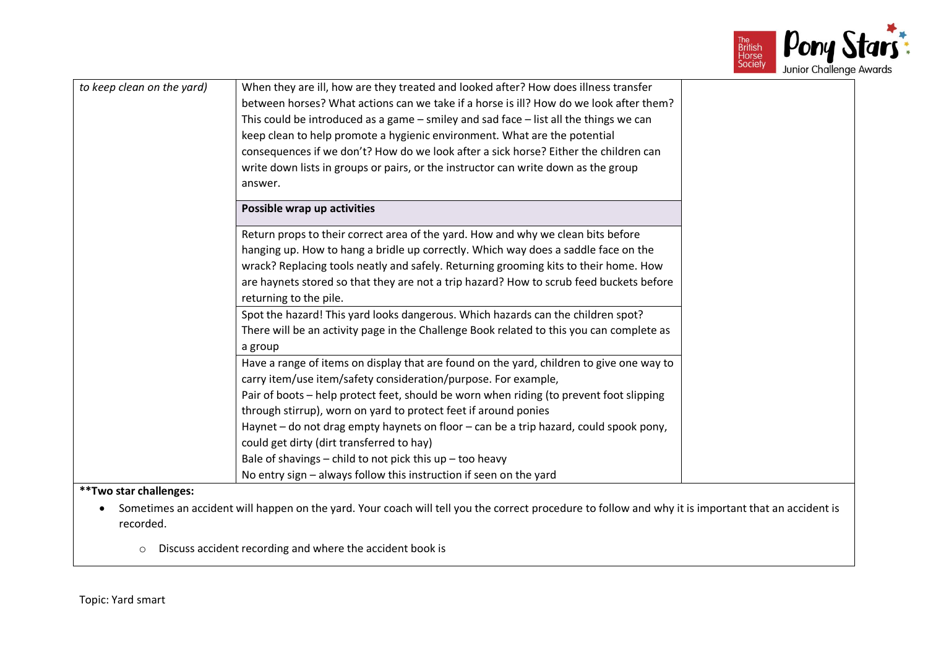

| to keep clean on the yard) | When they are ill, how are they treated and looked after? How does illness transfer<br>between horses? What actions can we take if a horse is ill? How do we look after them?<br>This could be introduced as a game $-$ smiley and sad face $-$ list all the things we can<br>keep clean to help promote a hygienic environment. What are the potential<br>consequences if we don't? How do we look after a sick horse? Either the children can                                                                                |
|----------------------------|--------------------------------------------------------------------------------------------------------------------------------------------------------------------------------------------------------------------------------------------------------------------------------------------------------------------------------------------------------------------------------------------------------------------------------------------------------------------------------------------------------------------------------|
|                            | write down lists in groups or pairs, or the instructor can write down as the group<br>answer.                                                                                                                                                                                                                                                                                                                                                                                                                                  |
|                            | Possible wrap up activities                                                                                                                                                                                                                                                                                                                                                                                                                                                                                                    |
|                            | Return props to their correct area of the yard. How and why we clean bits before<br>hanging up. How to hang a bridle up correctly. Which way does a saddle face on the<br>wrack? Replacing tools neatly and safely. Returning grooming kits to their home. How<br>are haynets stored so that they are not a trip hazard? How to scrub feed buckets before<br>returning to the pile.                                                                                                                                            |
|                            | Spot the hazard! This yard looks dangerous. Which hazards can the children spot?<br>There will be an activity page in the Challenge Book related to this you can complete as<br>a group                                                                                                                                                                                                                                                                                                                                        |
|                            | Have a range of items on display that are found on the yard, children to give one way to<br>carry item/use item/safety consideration/purpose. For example,<br>Pair of boots - help protect feet, should be worn when riding (to prevent foot slipping<br>through stirrup), worn on yard to protect feet if around ponies<br>Haynet – do not drag empty haynets on floor – can be a trip hazard, could spook pony,<br>could get dirty (dirt transferred to hay)<br>Bale of shavings $-$ child to not pick this up $-$ too heavy |
|                            | No entry sign - always follow this instruction if seen on the yard                                                                                                                                                                                                                                                                                                                                                                                                                                                             |
| **Two star challenges:     |                                                                                                                                                                                                                                                                                                                                                                                                                                                                                                                                |
| recorded.                  | Sometimes an accident will happen on the yard. Your coach will tell you the correct procedure to follow and why it is important that an accident is                                                                                                                                                                                                                                                                                                                                                                            |

o Discuss accident recording and where the accident book is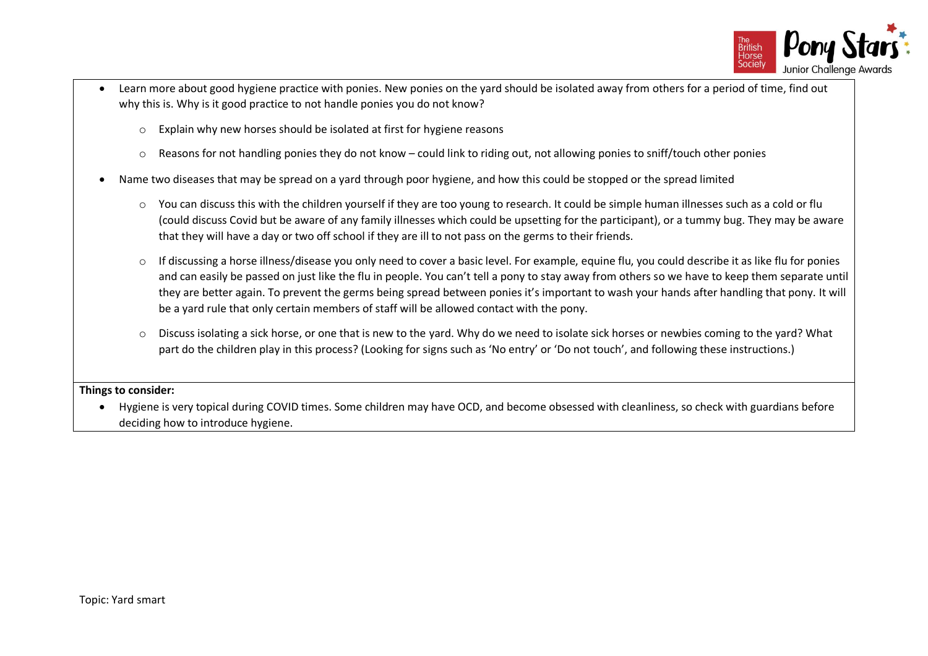

- Learn more about good hygiene practice with ponies. New ponies on the yard should be isolated away from others for a period of time, find out why this is. Why is it good practice to not handle ponies you do not know?
	- o Explain why new horses should be isolated at first for hygiene reasons
	- $\circ$  Reasons for not handling ponies they do not know could link to riding out, not allowing ponies to sniff/touch other ponies
- Name two diseases that may be spread on a yard through poor hygiene, and how this could be stopped or the spread limited
	- o You can discuss this with the children yourself if they are too young to research. It could be simple human illnesses such as a cold or flu (could discuss Covid but be aware of any family illnesses which could be upsetting for the participant), or a tummy bug. They may be aware that they will have a day or two off school if they are ill to not pass on the germs to their friends.
	- o If discussing a horse illness/disease you only need to cover a basic level. For example, equine flu, you could describe it as like flu for ponies and can easily be passed on just like the flu in people. You can't tell a pony to stay away from others so we have to keep them separate until they are better again. To prevent the germs being spread between ponies it's important to wash your hands after handling that pony. It will be a yard rule that only certain members of staff will be allowed contact with the pony.
	- o Discuss isolating a sick horse, or one that is new to the yard. Why do we need to isolate sick horses or newbies coming to the yard? What part do the children play in this process? (Looking for signs such as 'No entry' or 'Do not touch', and following these instructions.)

• Hygiene is very topical during COVID times. Some children may have OCD, and become obsessed with cleanliness, so check with guardians before deciding how to introduce hygiene.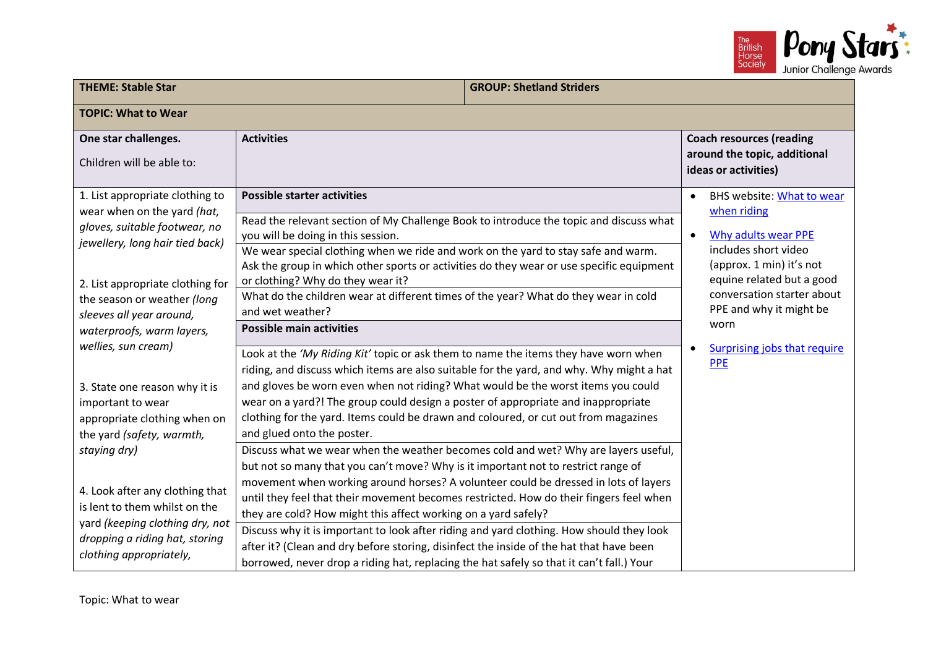

| <b>THEME: Stable Star</b>                                                                                                                                              |                                                                                                                                                                                                                                                                                                                                                                                                                                                                                                                                                              | <b>GROUP: Shetland Striders</b> |                        |                                                                                                                                                         |
|------------------------------------------------------------------------------------------------------------------------------------------------------------------------|--------------------------------------------------------------------------------------------------------------------------------------------------------------------------------------------------------------------------------------------------------------------------------------------------------------------------------------------------------------------------------------------------------------------------------------------------------------------------------------------------------------------------------------------------------------|---------------------------------|------------------------|---------------------------------------------------------------------------------------------------------------------------------------------------------|
| <b>TOPIC: What to Wear</b>                                                                                                                                             |                                                                                                                                                                                                                                                                                                                                                                                                                                                                                                                                                              |                                 |                        |                                                                                                                                                         |
| One star challenges.<br>Children will be able to:                                                                                                                      | <b>Activities</b>                                                                                                                                                                                                                                                                                                                                                                                                                                                                                                                                            |                                 |                        | <b>Coach resources (reading</b><br>around the topic, additional<br>ideas or activities)                                                                 |
| 1. List appropriate clothing to<br>wear when on the yard (hat,<br>gloves, suitable footwear, no<br>jewellery, long hair tied back)<br>2. List appropriate clothing for | <b>Possible starter activities</b><br>Read the relevant section of My Challenge Book to introduce the topic and discuss what<br>you will be doing in this session.<br>We wear special clothing when we ride and work on the yard to stay safe and warm.<br>Ask the group in which other sports or activities do they wear or use specific equipment<br>or clothing? Why do they wear it?                                                                                                                                                                     |                                 | $\bullet$<br>$\bullet$ | <b>BHS website: What to wear</b><br>when riding<br>Why adults wear PPE<br>includes short video<br>(approx. 1 min) it's not<br>equine related but a good |
| the season or weather (long<br>sleeves all year around,<br>waterproofs, warm layers,<br>wellies, sun cream)                                                            | What do the children wear at different times of the year? What do they wear in cold<br>and wet weather?<br><b>Possible main activities</b><br>Look at the 'My Riding Kit' topic or ask them to name the items they have worn when<br>riding, and discuss which items are also suitable for the yard, and why. Why might a hat                                                                                                                                                                                                                                |                                 | ٠                      | conversation starter about<br>PPE and why it might be<br>worn<br><b>Surprising jobs that require</b><br><b>PPE</b>                                      |
| 3. State one reason why it is<br>important to wear<br>appropriate clothing when on<br>the yard (safety, warmth,<br>staying dry)                                        | and gloves be worn even when not riding? What would be the worst items you could<br>wear on a yard?! The group could design a poster of appropriate and inappropriate<br>clothing for the yard. Items could be drawn and coloured, or cut out from magazines<br>and glued onto the poster.<br>Discuss what we wear when the weather becomes cold and wet? Why are layers useful,<br>but not so many that you can't move? Why is it important not to restrict range of<br>movement when working around horses? A volunteer could be dressed in lots of layers |                                 |                        |                                                                                                                                                         |
| 4. Look after any clothing that<br>is lent to them whilst on the<br>yard (keeping clothing dry, not<br>dropping a riding hat, storing<br>clothing appropriately,       | until they feel that their movement becomes restricted. How do their fingers feel when<br>they are cold? How might this affect working on a yard safely?<br>Discuss why it is important to look after riding and yard clothing. How should they look<br>after it? (Clean and dry before storing, disinfect the inside of the hat that have been<br>borrowed, never drop a riding hat, replacing the hat safely so that it can't fall.) Your                                                                                                                  |                                 |                        |                                                                                                                                                         |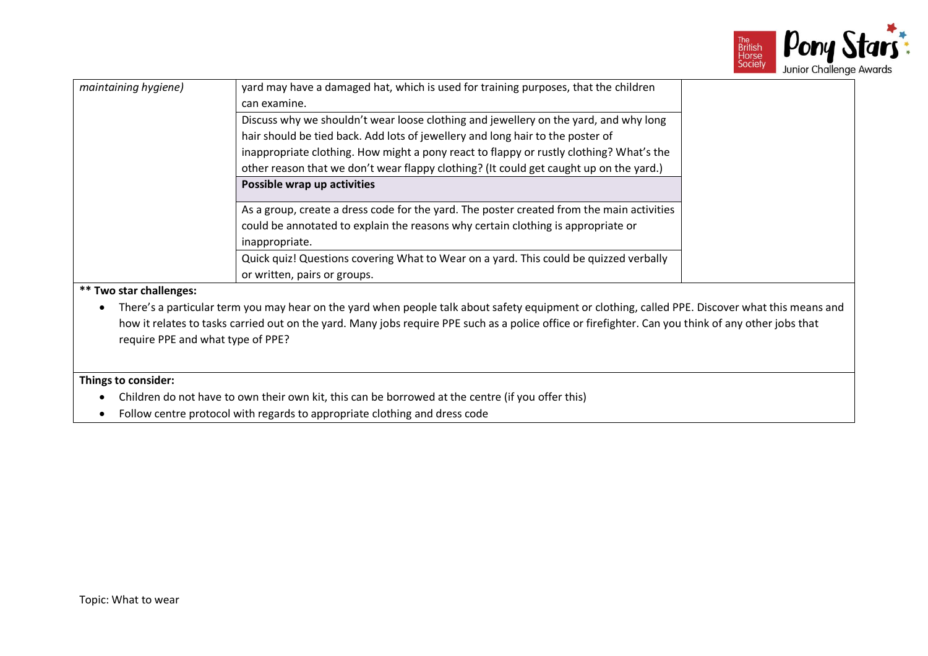

| maintaining hygiene)              | yard may have a damaged hat, which is used for training purposes, that the children<br>can examine.<br>Discuss why we shouldn't wear loose clothing and jewellery on the yard, and why long<br>hair should be tied back. Add lots of jewellery and long hair to the poster of<br>inappropriate clothing. How might a pony react to flappy or rustly clothing? What's the<br>other reason that we don't wear flappy clothing? (It could get caught up on the yard.)<br>Possible wrap up activities |
|-----------------------------------|---------------------------------------------------------------------------------------------------------------------------------------------------------------------------------------------------------------------------------------------------------------------------------------------------------------------------------------------------------------------------------------------------------------------------------------------------------------------------------------------------|
|                                   | As a group, create a dress code for the yard. The poster created from the main activities<br>could be annotated to explain the reasons why certain clothing is appropriate or<br>inappropriate.<br>Quick quiz! Questions covering What to Wear on a yard. This could be quizzed verbally<br>or written, pairs or groups.                                                                                                                                                                          |
| <b>** Two star challenges:</b>    |                                                                                                                                                                                                                                                                                                                                                                                                                                                                                                   |
| require PPE and what type of PPE? | There's a particular term you may hear on the yard when people talk about safety equipment or clothing, called PPE. Discover what this means and<br>how it relates to tasks carried out on the yard. Many jobs require PPE such as a police office or firefighter. Can you think of any other jobs that                                                                                                                                                                                           |
| Things to consider:               |                                                                                                                                                                                                                                                                                                                                                                                                                                                                                                   |
|                                   | Children do not have to own their own kit, this can be borrowed at the centre (if you offer this)                                                                                                                                                                                                                                                                                                                                                                                                 |
|                                   | Follow centre protocol with regards to appropriate clothing and dress code                                                                                                                                                                                                                                                                                                                                                                                                                        |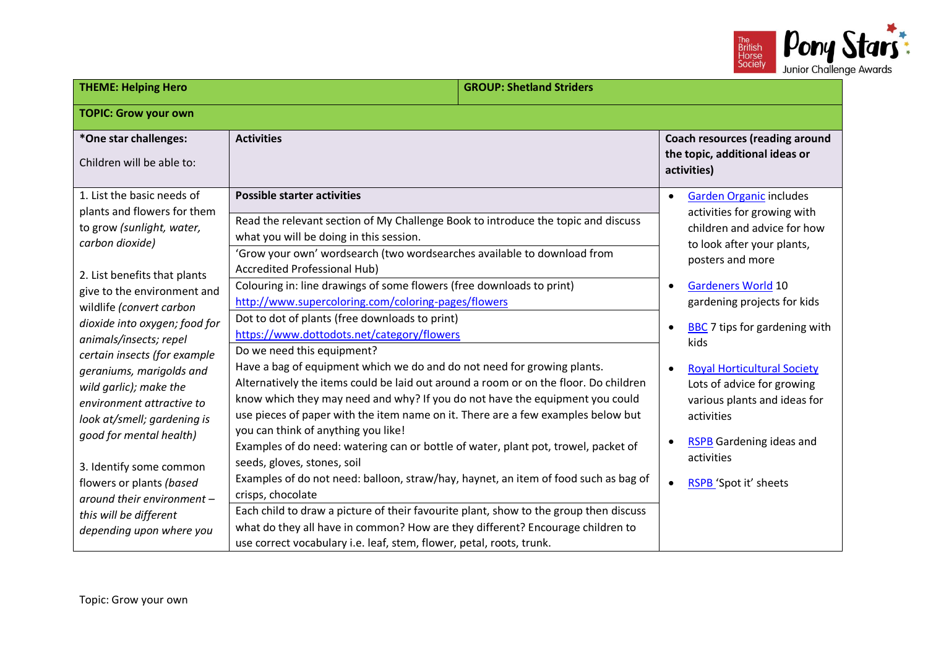

| <b>THEME: Helping Hero</b>                                                                                                                                                                                                                                                                                                                                                                                                                                                                                                                                                              |                                                                                                                                                                                                                                                                                                                                                                                                                                                                                                                                                                                                                                                                                                                                                                                                                                                                                                                                                                                                                                                                                                                                                                                                                                                                                                                                                                                                               | <b>GROUP: Shetland Striders</b> |                                                                                                                                                                                                                                                                                                                                                                                                                                                                                                                  |  |
|-----------------------------------------------------------------------------------------------------------------------------------------------------------------------------------------------------------------------------------------------------------------------------------------------------------------------------------------------------------------------------------------------------------------------------------------------------------------------------------------------------------------------------------------------------------------------------------------|---------------------------------------------------------------------------------------------------------------------------------------------------------------------------------------------------------------------------------------------------------------------------------------------------------------------------------------------------------------------------------------------------------------------------------------------------------------------------------------------------------------------------------------------------------------------------------------------------------------------------------------------------------------------------------------------------------------------------------------------------------------------------------------------------------------------------------------------------------------------------------------------------------------------------------------------------------------------------------------------------------------------------------------------------------------------------------------------------------------------------------------------------------------------------------------------------------------------------------------------------------------------------------------------------------------------------------------------------------------------------------------------------------------|---------------------------------|------------------------------------------------------------------------------------------------------------------------------------------------------------------------------------------------------------------------------------------------------------------------------------------------------------------------------------------------------------------------------------------------------------------------------------------------------------------------------------------------------------------|--|
| <b>TOPIC: Grow your own</b>                                                                                                                                                                                                                                                                                                                                                                                                                                                                                                                                                             |                                                                                                                                                                                                                                                                                                                                                                                                                                                                                                                                                                                                                                                                                                                                                                                                                                                                                                                                                                                                                                                                                                                                                                                                                                                                                                                                                                                                               |                                 |                                                                                                                                                                                                                                                                                                                                                                                                                                                                                                                  |  |
| *One star challenges:<br>Children will be able to:                                                                                                                                                                                                                                                                                                                                                                                                                                                                                                                                      | <b>Activities</b>                                                                                                                                                                                                                                                                                                                                                                                                                                                                                                                                                                                                                                                                                                                                                                                                                                                                                                                                                                                                                                                                                                                                                                                                                                                                                                                                                                                             |                                 | <b>Coach resources (reading around</b><br>the topic, additional ideas or<br>activities)                                                                                                                                                                                                                                                                                                                                                                                                                          |  |
| 1. List the basic needs of<br>plants and flowers for them<br>to grow (sunlight, water,<br>carbon dioxide)<br>2. List benefits that plants<br>give to the environment and<br>wildlife (convert carbon<br>dioxide into oxygen; food for<br>animals/insects; repel<br>certain insects (for example<br>geraniums, marigolds and<br>wild garlic); make the<br>environment attractive to<br>look at/smell; gardening is<br>good for mental health)<br>3. Identify some common<br>flowers or plants (based<br>around their environment -<br>this will be different<br>depending upon where you | <b>Possible starter activities</b><br>Read the relevant section of My Challenge Book to introduce the topic and discuss<br>what you will be doing in this session.<br>'Grow your own' wordsearch (two wordsearches available to download from<br>Accredited Professional Hub)<br>Colouring in: line drawings of some flowers (free downloads to print)<br>http://www.supercoloring.com/coloring-pages/flowers<br>Dot to dot of plants (free downloads to print)<br>https://www.dottodots.net/category/flowers<br>Do we need this equipment?<br>Have a bag of equipment which we do and do not need for growing plants.<br>Alternatively the items could be laid out around a room or on the floor. Do children<br>know which they may need and why? If you do not have the equipment you could<br>use pieces of paper with the item name on it. There are a few examples below but<br>you can think of anything you like!<br>Examples of do need: watering can or bottle of water, plant pot, trowel, packet of<br>seeds, gloves, stones, soil<br>Examples of do not need: balloon, straw/hay, haynet, an item of food such as bag of<br>crisps, chocolate<br>Each child to draw a picture of their favourite plant, show to the group then discuss<br>what do they all have in common? How are they different? Encourage children to<br>use correct vocabulary i.e. leaf, stem, flower, petal, roots, trunk. |                                 | <b>Garden Organic includes</b><br>$\bullet$<br>activities for growing with<br>children and advice for how<br>to look after your plants,<br>posters and more<br><b>Gardeners World 10</b><br>$\bullet$<br>gardening projects for kids<br>BBC 7 tips for gardening with<br>$\bullet$<br>kids<br><b>Royal Horticultural Society</b><br>$\bullet$<br>Lots of advice for growing<br>various plants and ideas for<br>activities<br><b>RSPB Gardening ideas and</b><br>activities<br>RSPB 'Spot it' sheets<br>$\bullet$ |  |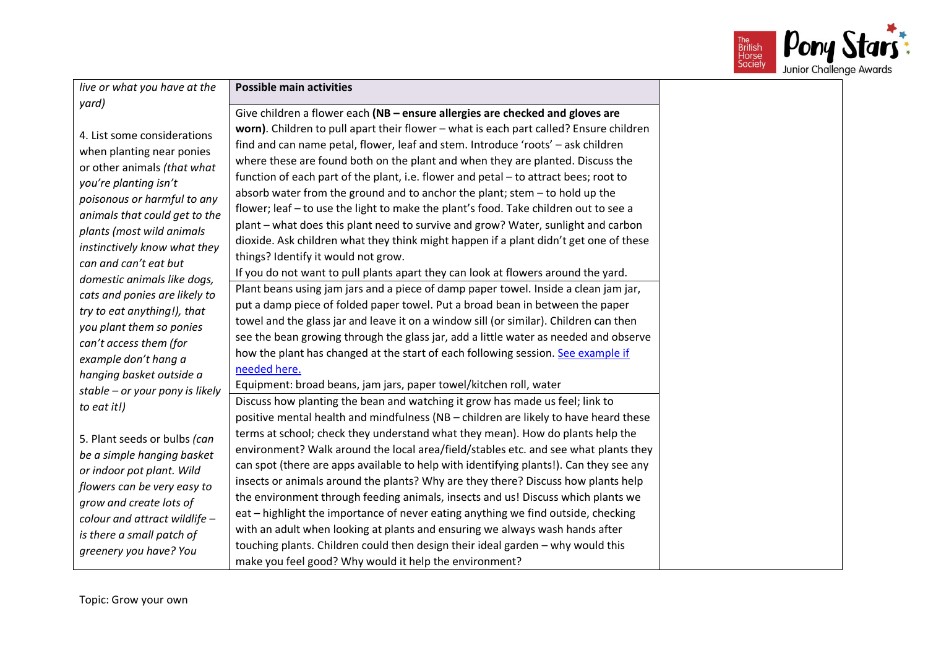

| live or what you have at the                                                                                                                                                                                                                                                                                                                                                                                                                                                                                                                                                                                                                                                                                                     | <b>Possible main activities</b>                                                                                                                                                                                                                                                                                                                                                                                                                                                                                                                                                                                                                                                                                                                                                                                                                                                                                                                                                                                                                                                                        |
|----------------------------------------------------------------------------------------------------------------------------------------------------------------------------------------------------------------------------------------------------------------------------------------------------------------------------------------------------------------------------------------------------------------------------------------------------------------------------------------------------------------------------------------------------------------------------------------------------------------------------------------------------------------------------------------------------------------------------------|--------------------------------------------------------------------------------------------------------------------------------------------------------------------------------------------------------------------------------------------------------------------------------------------------------------------------------------------------------------------------------------------------------------------------------------------------------------------------------------------------------------------------------------------------------------------------------------------------------------------------------------------------------------------------------------------------------------------------------------------------------------------------------------------------------------------------------------------------------------------------------------------------------------------------------------------------------------------------------------------------------------------------------------------------------------------------------------------------------|
|                                                                                                                                                                                                                                                                                                                                                                                                                                                                                                                                                                                                                                                                                                                                  | Give children a flower each (NB - ensure allergies are checked and gloves are                                                                                                                                                                                                                                                                                                                                                                                                                                                                                                                                                                                                                                                                                                                                                                                                                                                                                                                                                                                                                          |
| yard)<br>4. List some considerations<br>when planting near ponies<br>or other animals (that what<br>you're planting isn't<br>poisonous or harmful to any<br>animals that could get to the<br>plants (most wild animals<br>instinctively know what they<br>can and can't eat but<br>domestic animals like dogs,<br>cats and ponies are likely to<br>try to eat anything!), that<br>you plant them so ponies<br>can't access them (for<br>example don't hang a<br>hanging basket outside a<br>stable - or your pony is likely<br>to eat it!)<br>5. Plant seeds or bulbs (can<br>be a simple hanging basket<br>or indoor pot plant. Wild<br>flowers can be very easy to<br>grow and create lots of<br>colour and attract wildlife - | worn). Children to pull apart their flower - what is each part called? Ensure children<br>find and can name petal, flower, leaf and stem. Introduce 'roots' - ask children<br>where these are found both on the plant and when they are planted. Discuss the<br>function of each part of the plant, i.e. flower and petal - to attract bees; root to<br>absorb water from the ground and to anchor the plant; stem - to hold up the<br>flower; leaf - to use the light to make the plant's food. Take children out to see a<br>plant - what does this plant need to survive and grow? Water, sunlight and carbon<br>dioxide. Ask children what they think might happen if a plant didn't get one of these<br>things? Identify it would not grow.<br>If you do not want to pull plants apart they can look at flowers around the yard.<br>Plant beans using jam jars and a piece of damp paper towel. Inside a clean jam jar,<br>put a damp piece of folded paper towel. Put a broad bean in between the paper<br>towel and the glass jar and leave it on a window sill (or similar). Children can then |
|                                                                                                                                                                                                                                                                                                                                                                                                                                                                                                                                                                                                                                                                                                                                  | see the bean growing through the glass jar, add a little water as needed and observe<br>how the plant has changed at the start of each following session. See example if<br>needed here.<br>Equipment: broad beans, jam jars, paper towel/kitchen roll, water                                                                                                                                                                                                                                                                                                                                                                                                                                                                                                                                                                                                                                                                                                                                                                                                                                          |
|                                                                                                                                                                                                                                                                                                                                                                                                                                                                                                                                                                                                                                                                                                                                  | Discuss how planting the bean and watching it grow has made us feel; link to<br>positive mental health and mindfulness (NB - children are likely to have heard these                                                                                                                                                                                                                                                                                                                                                                                                                                                                                                                                                                                                                                                                                                                                                                                                                                                                                                                                   |
|                                                                                                                                                                                                                                                                                                                                                                                                                                                                                                                                                                                                                                                                                                                                  | terms at school; check they understand what they mean). How do plants help the<br>environment? Walk around the local area/field/stables etc. and see what plants they<br>can spot (there are apps available to help with identifying plants!). Can they see any<br>insects or animals around the plants? Why are they there? Discuss how plants help<br>the environment through feeding animals, insects and us! Discuss which plants we<br>eat – highlight the importance of never eating anything we find outside, checking<br>with an adult when looking at plants and ensuring we always wash hands after                                                                                                                                                                                                                                                                                                                                                                                                                                                                                          |
| is there a small patch of<br>greenery you have? You                                                                                                                                                                                                                                                                                                                                                                                                                                                                                                                                                                                                                                                                              | touching plants. Children could then design their ideal garden - why would this<br>make you feel good? Why would it help the environment?                                                                                                                                                                                                                                                                                                                                                                                                                                                                                                                                                                                                                                                                                                                                                                                                                                                                                                                                                              |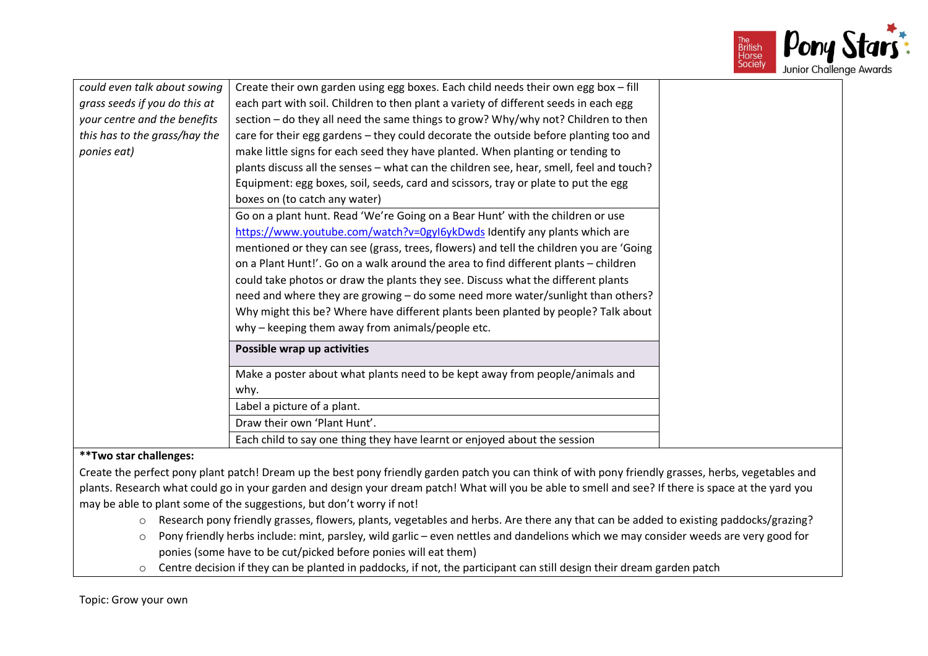

| could even talk about sowing  | Create their own garden using egg boxes. Each child needs their own egg box - fill      |
|-------------------------------|-----------------------------------------------------------------------------------------|
| grass seeds if you do this at | each part with soil. Children to then plant a variety of different seeds in each egg    |
| your centre and the benefits  | section - do they all need the same things to grow? Why/why not? Children to then       |
| this has to the grass/hay the | care for their egg gardens - they could decorate the outside before planting too and    |
| ponies eat)                   | make little signs for each seed they have planted. When planting or tending to          |
|                               | plants discuss all the senses - what can the children see, hear, smell, feel and touch? |
|                               | Equipment: egg boxes, soil, seeds, card and scissors, tray or plate to put the egg      |
|                               | boxes on (to catch any water)                                                           |
|                               | Go on a plant hunt. Read 'We're Going on a Bear Hunt' with the children or use          |
|                               | https://www.youtube.com/watch?v=0gyl6ykDwds Identify any plants which are               |
|                               | mentioned or they can see (grass, trees, flowers) and tell the children you are 'Going  |
|                               | on a Plant Hunt!'. Go on a walk around the area to find different plants - children     |
|                               | could take photos or draw the plants they see. Discuss what the different plants        |
|                               | need and where they are growing - do some need more water/sunlight than others?         |
|                               | Why might this be? Where have different plants been planted by people? Talk about       |
|                               | why - keeping them away from animals/people etc.                                        |
|                               | Possible wrap up activities                                                             |
|                               | Make a poster about what plants need to be kept away from people/animals and            |
|                               | why.                                                                                    |
|                               | Label a picture of a plant.                                                             |
|                               | Draw their own 'Plant Hunt'.                                                            |
|                               | Each child to say one thing they have learnt or enjoyed about the session               |

## **\*\*Two star challenges:**

Create the perfect pony plant patch! Dream up the best pony friendly garden patch you can think of with pony friendly grasses, herbs, vegetables and plants. Research what could go in your garden and design your dream patch! What will you be able to smell and see? If there is space at the yard you may be able to plant some of the suggestions, but don't worry if not!

- o Research pony friendly grasses, flowers, plants, vegetables and herbs. Are there any that can be added to existing paddocks/grazing?
- o Pony friendly herbs include: mint, parsley, wild garlic even nettles and dandelions which we may consider weeds are very good for ponies (some have to be cut/picked before ponies will eat them)
- o Centre decision if they can be planted in paddocks, if not, the participant can still design their dream garden patch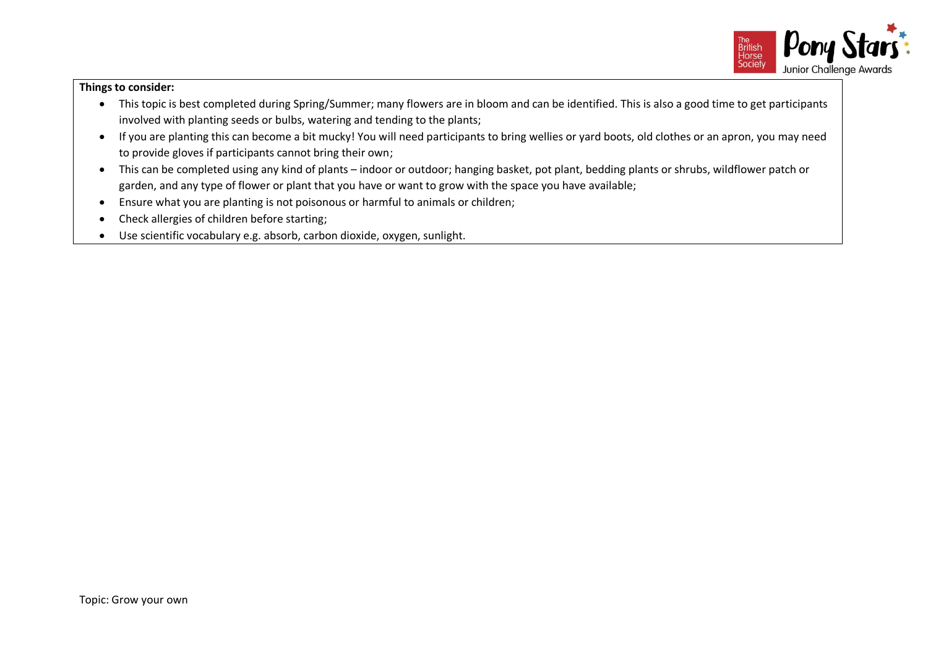

- This topic is best completed during Spring/Summer; many flowers are in bloom and can be identified. This is also a good time to get participants involved with planting seeds or bulbs, watering and tending to the plants;
- If you are planting this can become a bit mucky! You will need participants to bring wellies or yard boots, old clothes or an apron, you may need to provide gloves if participants cannot bring their own;
- This can be completed using any kind of plants indoor or outdoor; hanging basket, pot plant, bedding plants or shrubs, wildflower patch or garden, and any type of flower or plant that you have or want to grow with the space you have available;
- Ensure what you are planting is not poisonous or harmful to animals or children;
- Check allergies of children before starting;
- Use scientific vocabulary e.g. absorb, carbon dioxide, oxygen, sunlight.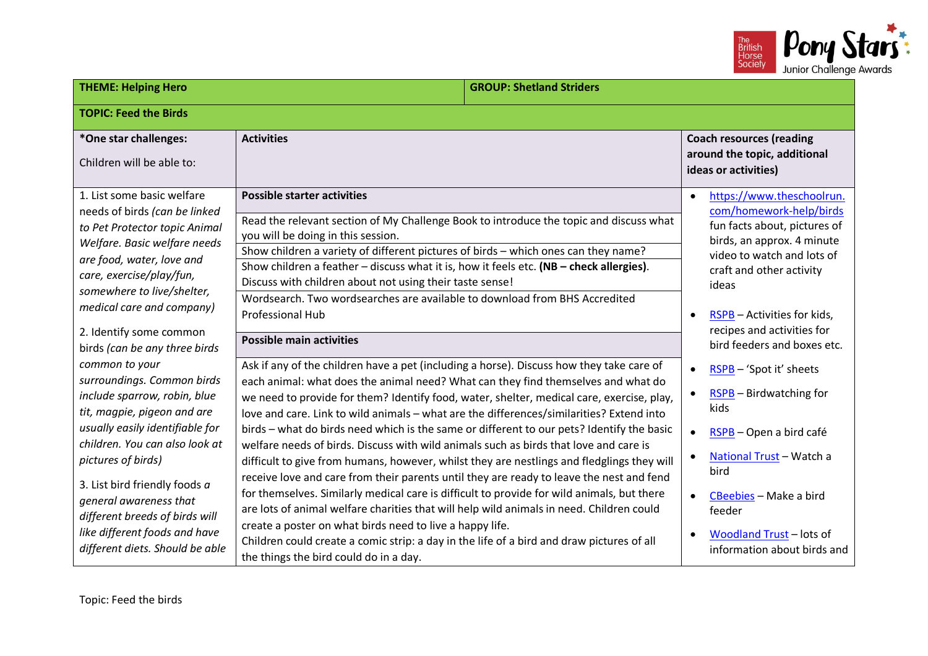

| <b>THEME: Helping Hero</b><br><b>GROUP: Shetland Striders</b>                                                                                                                                                                                    |                                                                                                                                                                                                                                                                                                                                                                                                                                                                                                                          |  |                                                                                                                                                                                                                                                                              |  |  |
|--------------------------------------------------------------------------------------------------------------------------------------------------------------------------------------------------------------------------------------------------|--------------------------------------------------------------------------------------------------------------------------------------------------------------------------------------------------------------------------------------------------------------------------------------------------------------------------------------------------------------------------------------------------------------------------------------------------------------------------------------------------------------------------|--|------------------------------------------------------------------------------------------------------------------------------------------------------------------------------------------------------------------------------------------------------------------------------|--|--|
| <b>TOPIC: Feed the Birds</b>                                                                                                                                                                                                                     |                                                                                                                                                                                                                                                                                                                                                                                                                                                                                                                          |  |                                                                                                                                                                                                                                                                              |  |  |
| *One star challenges:<br>Children will be able to:                                                                                                                                                                                               | <b>Activities</b>                                                                                                                                                                                                                                                                                                                                                                                                                                                                                                        |  | <b>Coach resources (reading</b><br>around the topic, additional<br>ideas or activities)                                                                                                                                                                                      |  |  |
| 1. List some basic welfare<br>needs of birds (can be linked<br>to Pet Protector topic Animal<br>Welfare. Basic welfare needs<br>are food, water, love and<br>care, exercise/play/fun,<br>somewhere to live/shelter,<br>medical care and company) | <b>Possible starter activities</b><br>Read the relevant section of My Challenge Book to introduce the topic and discuss what<br>you will be doing in this session.<br>Show children a variety of different pictures of birds - which ones can they name?<br>Show children a feather - discuss what it is, how it feels etc. (NB - check allergies).<br>Discuss with children about not using their taste sense!<br>Wordsearch. Two wordsearches are available to download from BHS Accredited<br><b>Professional Hub</b> |  | https://www.theschoolrun.<br>$\bullet$<br>com/homework-help/birds<br>fun facts about, pictures of<br>birds, an approx. 4 minute<br>video to watch and lots of<br>craft and other activity<br>ideas<br>RSPB - Activities for kids,<br>$\bullet$<br>recipes and activities for |  |  |
| 2. Identify some common<br>birds (can be any three birds<br>common to your                                                                                                                                                                       | <b>Possible main activities</b><br>Ask if any of the children have a pet (including a horse). Discuss how they take care of                                                                                                                                                                                                                                                                                                                                                                                              |  | bird feeders and boxes etc.<br>RSPB - 'Spot it' sheets<br>$\bullet$                                                                                                                                                                                                          |  |  |
| surroundings. Common birds<br>include sparrow, robin, blue<br>tit, magpie, pigeon and are                                                                                                                                                        | each animal: what does the animal need? What can they find themselves and what do<br>we need to provide for them? Identify food, water, shelter, medical care, exercise, play,<br>love and care. Link to wild animals - what are the differences/similarities? Extend into                                                                                                                                                                                                                                               |  | <b>RSPB</b> - Birdwatching for<br>$\bullet$<br>kids                                                                                                                                                                                                                          |  |  |
| usually easily identifiable for<br>children. You can also look at<br>pictures of birds)                                                                                                                                                          | birds - what do birds need which is the same or different to our pets? Identify the basic<br>welfare needs of birds. Discuss with wild animals such as birds that love and care is<br>difficult to give from humans, however, whilst they are nestlings and fledglings they will                                                                                                                                                                                                                                         |  | RSPB - Open a bird café<br>$\bullet$<br>National Trust - Watch a<br>$\bullet$<br>bird<br>CBeebies - Make a bird<br>$\bullet$<br>feeder<br>Woodland Trust - lots of<br>information about birds and                                                                            |  |  |
| 3. List bird friendly foods a<br>general awareness that<br>different breeds of birds will<br>like different foods and have<br>different diets. Should be able                                                                                    | receive love and care from their parents until they are ready to leave the nest and fend<br>for themselves. Similarly medical care is difficult to provide for wild animals, but there<br>are lots of animal welfare charities that will help wild animals in need. Children could<br>create a poster on what birds need to live a happy life.<br>Children could create a comic strip: a day in the life of a bird and draw pictures of all<br>the things the bird could do in a day.                                    |  |                                                                                                                                                                                                                                                                              |  |  |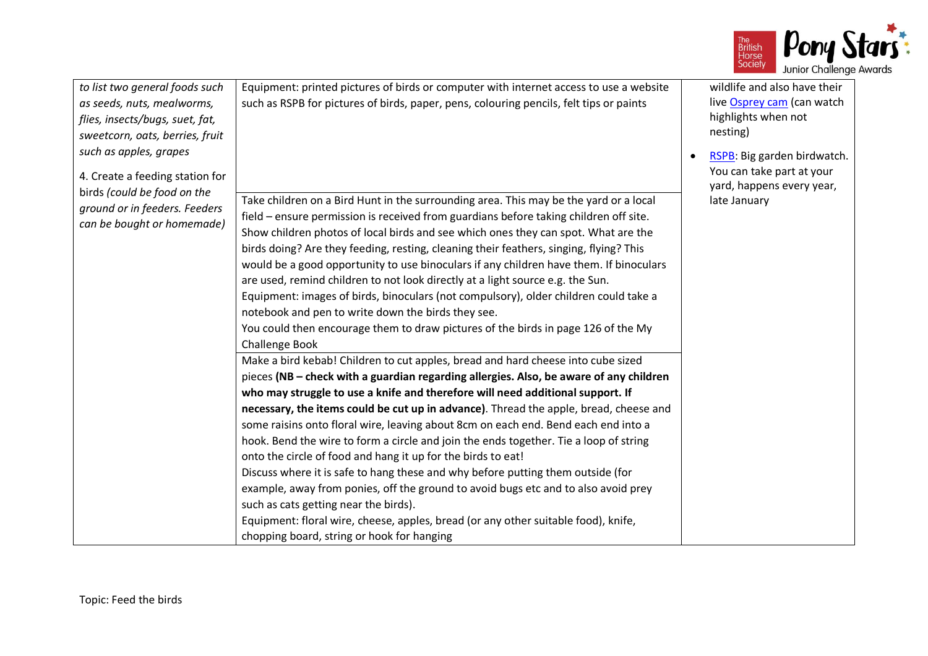

| to list two general foods such<br>as seeds, nuts, mealworms,<br>flies, insects/bugs, suet, fat,<br>sweetcorn, oats, berries, fruit<br>such as apples, grapes<br>4. Create a feeding station for | Equipment: printed pictures of birds or computer with internet access to use a website<br>such as RSPB for pictures of birds, paper, pens, colouring pencils, felt tips or paints                                                                                                                                                                                                                                                                                                                                                                                                                                                                                                                                                                                                                                                                                                                                                                                                                                                                                                                                                                                                                                                                                                                                                                                                                                                                                                                                                                                                                                                                                                                                                                                    | wildlife and also have their<br>live Osprey cam (can watch<br>highlights when not<br>nesting)<br>RSPB: Big garden birdwatch.<br>You can take part at your<br>yard, happens every year, |
|-------------------------------------------------------------------------------------------------------------------------------------------------------------------------------------------------|----------------------------------------------------------------------------------------------------------------------------------------------------------------------------------------------------------------------------------------------------------------------------------------------------------------------------------------------------------------------------------------------------------------------------------------------------------------------------------------------------------------------------------------------------------------------------------------------------------------------------------------------------------------------------------------------------------------------------------------------------------------------------------------------------------------------------------------------------------------------------------------------------------------------------------------------------------------------------------------------------------------------------------------------------------------------------------------------------------------------------------------------------------------------------------------------------------------------------------------------------------------------------------------------------------------------------------------------------------------------------------------------------------------------------------------------------------------------------------------------------------------------------------------------------------------------------------------------------------------------------------------------------------------------------------------------------------------------------------------------------------------------|----------------------------------------------------------------------------------------------------------------------------------------------------------------------------------------|
| birds (could be food on the<br>ground or in feeders. Feeders<br>can be bought or homemade)                                                                                                      | Take children on a Bird Hunt in the surrounding area. This may be the yard or a local<br>field – ensure permission is received from guardians before taking children off site.<br>Show children photos of local birds and see which ones they can spot. What are the<br>birds doing? Are they feeding, resting, cleaning their feathers, singing, flying? This<br>would be a good opportunity to use binoculars if any children have them. If binoculars<br>are used, remind children to not look directly at a light source e.g. the Sun.<br>Equipment: images of birds, binoculars (not compulsory), older children could take a<br>notebook and pen to write down the birds they see.<br>You could then encourage them to draw pictures of the birds in page 126 of the My<br><b>Challenge Book</b><br>Make a bird kebab! Children to cut apples, bread and hard cheese into cube sized<br>pieces (NB - check with a guardian regarding allergies. Also, be aware of any children<br>who may struggle to use a knife and therefore will need additional support. If<br>necessary, the items could be cut up in advance). Thread the apple, bread, cheese and<br>some raisins onto floral wire, leaving about 8cm on each end. Bend each end into a<br>hook. Bend the wire to form a circle and join the ends together. Tie a loop of string<br>onto the circle of food and hang it up for the birds to eat!<br>Discuss where it is safe to hang these and why before putting them outside (for<br>example, away from ponies, off the ground to avoid bugs etc and to also avoid prey<br>such as cats getting near the birds).<br>Equipment: floral wire, cheese, apples, bread (or any other suitable food), knife,<br>chopping board, string or hook for hanging | late January                                                                                                                                                                           |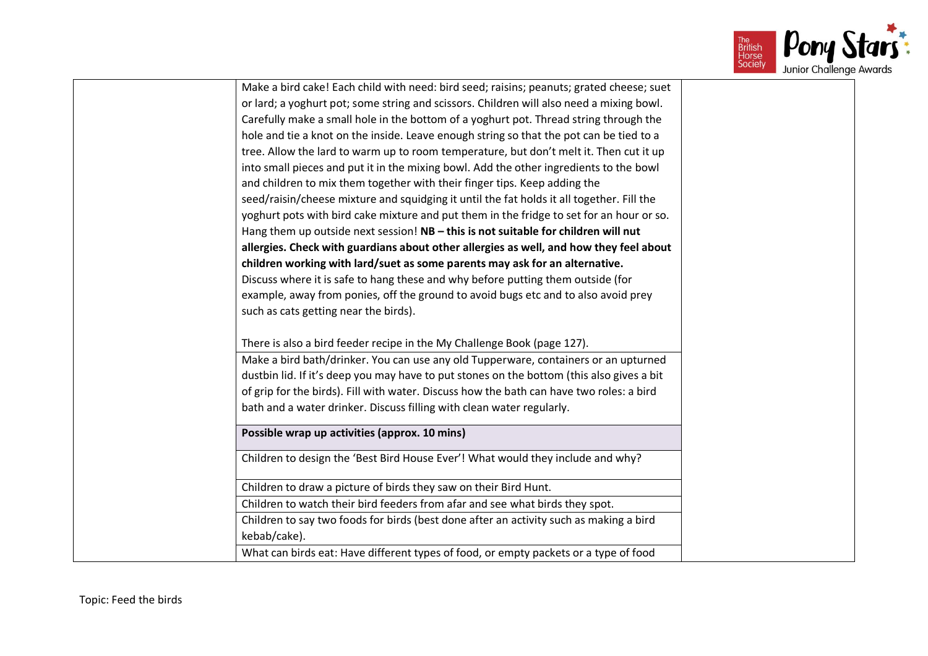

| Make a bird cake! Each child with need: bird seed; raisins; peanuts; grated cheese; suet  |  |
|-------------------------------------------------------------------------------------------|--|
| or lard; a yoghurt pot; some string and scissors. Children will also need a mixing bowl.  |  |
| Carefully make a small hole in the bottom of a yoghurt pot. Thread string through the     |  |
| hole and tie a knot on the inside. Leave enough string so that the pot can be tied to a   |  |
| tree. Allow the lard to warm up to room temperature, but don't melt it. Then cut it up    |  |
| into small pieces and put it in the mixing bowl. Add the other ingredients to the bowl    |  |
| and children to mix them together with their finger tips. Keep adding the                 |  |
| seed/raisin/cheese mixture and squidging it until the fat holds it all together. Fill the |  |
| yoghurt pots with bird cake mixture and put them in the fridge to set for an hour or so.  |  |
| Hang them up outside next session! NB - this is not suitable for children will nut        |  |
| allergies. Check with guardians about other allergies as well, and how they feel about    |  |
| children working with lard/suet as some parents may ask for an alternative.               |  |
| Discuss where it is safe to hang these and why before putting them outside (for           |  |
| example, away from ponies, off the ground to avoid bugs etc and to also avoid prey        |  |
| such as cats getting near the birds).                                                     |  |
|                                                                                           |  |
| There is also a bird feeder recipe in the My Challenge Book (page 127).                   |  |
| Make a bird bath/drinker. You can use any old Tupperware, containers or an upturned       |  |
| dustbin lid. If it's deep you may have to put stones on the bottom (this also gives a bit |  |
| of grip for the birds). Fill with water. Discuss how the bath can have two roles: a bird  |  |
| bath and a water drinker. Discuss filling with clean water regularly.                     |  |
| Possible wrap up activities (approx. 10 mins)                                             |  |
| Children to design the 'Best Bird House Ever'! What would they include and why?           |  |
| Children to draw a picture of birds they saw on their Bird Hunt.                          |  |
| Children to watch their bird feeders from afar and see what birds they spot.              |  |
| Children to say two foods for birds (best done after an activity such as making a bird    |  |
| kebab/cake).                                                                              |  |
| What can birds eat: Have different types of food, or empty packets or a type of food      |  |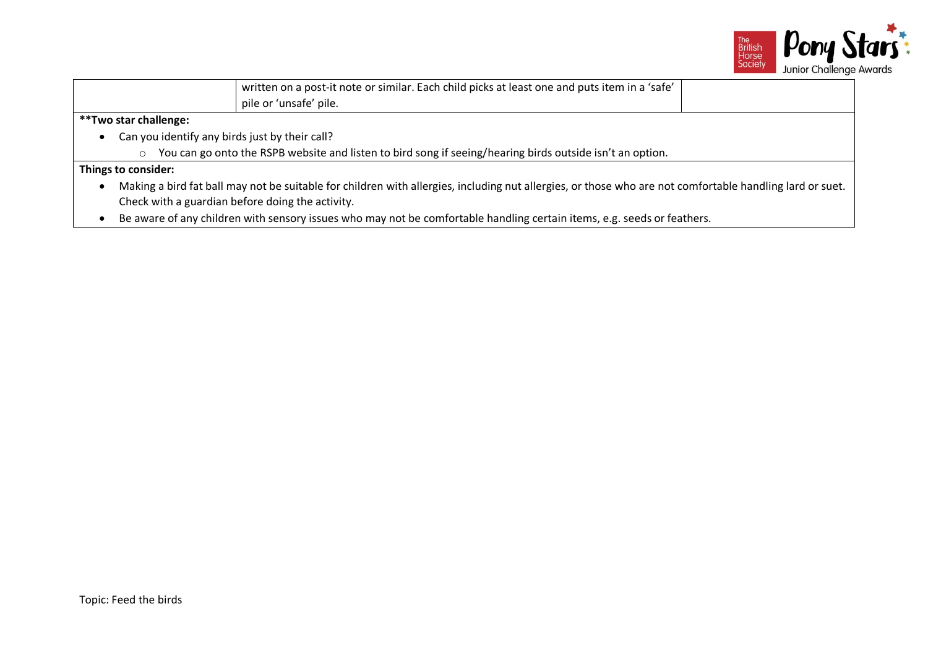

|                                                  | written on a post-it note or similar. Each child picks at least one and puts item in a 'safe'                                                            |  |  |
|--------------------------------------------------|----------------------------------------------------------------------------------------------------------------------------------------------------------|--|--|
|                                                  | pile or 'unsafe' pile.                                                                                                                                   |  |  |
| **Two star challenge:                            |                                                                                                                                                          |  |  |
| $\bullet$                                        | Can you identify any birds just by their call?                                                                                                           |  |  |
| $\circ$                                          | You can go onto the RSPB website and listen to bird song if seeing/hearing birds outside isn't an option.                                                |  |  |
| Things to consider:                              |                                                                                                                                                          |  |  |
| $\bullet$                                        | Making a bird fat ball may not be suitable for children with allergies, including nut allergies, or those who are not comfortable handling lard or suet. |  |  |
| Check with a guardian before doing the activity. |                                                                                                                                                          |  |  |
| $\bullet$                                        | Be aware of any children with sensory issues who may not be comfortable handling certain items, e.g. seeds or feathers.                                  |  |  |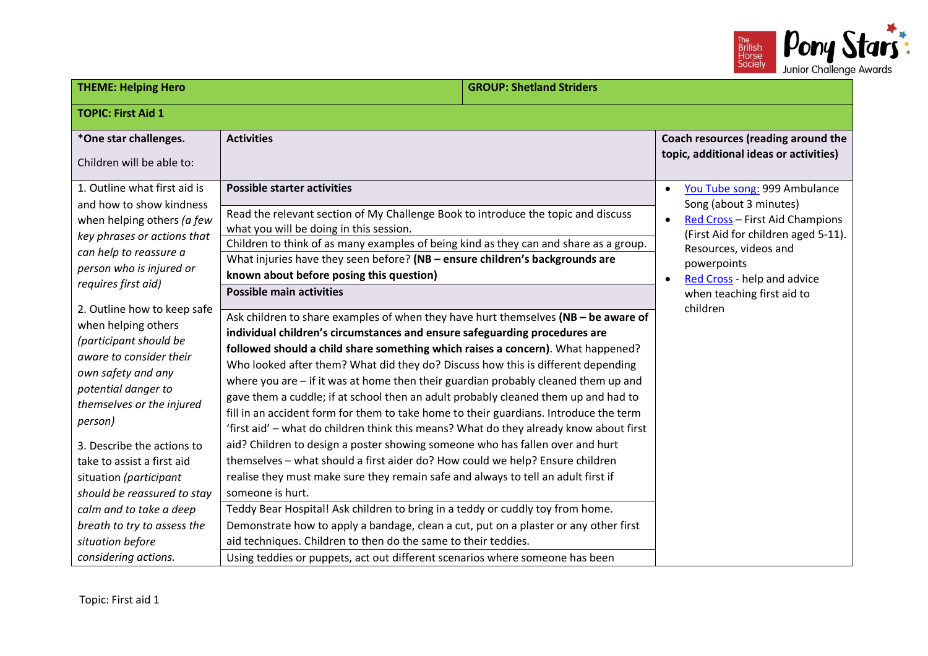

| <b>TOPIC: First Aid 1</b><br>*One star challenges.<br><b>Activities</b><br>topic, additional ideas or activities)<br>Children will be able to:<br>1. Outline what first aid is<br><b>Possible starter activities</b><br>$\bullet$<br>Song (about 3 minutes)<br>and how to show kindness<br>Read the relevant section of My Challenge Book to introduce the topic and discuss<br>when helping others (a few<br>what you will be doing in this session.<br>key phrases or actions that<br>Children to think of as many examples of being kind as they can and share as a group.<br>Resources, videos and<br>can help to reassure a<br>What injuries have they seen before? (NB - ensure children's backgrounds are<br>powerpoints<br>person who is injured or<br>known about before posing this question)<br>Red Cross - help and advice<br>requires first aid)<br><b>Possible main activities</b><br>when teaching first aid to<br>children<br>2. Outline how to keep safe<br>Ask children to share examples of when they have hurt themselves (NB - be aware of<br>when helping others<br>individual children's circumstances and ensure safeguarding procedures are<br>(participant should be<br>followed should a child share something which raises a concern). What happened?<br>aware to consider their<br>Who looked after them? What did they do? Discuss how this is different depending | <b>THEME: Helping Hero</b> | <b>GROUP: Shetland Striders</b> |  |                                                                                                        |  |  |
|--------------------------------------------------------------------------------------------------------------------------------------------------------------------------------------------------------------------------------------------------------------------------------------------------------------------------------------------------------------------------------------------------------------------------------------------------------------------------------------------------------------------------------------------------------------------------------------------------------------------------------------------------------------------------------------------------------------------------------------------------------------------------------------------------------------------------------------------------------------------------------------------------------------------------------------------------------------------------------------------------------------------------------------------------------------------------------------------------------------------------------------------------------------------------------------------------------------------------------------------------------------------------------------------------------------------------------------------------------------------------------------------------|----------------------------|---------------------------------|--|--------------------------------------------------------------------------------------------------------|--|--|
|                                                                                                                                                                                                                                                                                                                                                                                                                                                                                                                                                                                                                                                                                                                                                                                                                                                                                                                                                                                                                                                                                                                                                                                                                                                                                                                                                                                                  |                            |                                 |  |                                                                                                        |  |  |
|                                                                                                                                                                                                                                                                                                                                                                                                                                                                                                                                                                                                                                                                                                                                                                                                                                                                                                                                                                                                                                                                                                                                                                                                                                                                                                                                                                                                  |                            |                                 |  | Coach resources (reading around the                                                                    |  |  |
| where you are - if it was at home then their guardian probably cleaned them up and<br>potential danger to<br>gave them a cuddle; if at school then an adult probably cleaned them up and had to<br>themselves or the injured<br>fill in an accident form for them to take home to their guardians. Introduce the term<br>person)<br>'first aid' - what do children think this means? What do they already know about first<br>aid? Children to design a poster showing someone who has fallen over and hurt<br>3. Describe the actions to<br>themselves - what should a first aider do? How could we help? Ensure children<br>take to assist a first aid<br>realise they must make sure they remain safe and always to tell an adult first if<br>situation (participant<br>someone is hurt.<br>should be reassured to stay<br>Teddy Bear Hospital! Ask children to bring in a teddy or cuddly toy from home.<br>calm and to take a deep<br>Demonstrate how to apply a bandage, clean a cut, put on a plaster or any other first<br>breath to try to assess the<br>aid techniques. Children to then do the same to their teddies.<br>situation before<br>considering actions.<br>Using teddies or puppets, act out different scenarios where someone has been                                                                                                                                     | own safety and any         |                                 |  | You Tube song: 999 Ambulance<br>Red Cross - First Aid Champions<br>(First Aid for children aged 5-11). |  |  |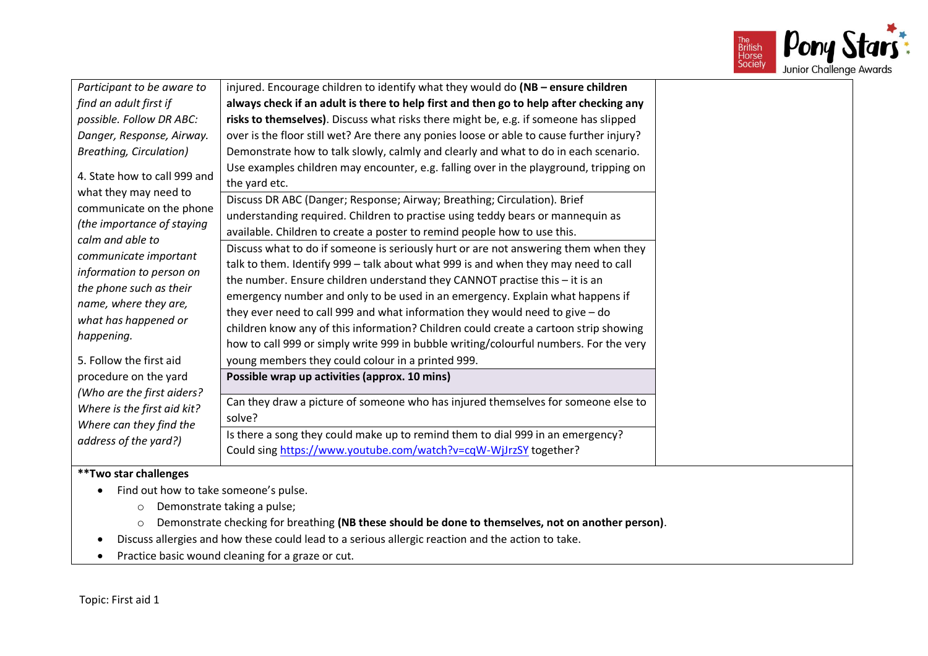

| Participant to be aware to                                                                                                                                                                                                                                                         | injured. Encourage children to identify what they would do (NB - ensure children                                                                                                                                                                                                                                                                                                                                                                                                                                                                                                                                                                                                                                                                                                |  |
|------------------------------------------------------------------------------------------------------------------------------------------------------------------------------------------------------------------------------------------------------------------------------------|---------------------------------------------------------------------------------------------------------------------------------------------------------------------------------------------------------------------------------------------------------------------------------------------------------------------------------------------------------------------------------------------------------------------------------------------------------------------------------------------------------------------------------------------------------------------------------------------------------------------------------------------------------------------------------------------------------------------------------------------------------------------------------|--|
| find an adult first if                                                                                                                                                                                                                                                             | always check if an adult is there to help first and then go to help after checking any                                                                                                                                                                                                                                                                                                                                                                                                                                                                                                                                                                                                                                                                                          |  |
| possible. Follow DR ABC:                                                                                                                                                                                                                                                           | risks to themselves). Discuss what risks there might be, e.g. if someone has slipped                                                                                                                                                                                                                                                                                                                                                                                                                                                                                                                                                                                                                                                                                            |  |
| Danger, Response, Airway.                                                                                                                                                                                                                                                          | over is the floor still wet? Are there any ponies loose or able to cause further injury?                                                                                                                                                                                                                                                                                                                                                                                                                                                                                                                                                                                                                                                                                        |  |
| <b>Breathing, Circulation)</b>                                                                                                                                                                                                                                                     | Demonstrate how to talk slowly, calmly and clearly and what to do in each scenario.                                                                                                                                                                                                                                                                                                                                                                                                                                                                                                                                                                                                                                                                                             |  |
| 4. State how to call 999 and<br>what they may need to<br>communicate on the phone<br>(the importance of staying<br>calm and able to<br>communicate important<br>information to person on<br>the phone such as their<br>name, where they are,<br>what has happened or<br>happening. | Use examples children may encounter, e.g. falling over in the playground, tripping on<br>the yard etc.<br>Discuss DR ABC (Danger; Response; Airway; Breathing; Circulation). Brief<br>understanding required. Children to practise using teddy bears or mannequin as<br>available. Children to create a poster to remind people how to use this.<br>Discuss what to do if someone is seriously hurt or are not answering them when they<br>talk to them. Identify 999 - talk about what 999 is and when they may need to call<br>the number. Ensure children understand they CANNOT practise this - it is an<br>emergency number and only to be used in an emergency. Explain what happens if<br>they ever need to call 999 and what information they would need to give $-$ do |  |
|                                                                                                                                                                                                                                                                                    | children know any of this information? Children could create a cartoon strip showing<br>how to call 999 or simply write 999 in bubble writing/colourful numbers. For the very                                                                                                                                                                                                                                                                                                                                                                                                                                                                                                                                                                                                   |  |
| 5. Follow the first aid                                                                                                                                                                                                                                                            | young members they could colour in a printed 999.                                                                                                                                                                                                                                                                                                                                                                                                                                                                                                                                                                                                                                                                                                                               |  |
| procedure on the yard                                                                                                                                                                                                                                                              | Possible wrap up activities (approx. 10 mins)                                                                                                                                                                                                                                                                                                                                                                                                                                                                                                                                                                                                                                                                                                                                   |  |
| (Who are the first aiders?<br>Where is the first aid kit?<br>Where can they find the<br>address of the yard?)                                                                                                                                                                      | Can they draw a picture of someone who has injured themselves for someone else to<br>solve?                                                                                                                                                                                                                                                                                                                                                                                                                                                                                                                                                                                                                                                                                     |  |
|                                                                                                                                                                                                                                                                                    | Is there a song they could make up to remind them to dial 999 in an emergency?<br>Could sing https://www.youtube.com/watch?v=cqW-WjJrzSY together?                                                                                                                                                                                                                                                                                                                                                                                                                                                                                                                                                                                                                              |  |
| **Two star challenges                                                                                                                                                                                                                                                              |                                                                                                                                                                                                                                                                                                                                                                                                                                                                                                                                                                                                                                                                                                                                                                                 |  |
| Find out how to take someone's pulse.                                                                                                                                                                                                                                              |                                                                                                                                                                                                                                                                                                                                                                                                                                                                                                                                                                                                                                                                                                                                                                                 |  |
| $\circ$                                                                                                                                                                                                                                                                            | Demonstrate taking a pulse;                                                                                                                                                                                                                                                                                                                                                                                                                                                                                                                                                                                                                                                                                                                                                     |  |
| $\circ$                                                                                                                                                                                                                                                                            | Demonstrate checking for breathing (NB these should be done to themselves, not on another person).                                                                                                                                                                                                                                                                                                                                                                                                                                                                                                                                                                                                                                                                              |  |
|                                                                                                                                                                                                                                                                                    | Discuss allergies and how these could lead to a serious allergic reaction and the action to take.                                                                                                                                                                                                                                                                                                                                                                                                                                                                                                                                                                                                                                                                               |  |
|                                                                                                                                                                                                                                                                                    |                                                                                                                                                                                                                                                                                                                                                                                                                                                                                                                                                                                                                                                                                                                                                                                 |  |

• Practice basic wound cleaning for a graze or cut.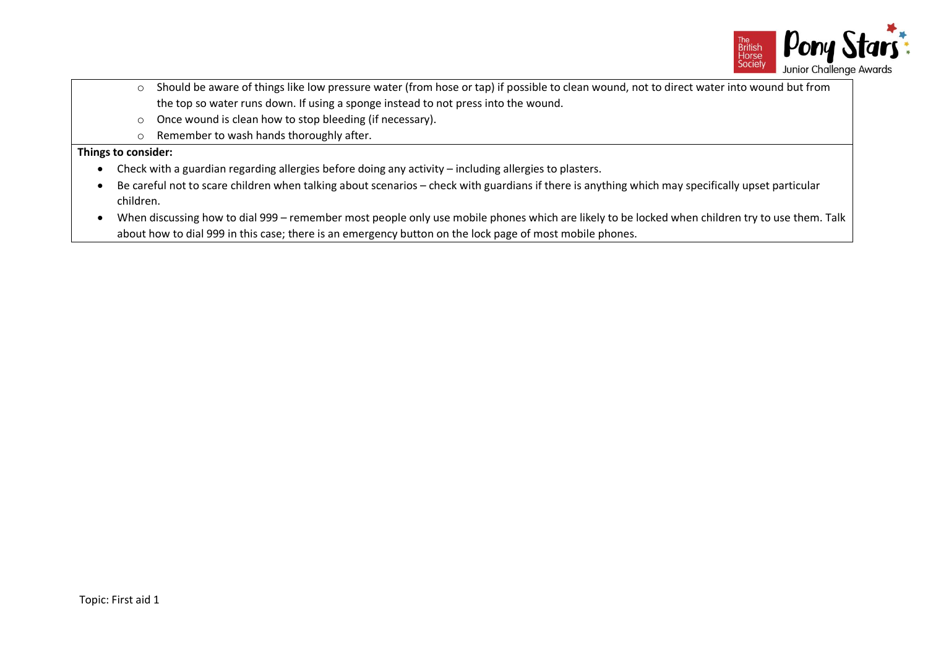

- o Should be aware of things like low pressure water (from hose or tap) if possible to clean wound, not to direct water into wound but from the top so water runs down. If using a sponge instead to not press into the wound.
- o Once wound is clean how to stop bleeding (if necessary).
- o Remember to wash hands thoroughly after.

## **Things to consider:**

- Check with a guardian regarding allergies before doing any activity including allergies to plasters.
- Be careful not to scare children when talking about scenarios check with guardians if there is anything which may specifically upset particular children.
- When discussing how to dial 999 remember most people only use mobile phones which are likely to be locked when children try to use them. Talk about how to dial 999 in this case; there is an emergency button on the lock page of most mobile phones.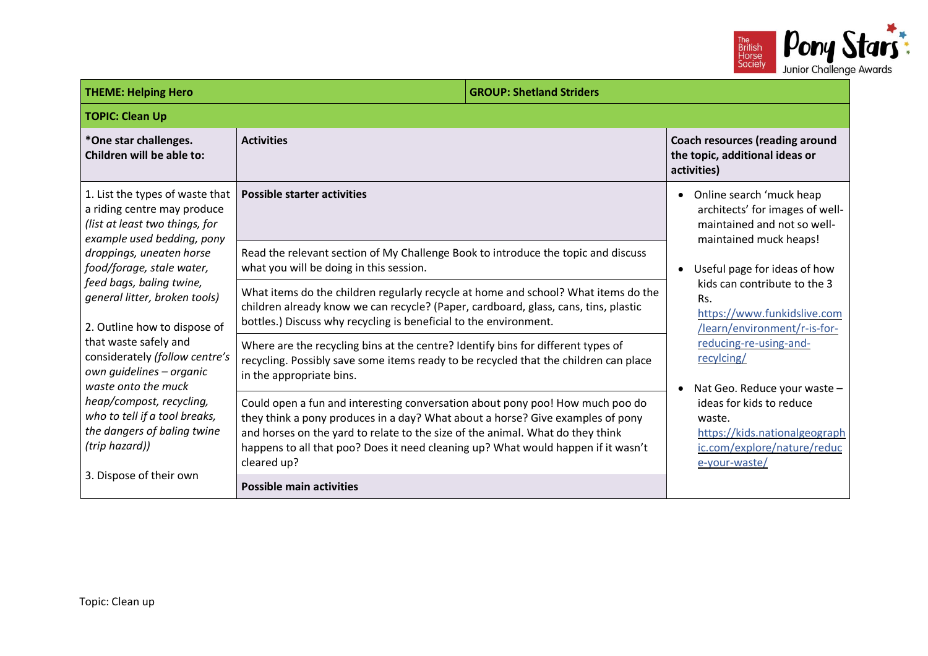

| <b>THEME: Helping Hero</b><br><b>GROUP: Shetland Striders</b>                                                                  |                                                                                                                                                                                                                                                                                                                                                       |                                                                                                                                                                                  |                                                                                                                                                                                             |
|--------------------------------------------------------------------------------------------------------------------------------|-------------------------------------------------------------------------------------------------------------------------------------------------------------------------------------------------------------------------------------------------------------------------------------------------------------------------------------------------------|----------------------------------------------------------------------------------------------------------------------------------------------------------------------------------|---------------------------------------------------------------------------------------------------------------------------------------------------------------------------------------------|
| <b>TOPIC: Clean Up</b>                                                                                                         |                                                                                                                                                                                                                                                                                                                                                       |                                                                                                                                                                                  |                                                                                                                                                                                             |
| *One star challenges.<br>Children will be able to:                                                                             | <b>Activities</b>                                                                                                                                                                                                                                                                                                                                     |                                                                                                                                                                                  | <b>Coach resources (reading around</b><br>the topic, additional ideas or<br>activities)                                                                                                     |
| 1. List the types of waste that<br>a riding centre may produce<br>(list at least two things, for<br>example used bedding, pony | <b>Possible starter activities</b>                                                                                                                                                                                                                                                                                                                    |                                                                                                                                                                                  | Online search 'muck heap<br>$\bullet$<br>architects' for images of well-<br>maintained and not so well-<br>maintained muck heaps!<br>Useful page for ideas of how<br>$\bullet$              |
| droppings, uneaten horse<br>food/forage, stale water,                                                                          | Read the relevant section of My Challenge Book to introduce the topic and discuss<br>what you will be doing in this session.                                                                                                                                                                                                                          |                                                                                                                                                                                  |                                                                                                                                                                                             |
| feed bags, baling twine,<br>general litter, broken tools)<br>2. Outline how to dispose of                                      | bottles.) Discuss why recycling is beneficial to the environment.                                                                                                                                                                                                                                                                                     | What items do the children regularly recycle at home and school? What items do the<br>Rs.<br>children already know we can recycle? (Paper, cardboard, glass, cans, tins, plastic | kids can contribute to the 3<br>https://www.funkidslive.com<br>/learn/environment/r-is-for-                                                                                                 |
| that waste safely and<br>considerately (follow centre's<br>own quidelines - organic<br>waste onto the muck                     | Where are the recycling bins at the centre? Identify bins for different types of<br>recycling. Possibly save some items ready to be recycled that the children can place<br>in the appropriate bins.                                                                                                                                                  |                                                                                                                                                                                  | reducing-re-using-and-<br>recylcing/<br>Nat Geo. Reduce your waste -<br>ideas for kids to reduce<br>waste.<br>https://kids.nationalgeograph<br>ic.com/explore/nature/reduc<br>e-your-waste/ |
| heap/compost, recycling,<br>who to tell if a tool breaks,<br>the dangers of baling twine<br>(trip hazard))                     | Could open a fun and interesting conversation about pony poo! How much poo do<br>they think a pony produces in a day? What about a horse? Give examples of pony<br>and horses on the yard to relate to the size of the animal. What do they think<br>happens to all that poo? Does it need cleaning up? What would happen if it wasn't<br>cleared up? |                                                                                                                                                                                  |                                                                                                                                                                                             |
| 3. Dispose of their own<br><b>Possible main activities</b>                                                                     |                                                                                                                                                                                                                                                                                                                                                       |                                                                                                                                                                                  |                                                                                                                                                                                             |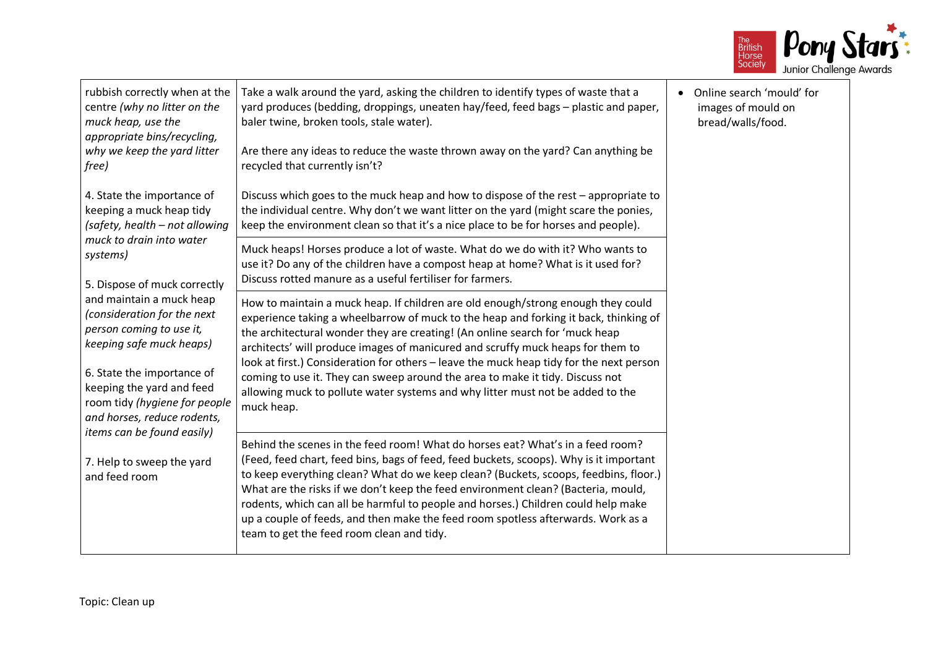

| rubbish correctly when at the<br>centre (why no litter on the<br>muck heap, use the<br>appropriate bins/recycling,<br>why we keep the yard litter<br>free)                                                                                                                                                                                                                                                                                                                                                                                                                                                                                                                                                                                                                                                                                                                                                                                                                                                                                                                                                                                                                                                                                                                                                                                                                                                                                                                                                                                                                                                                                                                                                                                                                                                                                                                                                                                                                                                                                                                                                                                                      | Take a walk around the yard, asking the children to identify types of waste that a<br>yard produces (bedding, droppings, uneaten hay/feed, feed bags - plastic and paper,<br>baler twine, broken tools, stale water).<br>Are there any ideas to reduce the waste thrown away on the yard? Can anything be<br>recycled that currently isn't? | Online search 'mould' for<br>images of mould on<br>bread/walls/food. |
|-----------------------------------------------------------------------------------------------------------------------------------------------------------------------------------------------------------------------------------------------------------------------------------------------------------------------------------------------------------------------------------------------------------------------------------------------------------------------------------------------------------------------------------------------------------------------------------------------------------------------------------------------------------------------------------------------------------------------------------------------------------------------------------------------------------------------------------------------------------------------------------------------------------------------------------------------------------------------------------------------------------------------------------------------------------------------------------------------------------------------------------------------------------------------------------------------------------------------------------------------------------------------------------------------------------------------------------------------------------------------------------------------------------------------------------------------------------------------------------------------------------------------------------------------------------------------------------------------------------------------------------------------------------------------------------------------------------------------------------------------------------------------------------------------------------------------------------------------------------------------------------------------------------------------------------------------------------------------------------------------------------------------------------------------------------------------------------------------------------------------------------------------------------------|---------------------------------------------------------------------------------------------------------------------------------------------------------------------------------------------------------------------------------------------------------------------------------------------------------------------------------------------|----------------------------------------------------------------------|
| 4. State the importance of<br>Discuss which goes to the muck heap and how to dispose of the rest - appropriate to<br>keeping a muck heap tidy<br>the individual centre. Why don't we want litter on the yard (might scare the ponies,<br>keep the environment clean so that it's a nice place to be for horses and people).<br>(safety, health - not allowing<br>muck to drain into water<br>Muck heaps! Horses produce a lot of waste. What do we do with it? Who wants to<br>systems)<br>use it? Do any of the children have a compost heap at home? What is it used for?<br>Discuss rotted manure as a useful fertiliser for farmers.<br>5. Dispose of muck correctly<br>and maintain a muck heap<br>How to maintain a muck heap. If children are old enough/strong enough they could<br>(consideration for the next<br>experience taking a wheelbarrow of muck to the heap and forking it back, thinking of<br>person coming to use it,<br>the architectural wonder they are creating! (An online search for 'muck heap<br>keeping safe muck heaps)<br>architects' will produce images of manicured and scruffy muck heaps for them to<br>look at first.) Consideration for others - leave the muck heap tidy for the next person<br>6. State the importance of<br>coming to use it. They can sweep around the area to make it tidy. Discuss not<br>keeping the yard and feed<br>allowing muck to pollute water systems and why litter must not be added to the<br>room tidy (hygiene for people<br>muck heap.<br>and horses, reduce rodents,<br>items can be found easily)<br>Behind the scenes in the feed room! What do horses eat? What's in a feed room?<br>(Feed, feed chart, feed bins, bags of feed, feed buckets, scoops). Why is it important<br>7. Help to sweep the yard<br>to keep everything clean? What do we keep clean? (Buckets, scoops, feedbins, floor.)<br>and feed room<br>What are the risks if we don't keep the feed environment clean? (Bacteria, mould,<br>rodents, which can all be harmful to people and horses.) Children could help make<br>up a couple of feeds, and then make the feed room spotless afterwards. Work as a |                                                                                                                                                                                                                                                                                                                                             |                                                                      |
|                                                                                                                                                                                                                                                                                                                                                                                                                                                                                                                                                                                                                                                                                                                                                                                                                                                                                                                                                                                                                                                                                                                                                                                                                                                                                                                                                                                                                                                                                                                                                                                                                                                                                                                                                                                                                                                                                                                                                                                                                                                                                                                                                                 |                                                                                                                                                                                                                                                                                                                                             |                                                                      |
|                                                                                                                                                                                                                                                                                                                                                                                                                                                                                                                                                                                                                                                                                                                                                                                                                                                                                                                                                                                                                                                                                                                                                                                                                                                                                                                                                                                                                                                                                                                                                                                                                                                                                                                                                                                                                                                                                                                                                                                                                                                                                                                                                                 |                                                                                                                                                                                                                                                                                                                                             |                                                                      |
|                                                                                                                                                                                                                                                                                                                                                                                                                                                                                                                                                                                                                                                                                                                                                                                                                                                                                                                                                                                                                                                                                                                                                                                                                                                                                                                                                                                                                                                                                                                                                                                                                                                                                                                                                                                                                                                                                                                                                                                                                                                                                                                                                                 |                                                                                                                                                                                                                                                                                                                                             |                                                                      |
|                                                                                                                                                                                                                                                                                                                                                                                                                                                                                                                                                                                                                                                                                                                                                                                                                                                                                                                                                                                                                                                                                                                                                                                                                                                                                                                                                                                                                                                                                                                                                                                                                                                                                                                                                                                                                                                                                                                                                                                                                                                                                                                                                                 | team to get the feed room clean and tidy.                                                                                                                                                                                                                                                                                                   |                                                                      |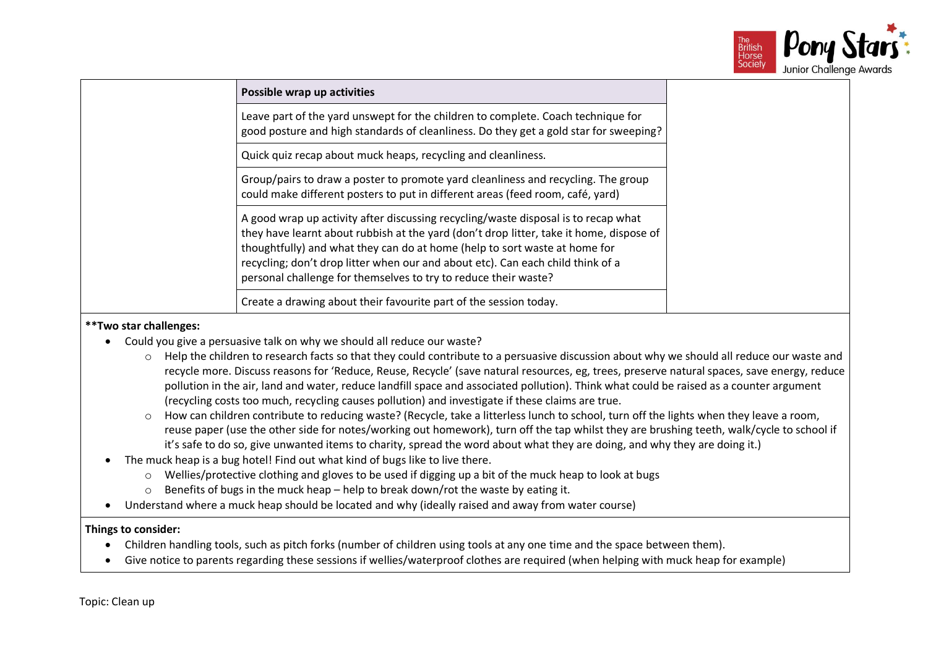

| Possible wrap up activities                                                                                                                                                                                                                                                                                                                                                                                       |
|-------------------------------------------------------------------------------------------------------------------------------------------------------------------------------------------------------------------------------------------------------------------------------------------------------------------------------------------------------------------------------------------------------------------|
| Leave part of the yard unswept for the children to complete. Coach technique for<br>good posture and high standards of cleanliness. Do they get a gold star for sweeping?                                                                                                                                                                                                                                         |
| Quick quiz recap about muck heaps, recycling and cleanliness.                                                                                                                                                                                                                                                                                                                                                     |
| Group/pairs to draw a poster to promote yard cleanliness and recycling. The group<br>could make different posters to put in different areas (feed room, café, yard)                                                                                                                                                                                                                                               |
| A good wrap up activity after discussing recycling/waste disposal is to recap what<br>they have learnt about rubbish at the yard (don't drop litter, take it home, dispose of<br>thoughtfully) and what they can do at home (help to sort waste at home for<br>recycling; don't drop litter when our and about etc). Can each child think of a<br>personal challenge for themselves to try to reduce their waste? |
| Create a drawing about their favourite part of the session today.                                                                                                                                                                                                                                                                                                                                                 |

## **\*\*Two star challenges:**

- Could you give a persuasive talk on why we should all reduce our waste?
	- o Help the children to research facts so that they could contribute to a persuasive discussion about why we should all reduce our waste and recycle more. Discuss reasons for 'Reduce, Reuse, Recycle' (save natural resources, eg, trees, preserve natural spaces, save energy, reduce pollution in the air, land and water, reduce landfill space and associated pollution). Think what could be raised as a counter argument (recycling costs too much, recycling causes pollution) and investigate if these claims are true.
	- o How can children contribute to reducing waste? (Recycle, take a litterless lunch to school, turn off the lights when they leave a room, reuse paper (use the other side for notes/working out homework), turn off the tap whilst they are brushing teeth, walk/cycle to school if it's safe to do so, give unwanted items to charity, spread the word about what they are doing, and why they are doing it.)
- The muck heap is a bug hotel! Find out what kind of bugs like to live there.
	- o Wellies/protective clothing and gloves to be used if digging up a bit of the muck heap to look at bugs
	- o Benefits of bugs in the muck heap help to break down/rot the waste by eating it.
- Understand where a muck heap should be located and why (ideally raised and away from water course)

## **Things to consider:**

- Children handling tools, such as pitch forks (number of children using tools at any one time and the space between them).
- Give notice to parents regarding these sessions if wellies/waterproof clothes are required (when helping with muck heap for example)